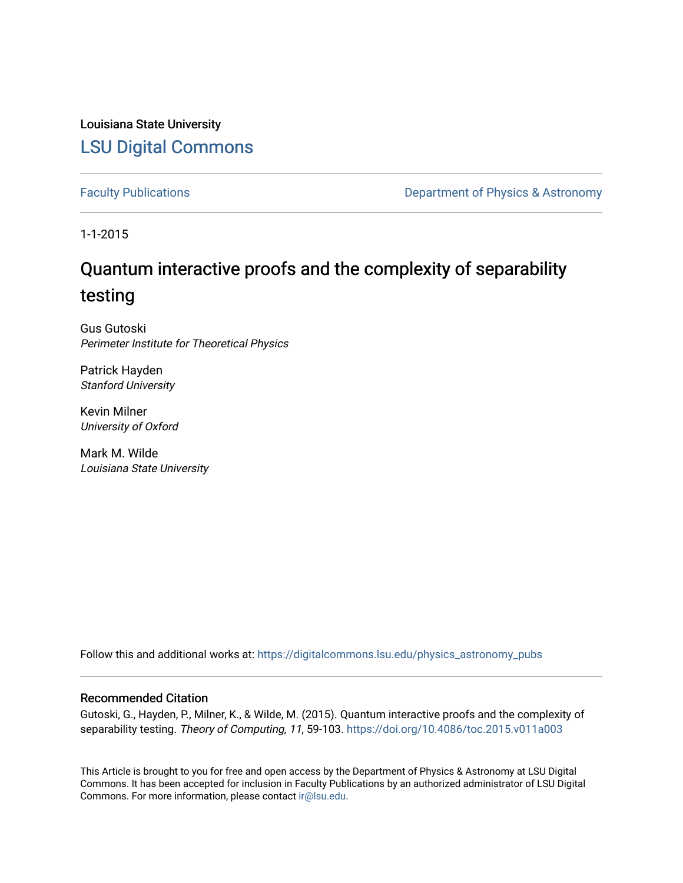Louisiana State University [LSU Digital Commons](https://digitalcommons.lsu.edu/)

[Faculty Publications](https://digitalcommons.lsu.edu/physics_astronomy_pubs) **Exercise 2 and Table 2 and Table 2 and Table 2 and Table 2 and Table 2 and Table 2 and Table 2 and Table 2 and Table 2 and Table 2 and Table 2 and Table 2 and Table 2 and Table 2 and Table 2 and Table** 

1-1-2015

## Quantum interactive proofs and the complexity of separability testing

Gus Gutoski Perimeter Institute for Theoretical Physics

Patrick Hayden Stanford University

Kevin Milner University of Oxford

Mark M. Wilde Louisiana State University

Follow this and additional works at: [https://digitalcommons.lsu.edu/physics\\_astronomy\\_pubs](https://digitalcommons.lsu.edu/physics_astronomy_pubs?utm_source=digitalcommons.lsu.edu%2Fphysics_astronomy_pubs%2F5691&utm_medium=PDF&utm_campaign=PDFCoverPages) 

### Recommended Citation

Gutoski, G., Hayden, P., Milner, K., & Wilde, M. (2015). Quantum interactive proofs and the complexity of separability testing. Theory of Computing, 11, 59-103. <https://doi.org/10.4086/toc.2015.v011a003>

This Article is brought to you for free and open access by the Department of Physics & Astronomy at LSU Digital Commons. It has been accepted for inclusion in Faculty Publications by an authorized administrator of LSU Digital Commons. For more information, please contact [ir@lsu.edu](mailto:ir@lsu.edu).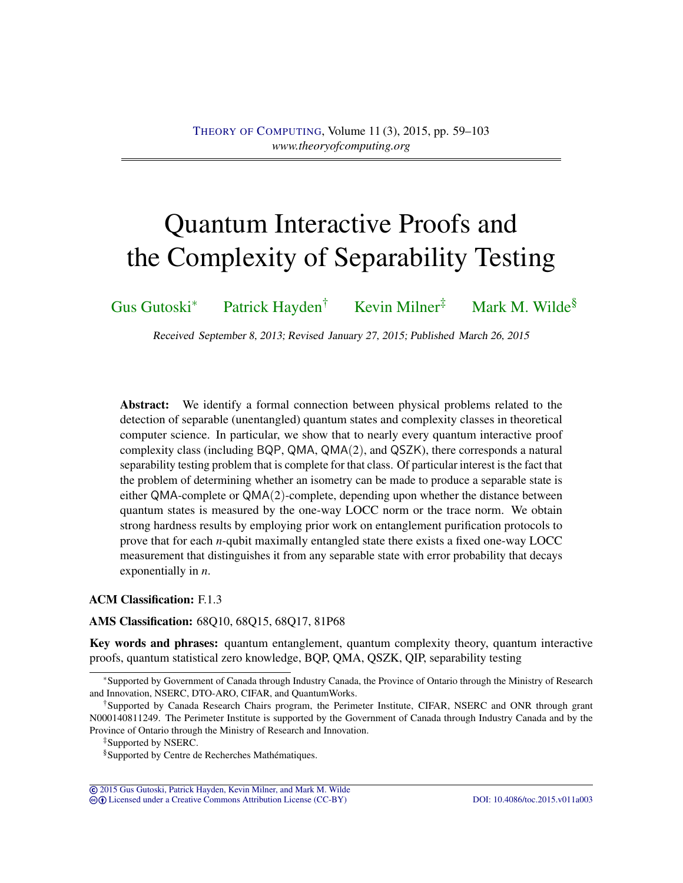# Quantum Interactive Proofs and the Complexity of Separability Testing

[Gus Gutoski](#page-43-0)<sup>∗</sup> [Patrick Hayden](#page-43-1)† [Kevin Milner](#page-43-2)‡ [Mark M. Wilde](#page-44-0)§

Received September 8, 2013; Revised January 27, 2015; Published March 26, 2015

Abstract: We identify a formal connection between physical problems related to the detection of separable (unentangled) quantum states and complexity classes in theoretical computer science. In particular, we show that to nearly every quantum interactive proof complexity class (including BQP, QMA, QMA(2), and QSZK), there corresponds a natural separability testing problem that is complete for that class. Of particular interest is the fact that the problem of determining whether an isometry can be made to produce a separable state is either QMA-complete or QMA(2)-complete, depending upon whether the distance between quantum states is measured by the one-way LOCC norm or the trace norm. We obtain strong hardness results by employing prior work on entanglement purification protocols to prove that for each *n*-qubit maximally entangled state there exists a fixed one-way LOCC measurement that distinguishes it from any separable state with error probability that decays exponentially in *n*.

### ACM Classification: F.1.3

AMS Classification: 68Q10, 68Q15, 68Q17, 81P68

Key words and phrases: quantum entanglement, quantum complexity theory, quantum interactive proofs, quantum statistical zero knowledge, BQP, QMA, QSZK, QIP, separability testing

© [2015 Gus Gutoski, Patrick Hayden, Kevin Milner, and Mark M. Wilde](http://theoryofcomputing.org/copyright2009.html) cb [Licensed under a Creative Commons Attribution License \(CC-BY\)](http://creativecommons.org/licenses/by/3.0/) [DOI: 10.4086/toc.2015.v011a003](http://dx.doi.org/10.4086/toc.2015.v011a003)

<sup>∗</sup>Supported by Government of Canada through Industry Canada, the Province of Ontario through the Ministry of Research and Innovation, NSERC, DTO-ARO, CIFAR, and QuantumWorks.

<sup>†</sup>Supported by Canada Research Chairs program, the Perimeter Institute, CIFAR, NSERC and ONR through grant N000140811249. The Perimeter Institute is supported by the Government of Canada through Industry Canada and by the Province of Ontario through the Ministry of Research and Innovation.

<sup>‡</sup>Supported by NSERC.

<sup>§</sup>Supported by Centre de Recherches Mathématiques.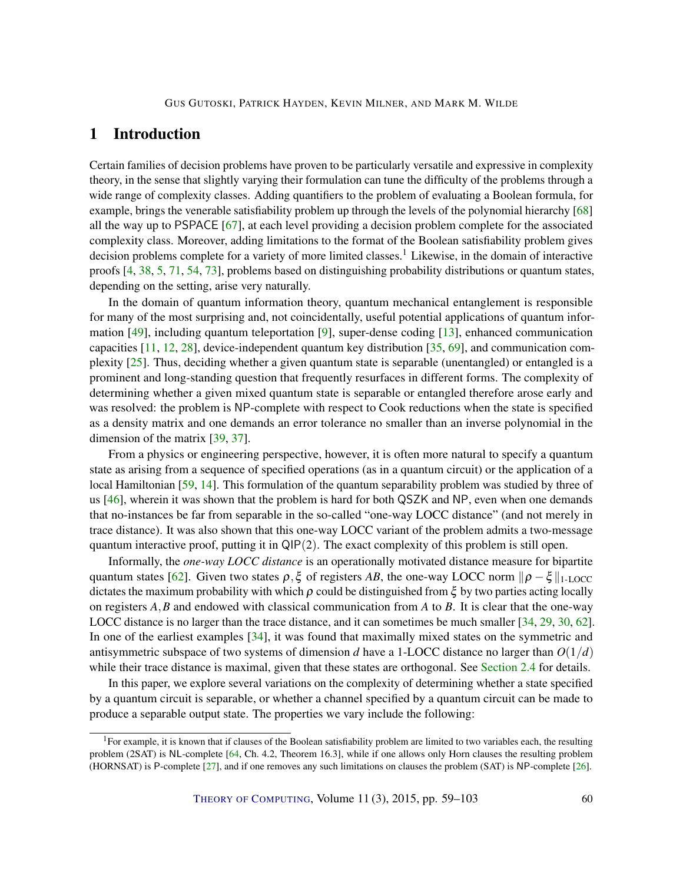### <span id="page-2-0"></span>1 Introduction

Certain families of decision problems have proven to be particularly versatile and expressive in complexity theory, in the sense that slightly varying their formulation can tune the difficulty of the problems through a wide range of complexity classes. Adding quantifiers to the problem of evaluating a Boolean formula, for example, brings the venerable satisfiability problem up through the levels of the polynomial hierarchy [\[68\]](#page-42-0) all the way up to PSPACE [\[67\]](#page-42-1), at each level providing a decision problem complete for the associated complexity class. Moreover, adding limitations to the format of the Boolean satisfiability problem gives decision problems complete for a variety of more limited classes.<sup>1</sup> Likewise, in the domain of interactive proofs [\[4,](#page-37-0) [38,](#page-40-0) [5,](#page-37-1) [71,](#page-42-2) [54,](#page-41-0) [73\]](#page-42-3), problems based on distinguishing probability distributions or quantum states, depending on the setting, arise very naturally.

In the domain of quantum information theory, quantum mechanical entanglement is responsible for many of the most surprising and, not coincidentally, useful potential applications of quantum information  $[49]$ , including quantum teleportation  $[9]$ , super-dense coding  $[13]$ , enhanced communication capacities [\[11,](#page-37-3) [12,](#page-37-4) [28\]](#page-39-0), device-independent quantum key distribution [\[35,](#page-39-1) [69\]](#page-42-4), and communication complexity [\[25\]](#page-39-2). Thus, deciding whether a given quantum state is separable (unentangled) or entangled is a prominent and long-standing question that frequently resurfaces in different forms. The complexity of determining whether a given mixed quantum state is separable or entangled therefore arose early and was resolved: the problem is NP-complete with respect to Cook reductions when the state is specified as a density matrix and one demands an error tolerance no smaller than an inverse polynomial in the dimension of the matrix [\[39,](#page-40-2) [37\]](#page-40-3).

From a physics or engineering perspective, however, it is often more natural to specify a quantum state as arising from a sequence of specified operations (as in a quantum circuit) or the application of a local Hamiltonian [\[59,](#page-41-1) [14\]](#page-38-1). This formulation of the quantum separability problem was studied by three of us [\[46\]](#page-40-4), wherein it was shown that the problem is hard for both QSZK and NP, even when one demands that no-instances be far from separable in the so-called "one-way LOCC distance" (and not merely in trace distance). It was also shown that this one-way LOCC variant of the problem admits a two-message quantum interactive proof, putting it in  $\mathsf{QIP}(2)$ . The exact complexity of this problem is still open.

Informally, the *one-way LOCC distance* is an operationally motivated distance measure for bipartite quantum states [\[62\]](#page-42-5). Given two states  $\rho$ ,  $\xi$  of registers *AB*, the one-way LOCC norm  $\|\rho - \xi\|_{1-LOCC}$ dictates the maximum probability with which  $\rho$  could be distinguished from  $\xi$  by two parties acting locally on registers *A*,*B* and endowed with classical communication from *A* to *B*. It is clear that the one-way LOCC distance is no larger than the trace distance, and it can sometimes be much smaller [\[34,](#page-39-3) [29,](#page-39-4) [30,](#page-39-5) [62\]](#page-42-5). In one of the earliest examples [\[34\]](#page-39-3), it was found that maximally mixed states on the symmetric and antisymmetric subspace of two systems of dimension *d* have a 1-LOCC distance no larger than *O*(1/*d*) while their trace distance is maximal, given that these states are orthogonal. See [Section](#page-7-0) [2.4](#page-7-0) for details.

In this paper, we explore several variations on the complexity of determining whether a state specified by a quantum circuit is separable, or whether a channel specified by a quantum circuit can be made to produce a separable output state. The properties we vary include the following:

 ${}^{1}$ For example, it is known that if clauses of the Boolean satisfiability problem are limited to two variables each, the resulting problem (2SAT) is NL-complete [\[64,](#page-42-6) Ch. 4.2, Theorem 16.3], while if one allows only Horn clauses the resulting problem (HORNSAT) is P-complete [\[27\]](#page-39-6), and if one removes any such limitations on clauses the problem (SAT) is NP-complete [\[26\]](#page-39-7).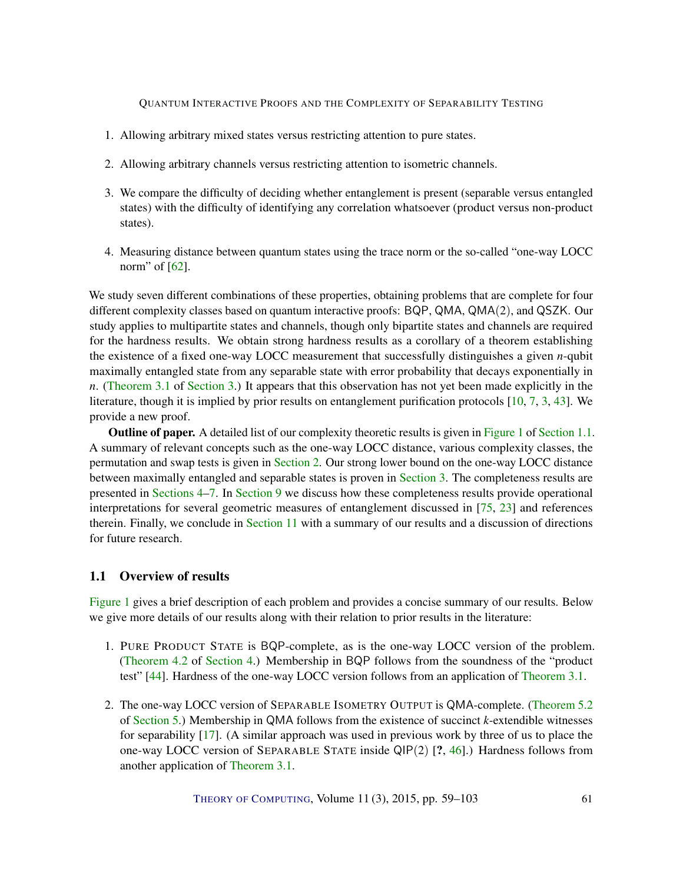- <span id="page-3-1"></span>1. Allowing arbitrary mixed states versus restricting attention to pure states.
- 2. Allowing arbitrary channels versus restricting attention to isometric channels.
- 3. We compare the difficulty of deciding whether entanglement is present (separable versus entangled states) with the difficulty of identifying any correlation whatsoever (product versus non-product states).
- 4. Measuring distance between quantum states using the trace norm or the so-called "one-way LOCC norm" of [\[62\]](#page-42-5).

We study seven different combinations of these properties, obtaining problems that are complete for four different complexity classes based on quantum interactive proofs: BQP, QMA, QMA(2), and QSZK. Our study applies to multipartite states and channels, though only bipartite states and channels are required for the hardness results. We obtain strong hardness results as a corollary of a theorem establishing the existence of a fixed one-way LOCC measurement that successfully distinguishes a given *n*-qubit maximally entangled state from any separable state with error probability that decays exponentially in *n*. [\(Theorem](#page-11-0) [3.1](#page-11-0) of [Section](#page-11-1) [3.](#page-11-1)) It appears that this observation has not yet been made explicitly in the literature, though it is implied by prior results on entanglement purification protocols [\[10,](#page-37-5) [7,](#page-37-6) [3,](#page-37-7) [43\]](#page-40-5). We provide a new proof.

**Outline of paper.** A detailed list of our complexity theoretic results is given in [Figure](#page-5-0) [1](#page-5-0) of [Section](#page-3-0) [1.1.](#page-3-0) A summary of relevant concepts such as the one-way LOCC distance, various complexity classes, the permutation and swap tests is given in [Section](#page-4-0) [2.](#page-4-0) Our strong lower bound on the one-way LOCC distance between maximally entangled and separable states is proven in [Section](#page-11-1) [3.](#page-11-1) The completeness results are presented in [Sections](#page-12-0) [4–](#page-12-0)[7.](#page-28-0) In [Section](#page-34-0) [9](#page-34-0) we discuss how these completeness results provide operational interpretations for several geometric measures of entanglement discussed in [\[75,](#page-42-7) [23\]](#page-38-2) and references therein. Finally, we conclude in [Section](#page-36-0) [11](#page-36-0) with a summary of our results and a discussion of directions for future research.

### <span id="page-3-0"></span>1.1 Overview of results

[Figure](#page-5-0) [1](#page-5-0) gives a brief description of each problem and provides a concise summary of our results. Below we give more details of our results along with their relation to prior results in the literature:

- 1. PURE PRODUCT STATE is BQP-complete, as is the one-way LOCC version of the problem. [\(Theorem](#page-13-0) [4.2](#page-13-0) of [Section](#page-12-0) [4.](#page-12-0)) Membership in BQP follows from the soundness of the "product test" [\[44\]](#page-40-6). Hardness of the one-way LOCC version follows from an application of [Theorem](#page-11-0) [3.1.](#page-11-0)
- 2. The one-way LOCC version of SEPARABLE ISOMETRY OUTPUT is QMA-complete. [\(Theorem](#page-16-0) [5.2](#page-16-0) of [Section](#page-15-0) [5.](#page-15-0)) Membership in QMA follows from the existence of succinct *k*-extendible witnesses for separability [\[17\]](#page-38-3). (A similar approach was used in previous work by three of us to place the one-way LOCC version of SEPARABLE STATE inside  $QIP(2)$  [?, [46\]](#page-40-4).) Hardness follows from another application of [Theorem](#page-11-0) [3.1.](#page-11-0)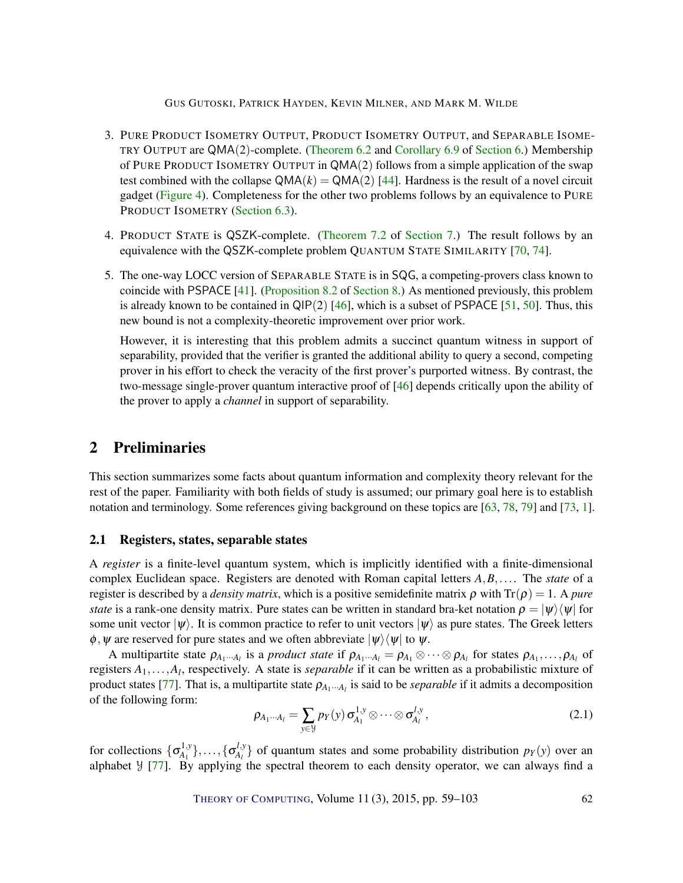#### GUS GUTOSKI, PATRICK HAYDEN, KEVIN MILNER, AND MARK M. WILDE

- <span id="page-4-1"></span>3. PURE PRODUCT ISOMETRY OUTPUT, PRODUCT ISOMETRY OUTPUT, and SEPARABLE ISOME-TRY OUTPUT are QMA(2)-complete. [\(Theorem](#page-22-0) [6.2](#page-22-0) and [Corollary](#page-27-0) [6.9](#page-27-0) of [Section](#page-22-1) [6.](#page-22-1)) Membership of PURE PRODUCT ISOMETRY OUTPUT in QMA(2) follows from a simple application of the swap test combined with the collapse  $QMA(k) = QMA(2)$  [\[44\]](#page-40-6). Hardness is the result of a novel circuit gadget [\(Figure](#page-24-0) [4\)](#page-24-0). Completeness for the other two problems follows by an equivalence to PURE PRODUCT ISOMETRY [\(Section](#page-25-0) [6.3\)](#page-25-0).
- 4. PRODUCT STATE is QSZK-complete. [\(Theorem](#page-28-1) [7.2](#page-28-1) of [Section](#page-28-0) [7.](#page-28-0)) The result follows by an equivalence with the QSZK-complete problem QUANTUM STATE SIMILARITY [\[70,](#page-42-8) [74\]](#page-42-9).
- 5. The one-way LOCC version of SEPARABLE STATE is in SQG, a competing-provers class known to coincide with PSPACE [\[41\]](#page-40-7). [\(Proposition](#page-33-0) [8.2](#page-33-0) of [Section](#page-32-0) [8.](#page-32-0)) As mentioned previously, this problem is already known to be contained in  $QIP(2)$  [\[46\]](#page-40-4), which is a subset of PSPACE [\[51,](#page-41-2) [50\]](#page-41-3). Thus, this new bound is not a complexity-theoretic improvement over prior work.

However, it is interesting that this problem admits a succinct quantum witness in support of separability, provided that the verifier is granted the additional ability to query a second, competing prover in his effort to check the veracity of the first prover's purported witness. By contrast, the two-message single-prover quantum interactive proof of [\[46\]](#page-40-4) depends critically upon the ability of the prover to apply a *channel* in support of separability.

### <span id="page-4-0"></span>2 Preliminaries

This section summarizes some facts about quantum information and complexity theory relevant for the rest of the paper. Familiarity with both fields of study is assumed; our primary goal here is to establish notation and terminology. Some references giving background on these topics are [\[63,](#page-42-10) [78,](#page-43-3) [79\]](#page-43-4) and [\[73,](#page-42-3) [1\]](#page-37-8).

#### 2.1 Registers, states, separable states

A *register* is a finite-level quantum system, which is implicitly identified with a finite-dimensional complex Euclidean space. Registers are denoted with Roman capital letters *A*,*B*,.... The *state* of a register is described by a *density matrix*, which is a positive semidefinite matrix ρ with Tr(ρ) = 1. A *pure state* is a rank-one density matrix. Pure states can be written in standard bra-ket notation  $\rho = |\psi\rangle\langle\psi|$  for some unit vector  $|\psi\rangle$ . It is common practice to refer to unit vectors  $|\psi\rangle$  as pure states. The Greek letters  $\phi$ ,  $\psi$  are reserved for pure states and we often abbreviate  $|\psi\rangle\langle\psi|$  to  $\psi$ .

A multipartite state  $\rho_{A_1\cdots A_l}$  is a *product state* if  $\rho_{A_1\cdots A_l} = \rho_{A_1} \otimes \cdots \otimes \rho_{A_l}$  for states  $\rho_{A_1}, \ldots, \rho_{A_l}$  of registers *A*1,...,*A<sup>l</sup>* , respectively. A state is *separable* if it can be written as a probabilistic mixture of product states [\[77\]](#page-43-5). That is, a multipartite state  $\rho_{A_1\cdots A_l}$  is said to be *separable* if it admits a decomposition of the following form:

$$
\rho_{A_1\cdots A_l} = \sum_{y \in \mathcal{Y}} p_Y(y) \sigma_{A_1}^{1,y} \otimes \cdots \otimes \sigma_{A_l}^{l,y}, \qquad (2.1)
$$

for collections  $\{\sigma_{A_1}^{1,y}$  $\{\mathbf{a}^{l,y}_{A_l}\},\ldots,\{\mathbf{a}^{l,y}_{A_l}\}$  $\mathcal{A}_{A}^{I, y}$  of quantum states and some probability distribution  $p_Y(y)$  over an alphabet  $\frac{1}{2}$  [\[77\]](#page-43-5). By applying the spectral theorem to each density operator, we can always find a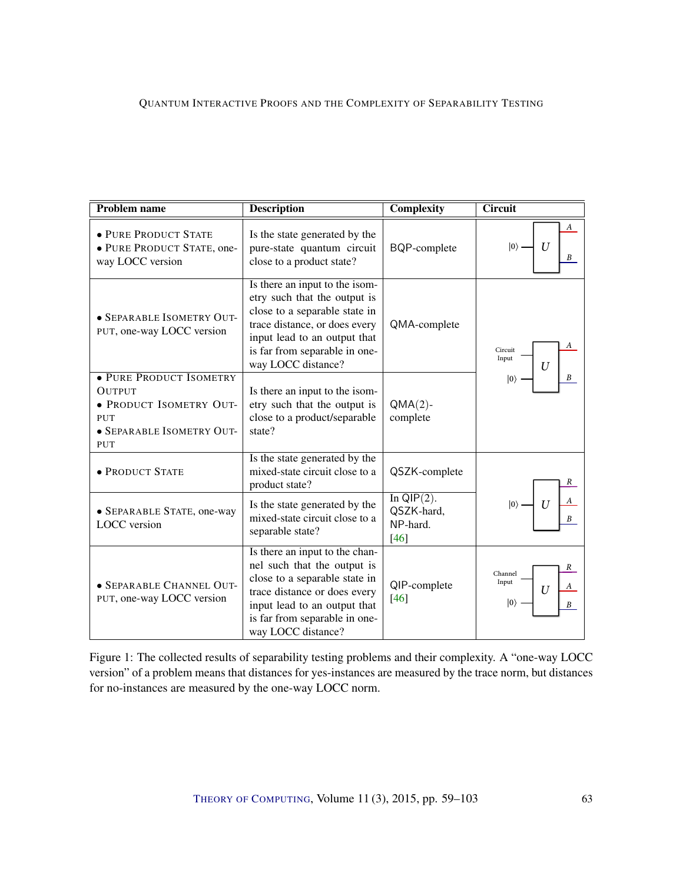<span id="page-5-1"></span><span id="page-5-0"></span>

| <b>Problem name</b>                                                                                                   | <b>Description</b>                                                                                                                                                                                                      | <b>Complexity</b>                                 | Circuit                                             |
|-----------------------------------------------------------------------------------------------------------------------|-------------------------------------------------------------------------------------------------------------------------------------------------------------------------------------------------------------------------|---------------------------------------------------|-----------------------------------------------------|
| · PURE PRODUCT STATE<br>· PURE PRODUCT STATE, one-<br>way LOCC version                                                | Is the state generated by the<br>pure-state quantum circuit<br>close to a product state?                                                                                                                                | BQP-complete                                      | А<br>$\overline{U}$<br>$ 0\rangle$                  |
| · SEPARABLE ISOMETRY OUT-<br>PUT, one-way LOCC version                                                                | Is there an input to the isom-<br>etry such that the output is<br>close to a separable state in<br>trace distance, or does every<br>input lead to an output that<br>is far from separable in one-<br>way LOCC distance? | QMA-complete                                      | Circuit<br>Input<br>U                               |
| · PURE PRODUCT ISOMETRY<br><b>OUTPUT</b><br>· PRODUCT ISOMETRY OUT-<br>PUT<br>· SEPARABLE ISOMETRY OUT-<br><b>PUT</b> | Is there an input to the isom-<br>etry such that the output is<br>close to a product/separable<br>state?                                                                                                                | $QMA(2)$ -<br>complete                            | $ 0\rangle$<br>B                                    |
| · PRODUCT STATE                                                                                                       | Is the state generated by the<br>mixed-state circuit close to a<br>product state?                                                                                                                                       | QSZK-complete                                     | R                                                   |
| • SEPARABLE STATE, one-way<br><b>LOCC</b> version                                                                     | Is the state generated by the<br>mixed-state circuit close to a<br>separable state?                                                                                                                                     | In $QIP(2)$ .<br>QSZK-hard,<br>NP-hard.<br>$[46]$ | B                                                   |
| · SEPARABLE CHANNEL OUT-<br>PUT, one-way LOCC version                                                                 | Is there an input to the chan-<br>nel such that the output is<br>close to a separable state in<br>trace distance or does every<br>input lead to an output that<br>is far from separable in one-<br>way LOCC distance?   | QIP-complete<br>$[46]$                            | R<br>Channel<br>Input<br>A<br>U<br>$ 0\rangle$<br>B |

Figure 1: The collected results of separability testing problems and their complexity. A "one-way LOCC version" of a problem means that distances for yes-instances are measured by the trace norm, but distances for no-instances are measured by the one-way LOCC norm.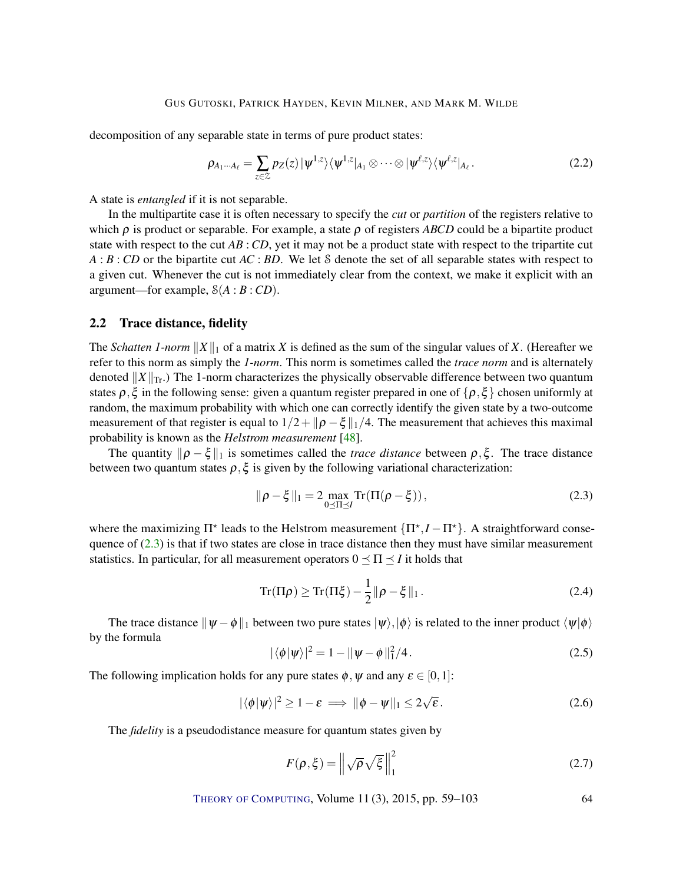<span id="page-6-4"></span>decomposition of any separable state in terms of pure product states:

$$
\rho_{A_1\cdots A_\ell} = \sum_{z \in \mathcal{Z}} p_Z(z) |\psi^{1,z}\rangle \langle \psi^{1,z}|_{A_1} \otimes \cdots \otimes |\psi^{\ell,z}\rangle \langle \psi^{\ell,z}|_{A_\ell}.
$$
\n(2.2)

A state is *entangled* if it is not separable.

In the multipartite case it is often necessary to specify the *cut* or *partition* of the registers relative to which  $\rho$  is product or separable. For example, a state  $\rho$  of registers *ABCD* could be a bipartite product state with respect to the cut *AB* : *CD*, yet it may not be a product state with respect to the tripartite cut *A* : *B* : *CD* or the bipartite cut *AC* : *BD*. We let S denote the set of all separable states with respect to a given cut. Whenever the cut is not immediately clear from the context, we make it explicit with an argument—for example,  $S(A : B : CD)$ .

### <span id="page-6-1"></span>2.2 Trace distance, fidelity

The *Schatten 1-norm*  $||X||_1$  of a matrix *X* is defined as the sum of the singular values of *X*. (Hereafter we refer to this norm as simply the *1-norm*. This norm is sometimes called the *trace norm* and is alternately denoted  $||X||_{\text{Tr}}$ .) The 1-norm characterizes the physically observable difference between two quantum states  $\rho, \xi$  in the following sense: given a quantum register prepared in one of  $\{\rho, \xi\}$  chosen uniformly at random, the maximum probability with which one can correctly identify the given state by a two-outcome measurement of that register is equal to  $1/2 + ||\rho - \xi||_1/4$ . The measurement that achieves this maximal probability is known as the *Helstrom measurement* [\[48\]](#page-40-8).

The quantity  $\|\rho - \xi\|_1$  is sometimes called the *trace distance* between  $\rho, \xi$ . The trace distance between two quantum states  $\rho$ ,  $\xi$  is given by the following variational characterization:

<span id="page-6-0"></span>
$$
\|\rho - \xi\|_1 = 2 \max_{0 \le \Pi \le I} \text{Tr}(\Pi(\rho - \xi)), \tag{2.3}
$$

where the maximizing  $\Pi^*$  leads to the Helstrom measurement  $\{\Pi^*, I - \Pi^*\}$ . A straightforward consequence of  $(2.3)$  is that if two states are close in trace distance then they must have similar measurement statistics. In particular, for all measurement operators  $0 \leq \Pi \leq I$  it holds that

<span id="page-6-3"></span>
$$
\operatorname{Tr}(\Pi \rho) \ge \operatorname{Tr}(\Pi \xi) - \frac{1}{2} \|\rho - \xi\|_1. \tag{2.4}
$$

The trace distance  $\|\psi - \phi\|_1$  between two pure states  $|\psi\rangle,|\phi\rangle$  is related to the inner product  $\langle \psi | \phi \rangle$ by the formula

<span id="page-6-2"></span>
$$
|\langle \phi | \psi \rangle|^2 = 1 - ||\psi - \phi||_1^2 / 4. \tag{2.5}
$$

The following implication holds for any pure states  $\phi$ ,  $\psi$  and any  $\varepsilon \in [0,1]$ :

$$
|\langle \phi | \psi \rangle|^2 \ge 1 - \varepsilon \implies ||\phi - \psi||_1 \le 2\sqrt{\varepsilon}.
$$
 (2.6)

The *fidelity* is a pseudodistance measure for quantum states given by

$$
F(\rho, \xi) = \left\| \sqrt{\rho} \sqrt{\xi} \right\|_{1}^{2} \tag{2.7}
$$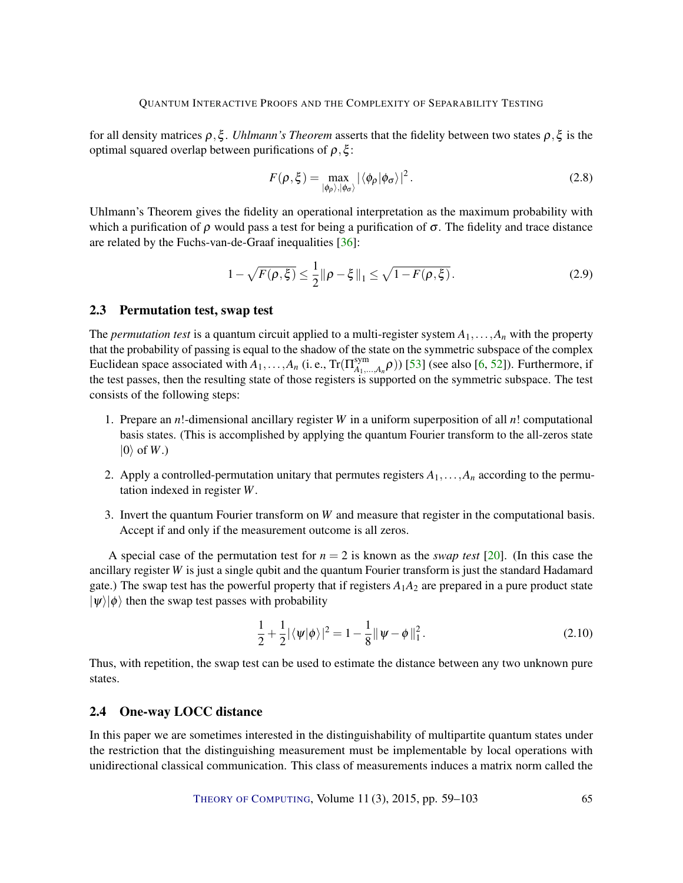<span id="page-7-2"></span>for all density matrices ρ,ξ . *Uhlmann's Theorem* asserts that the fidelity between two states ρ,ξ is the optimal squared overlap between purifications of  $\rho$ ,  $\xi$ :

$$
F(\rho, \xi) = \max_{|\phi_{\rho}\rangle, |\phi_{\sigma}\rangle} |\langle \phi_{\rho} | \phi_{\sigma} \rangle|^2.
$$
 (2.8)

Uhlmann's Theorem gives the fidelity an operational interpretation as the maximum probability with which a purification of  $\rho$  would pass a test for being a purification of  $\sigma$ . The fidelity and trace distance are related by the Fuchs-van-de-Graaf inequalities [\[36\]](#page-39-8):

<span id="page-7-1"></span>
$$
1 - \sqrt{F(\rho, \xi)} \le \frac{1}{2} \|\rho - \xi\|_1 \le \sqrt{1 - F(\rho, \xi)}.
$$
\n(2.9)

#### 2.3 Permutation test, swap test

The *permutation test* is a quantum circuit applied to a multi-register system  $A_1, \ldots, A_n$  with the property that the probability of passing is equal to the shadow of the state on the symmetric subspace of the complex Euclidean space associated with  $A_1, \ldots, A_n$  (i.e.,  $\text{Tr}(\Pi_{A_1}^{\text{sym}})$  $A_{A_1,...,A_n}(\rho)$ ) [\[53\]](#page-41-4) (see also [\[6,](#page-37-9) [52\]](#page-41-5)). Furthermore, if the test passes, then the resulting state of those registers is supported on the symmetric subspace. The test consists of the following steps:

- 1. Prepare an *n*!-dimensional ancillary register *W* in a uniform superposition of all *n*! computational basis states. (This is accomplished by applying the quantum Fourier transform to the all-zeros state  $|0\rangle$  of *W*.)
- 2. Apply a controlled-permutation unitary that permutes registers  $A_1, \ldots, A_n$  according to the permutation indexed in register *W*.
- 3. Invert the quantum Fourier transform on *W* and measure that register in the computational basis. Accept if and only if the measurement outcome is all zeros.

A special case of the permutation test for  $n = 2$  is known as the *swap test* [\[20\]](#page-38-4). (In this case the ancillary register *W* is just a single qubit and the quantum Fourier transform is just the standard Hadamard gate.) The swap test has the powerful property that if registers  $A_1A_2$  are prepared in a pure product state  $|\psi\rangle|\phi\rangle$  then the swap test passes with probability

$$
\frac{1}{2} + \frac{1}{2} |\langle \psi | \phi \rangle|^2 = 1 - \frac{1}{8} ||\psi - \phi||_1^2.
$$
 (2.10)

Thus, with repetition, the swap test can be used to estimate the distance between any two unknown pure states.

### <span id="page-7-0"></span>2.4 One-way LOCC distance

In this paper we are sometimes interested in the distinguishability of multipartite quantum states under the restriction that the distinguishing measurement must be implementable by local operations with unidirectional classical communication. This class of measurements induces a matrix norm called the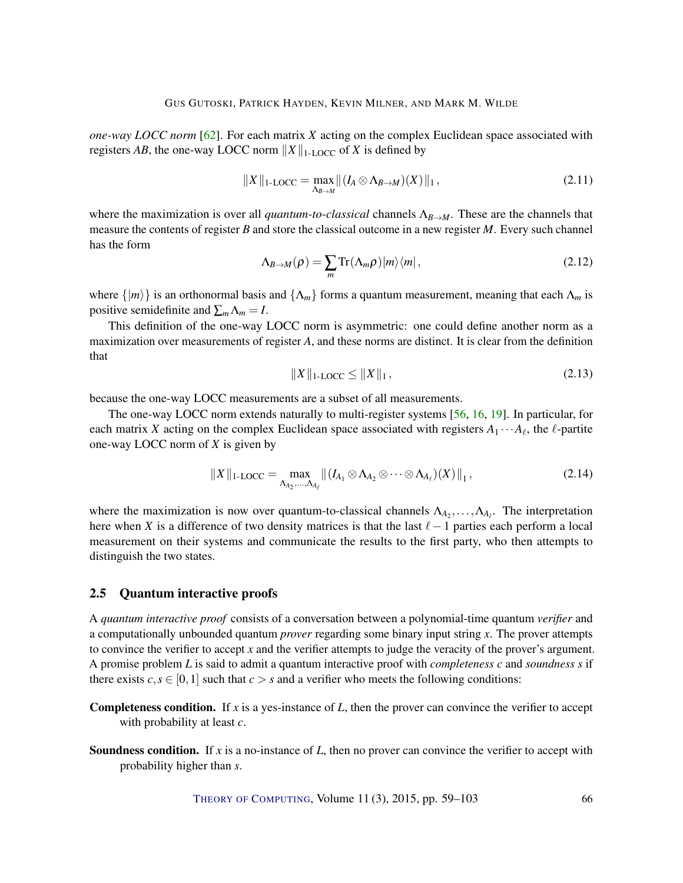<span id="page-8-0"></span>*one-way LOCC norm* [\[62\]](#page-42-5). For each matrix *X* acting on the complex Euclidean space associated with registers *AB*, the one-way LOCC norm  $||X||_{1\text{-LOCC}}$  of *X* is defined by

$$
||X||_{1\text{-LOCC}} = \max_{\Lambda_{B\to M}} ||(I_A \otimes \Lambda_{B\to M})(X)||_1, \qquad (2.11)
$$

where the maximization is over all *quantum-to-classical* channels Λ*B*→*M*. These are the channels that measure the contents of register *B* and store the classical outcome in a new register *M*. Every such channel has the form

$$
\Lambda_{B\to M}(\rho) = \sum_{m} \text{Tr}(\Lambda_m \rho) |m\rangle \langle m| \,, \tag{2.12}
$$

where  $\{|m\rangle\}$  is an orthonormal basis and  $\{\Lambda_m\}$  forms a quantum measurement, meaning that each  $\Lambda_m$  is positive semidefinite and  $\sum_{m} \Lambda_m = I$ .

This definition of the one-way LOCC norm is asymmetric: one could define another norm as a maximization over measurements of register *A*, and these norms are distinct. It is clear from the definition that

$$
||X||_{1\text{-LOCC}} \le ||X||_1,\tag{2.13}
$$

because the one-way LOCC measurements are a subset of all measurements.

The one-way LOCC norm extends naturally to multi-register systems [\[56,](#page-41-6) [16,](#page-38-5) [19\]](#page-38-6). In particular, for each matrix *X* acting on the complex Euclidean space associated with registers  $A_1 \cdots A_\ell$ , the  $\ell$ -partite one-way LOCC norm of *X* is given by

$$
||X||_{1\text{-LOCC}} = \max_{\Lambda_{A_2},\ldots,\Lambda_{A_\ell}} || (I_{A_1} \otimes \Lambda_{A_2} \otimes \cdots \otimes \Lambda_{A_\ell})(X)||_1,
$$
\n(2.14)

where the maximization is now over quantum-to-classical channels  $\Lambda_{A_2}, \ldots, \Lambda_{A_l}$ . The interpretation here when *X* is a difference of two density matrices is that the last  $\ell-1$  parties each perform a local measurement on their systems and communicate the results to the first party, who then attempts to distinguish the two states.

#### 2.5 Quantum interactive proofs

A *quantum interactive proof* consists of a conversation between a polynomial-time quantum *verifier* and a computationally unbounded quantum *prover* regarding some binary input string *x*. The prover attempts to convince the verifier to accept *x* and the verifier attempts to judge the veracity of the prover's argument. A promise problem *L* is said to admit a quantum interactive proof with *completeness c* and *soundness s* if there exists  $c, s \in [0, 1]$  such that  $c > s$  and a verifier who meets the following conditions:

- Completeness condition. If *x* is a yes-instance of *L*, then the prover can convince the verifier to accept with probability at least *c*.
- Soundness condition. If *x* is a no-instance of *L*, then no prover can convince the verifier to accept with probability higher than *s*.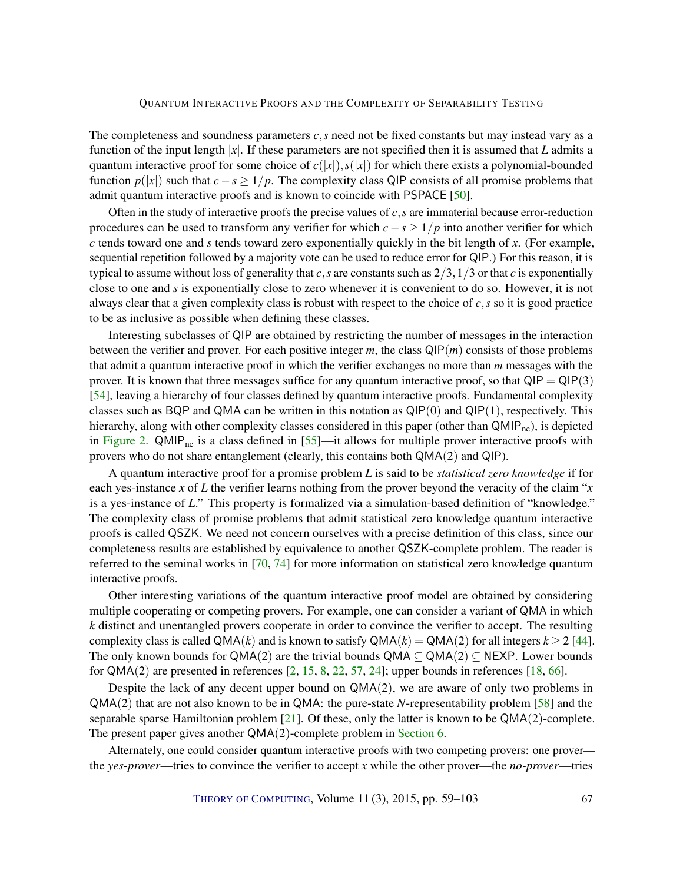<span id="page-9-0"></span>The completeness and soundness parameters *c*,*s* need not be fixed constants but may instead vary as a function of the input length |*x*|. If these parameters are not specified then it is assumed that *L* admits a quantum interactive proof for some choice of  $c(|x|)$ ,  $s(|x|)$  for which there exists a polynomial-bounded function  $p(|x|)$  such that  $c - s \geq 1/p$ . The complexity class QIP consists of all promise problems that admit quantum interactive proofs and is known to coincide with PSPACE [\[50\]](#page-41-3).

Often in the study of interactive proofs the precise values of *c*,*s* are immaterial because error-reduction procedures can be used to transform any verifier for which *c*−*s* ≥ 1/*p* into another verifier for which *c* tends toward one and *s* tends toward zero exponentially quickly in the bit length of *x*. (For example, sequential repetition followed by a majority vote can be used to reduce error for QIP.) For this reason, it is typical to assume without loss of generality that *c*, *s* are constants such as  $2/3$ ,  $1/3$  or that *c* is exponentially close to one and *s* is exponentially close to zero whenever it is convenient to do so. However, it is not always clear that a given complexity class is robust with respect to the choice of *c*,*s* so it is good practice to be as inclusive as possible when defining these classes.

Interesting subclasses of QIP are obtained by restricting the number of messages in the interaction between the verifier and prover. For each positive integer *m*, the class QIP(*m*) consists of those problems that admit a quantum interactive proof in which the verifier exchanges no more than *m* messages with the prover. It is known that three messages suffice for any quantum interactive proof, so that  $QIP = QIP(3)$ [\[54\]](#page-41-0), leaving a hierarchy of four classes defined by quantum interactive proofs. Fundamental complexity classes such as BQP and QMA can be written in this notation as  $QIP(0)$  and  $QIP(1)$ , respectively. This hierarchy, along with other complexity classes considered in this paper (other than QMIP<sub>ne</sub>), is depicted in [Figure](#page-10-0) [2.](#page-10-0)  $QMIP<sub>ne</sub>$  is a class defined in [\[55\]](#page-41-7)—it allows for multiple prover interactive proofs with provers who do not share entanglement (clearly, this contains both QMA(2) and QIP).

A quantum interactive proof for a promise problem *L* is said to be *statistical zero knowledge* if for each yes-instance *x* of *L* the verifier learns nothing from the prover beyond the veracity of the claim "*x* is a yes-instance of *L*." This property is formalized via a simulation-based definition of "knowledge." The complexity class of promise problems that admit statistical zero knowledge quantum interactive proofs is called QSZK. We need not concern ourselves with a precise definition of this class, since our completeness results are established by equivalence to another QSZK-complete problem. The reader is referred to the seminal works in [\[70,](#page-42-8) [74\]](#page-42-9) for more information on statistical zero knowledge quantum interactive proofs.

Other interesting variations of the quantum interactive proof model are obtained by considering multiple cooperating or competing provers. For example, one can consider a variant of QMA in which *k* distinct and unentangled provers cooperate in order to convince the verifier to accept. The resulting complexity class is called  $QMA(k)$  and is known to satisfy  $QMA(k) = QMA(2)$  for all integers  $k \ge 2$  [\[44\]](#page-40-6). The only known bounds for QMA(2) are the trivial bounds QMA  $\subseteq$  QMA(2)  $\subseteq$  NEXP. Lower bounds for  $QMA(2)$  are presented in references [\[2,](#page-37-10) [15,](#page-38-7) [8,](#page-37-11) [22,](#page-38-8) [57,](#page-41-8) [24\]](#page-39-9); upper bounds in references [\[18,](#page-38-9) [66\]](#page-42-11).

Despite the lack of any decent upper bound on  $QMA(2)$ , we are aware of only two problems in QMA(2) that are not also known to be in QMA: the pure-state *N*-representability problem [\[58\]](#page-41-9) and the separable sparse Hamiltonian problem  $[21]$ . Of these, only the latter is known to be  $QMA(2)$ -complete. The present paper gives another QMA(2)-complete problem in [Section](#page-22-1) [6.](#page-22-1)

Alternately, one could consider quantum interactive proofs with two competing provers: one prover the *yes-prover*—tries to convince the verifier to accept *x* while the other prover—the *no-prover*—tries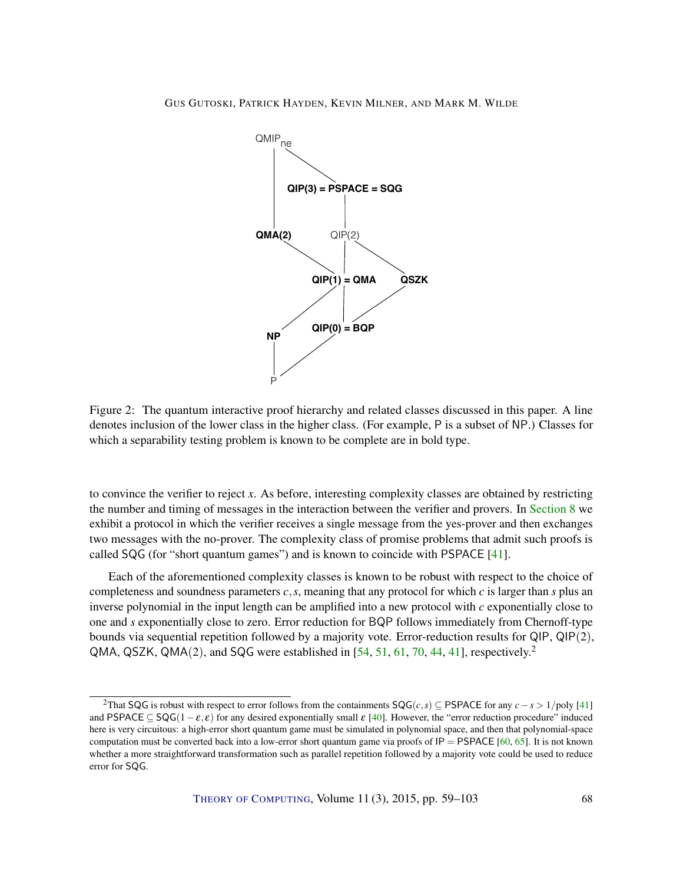<span id="page-10-1"></span><span id="page-10-0"></span>

Figure 2: The quantum interactive proof hierarchy and related classes discussed in this paper. A line denotes inclusion of the lower class in the higher class. (For example, P is a subset of NP.) Classes for which a separability testing problem is known to be complete are in bold type.

to convince the verifier to reject *x*. As before, interesting complexity classes are obtained by restricting the number and timing of messages in the interaction between the verifier and provers. In [Section](#page-32-0) [8](#page-32-0) we exhibit a protocol in which the verifier receives a single message from the yes-prover and then exchanges two messages with the no-prover. The complexity class of promise problems that admit such proofs is called SQG (for "short quantum games") and is known to coincide with PSPACE [\[41\]](#page-40-7).

Each of the aforementioned complexity classes is known to be robust with respect to the choice of completeness and soundness parameters *c*,*s*, meaning that any protocol for which *c* is larger than *s* plus an inverse polynomial in the input length can be amplified into a new protocol with *c* exponentially close to one and *s* exponentially close to zero. Error reduction for BQP follows immediately from Chernoff-type bounds via sequential repetition followed by a majority vote. Error-reduction results for QIP, QIP(2), QMA, QSZK, QMA $(2)$ , and SQG were established in [\[54,](#page-41-0) [51,](#page-41-2) [61,](#page-41-10) [70,](#page-42-8) [44,](#page-40-6) [41\]](#page-40-7), respectively.<sup>2</sup>

<sup>&</sup>lt;sup>2</sup>That SQG is robust with respect to error follows from the containments  $SQG(c, s) \subseteq PSPACE$  for any  $c - s > 1$ /poly [\[41\]](#page-40-7) and PSPACE  $\subseteq$  SQG(1 –  $\varepsilon, \varepsilon$ ) for any desired exponentially small  $\varepsilon$  [\[40\]](#page-40-9). However, the "error reduction procedure" induced here is very circuitous: a high-error short quantum game must be simulated in polynomial space, and then that polynomial-space computation must be converted back into a low-error short quantum game via proofs of  $IP = PSPACE$  [\[60,](#page-41-11) [65\]](#page-42-12). It is not known whether a more straightforward transformation such as parallel repetition followed by a majority vote could be used to reduce error for SQG.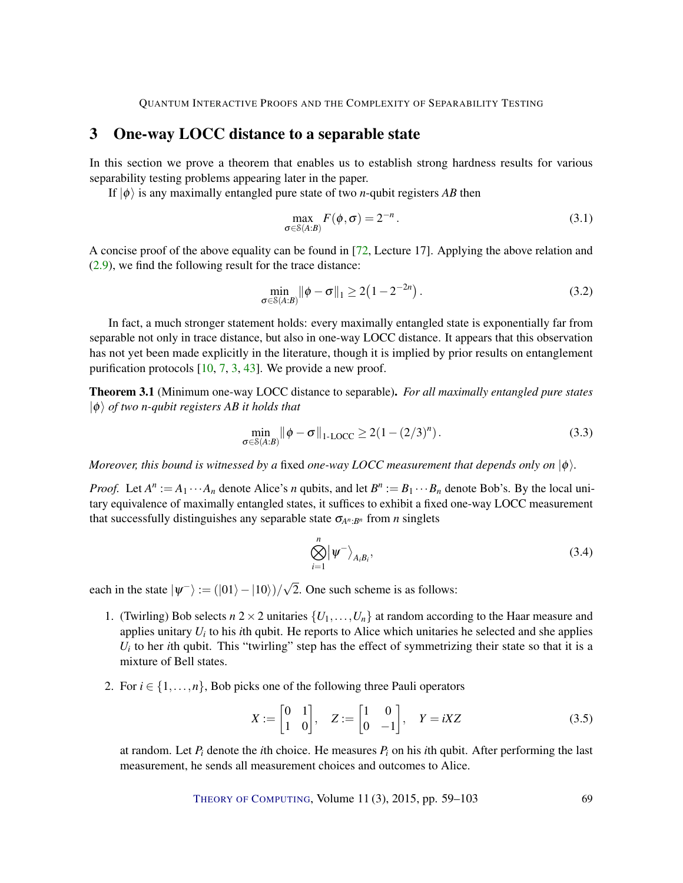### <span id="page-11-3"></span><span id="page-11-1"></span>3 One-way LOCC distance to a separable state

In this section we prove a theorem that enables us to establish strong hardness results for various separability testing problems appearing later in the paper.

If  $|\phi\rangle$  is any maximally entangled pure state of two *n*-qubit registers *AB* then

<span id="page-11-2"></span>
$$
\max_{\sigma \in \mathcal{S}(A:B)} F(\phi, \sigma) = 2^{-n}.
$$
\n(3.1)

A concise proof of the above equality can be found in [\[72,](#page-42-13) Lecture 17]. Applying the above relation and [\(2.9\)](#page-7-1), we find the following result for the trace distance:

$$
\min_{\sigma \in S(A:B)} \|\phi - \sigma\|_1 \ge 2(1 - 2^{-2n}).
$$
\n(3.2)

In fact, a much stronger statement holds: every maximally entangled state is exponentially far from separable not only in trace distance, but also in one-way LOCC distance. It appears that this observation has not yet been made explicitly in the literature, though it is implied by prior results on entanglement purification protocols [\[10,](#page-37-5) [7,](#page-37-6) [3,](#page-37-7) [43\]](#page-40-5). We provide a new proof.

<span id="page-11-0"></span>Theorem 3.1 (Minimum one-way LOCC distance to separable). *For all maximally entangled pure states*  $|\phi\rangle$  *of two n-qubit registers AB it holds that* 

$$
\min_{\sigma \in \mathcal{S}(A:B)} \|\phi - \sigma\|_{1-\text{LOCC}} \ge 2(1 - (2/3)^n). \tag{3.3}
$$

*Moreover, this bound is witnessed by a fixed one-way LOCC measurement that depends only on*  $|\phi\rangle$ *.* 

*Proof.* Let  $A^n := A_1 \cdots A_n$  denote Alice's *n* qubits, and let  $B^n := B_1 \cdots B_n$  denote Bob's. By the local unitary equivalence of maximally entangled states, it suffices to exhibit a fixed one-way LOCC measurement that successfully distinguishes any separable state σ*A<sup>n</sup>* :*B<sup>n</sup>* from *n* singlets

$$
\bigotimes_{i=1}^{n} \left| \psi^{-} \right\rangle_{A_{i}B_{i}},\tag{3.4}
$$

each in the state  $|\psi^{-}\rangle := (|01\rangle - |10\rangle)/\sqrt{2}$ 2. One such scheme is as follows:

- 1. (Twirling) Bob selects  $n \geq 2$  unitaries  $\{U_1, \ldots, U_n\}$  at random according to the Haar measure and applies unitary *U<sup>i</sup>* to his *i*th qubit. He reports to Alice which unitaries he selected and she applies  $U_i$  to her *i*th qubit. This "twirling" step has the effect of symmetrizing their state so that it is a mixture of Bell states.
- 2. For  $i \in \{1, \ldots, n\}$ , Bob picks one of the following three Pauli operators

$$
X := \begin{bmatrix} 0 & 1 \\ 1 & 0 \end{bmatrix}, \quad Z := \begin{bmatrix} 1 & 0 \\ 0 & -1 \end{bmatrix}, \quad Y = iXZ \tag{3.5}
$$

at random. Let  $P_i$  denote the *i*th choice. He measures  $P_i$  on his *i*th qubit. After performing the last measurement, he sends all measurement choices and outcomes to Alice.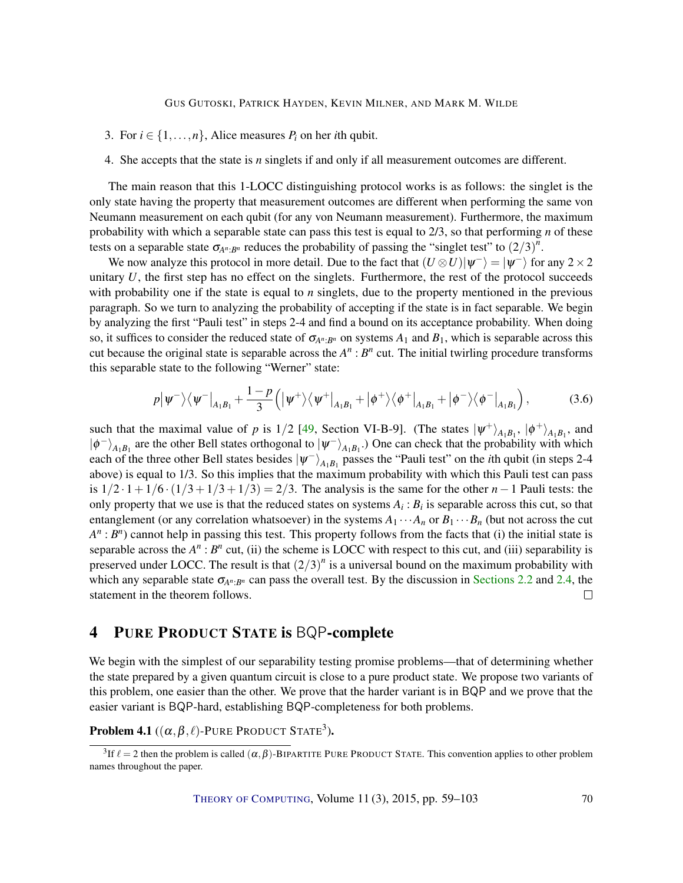- <span id="page-12-2"></span>3. For  $i \in \{1, \ldots, n\}$ , Alice measures  $P_i$  on her *i*th qubit.
- 4. She accepts that the state is *n* singlets if and only if all measurement outcomes are different.

The main reason that this 1-LOCC distinguishing protocol works is as follows: the singlet is the only state having the property that measurement outcomes are different when performing the same von Neumann measurement on each qubit (for any von Neumann measurement). Furthermore, the maximum probability with which a separable state can pass this test is equal to 2/3, so that performing *n* of these tests on a separable state  $\sigma_{A^n:B^n}$  reduces the probability of passing the "singlet test" to  $(2/3)^n$ .

We now analyze this protocol in more detail. Due to the fact that  $(U \otimes U)|\psi^{-}\rangle = |\psi^{-}\rangle$  for any  $2 \times 2$ unitary *U*, the first step has no effect on the singlets. Furthermore, the rest of the protocol succeeds with probability one if the state is equal to *n* singlets, due to the property mentioned in the previous paragraph. So we turn to analyzing the probability of accepting if the state is in fact separable. We begin by analyzing the first "Pauli test" in steps 2-4 and find a bound on its acceptance probability. When doing so, it suffices to consider the reduced state of  $\sigma_{A^n:B^n}$  on systems  $A_1$  and  $B_1$ , which is separable across this cut because the original state is separable across the  $A^n : B^n$  cut. The initial twirling procedure transforms this separable state to the following "Werner" state:

$$
p|\psi^{-}\rangle\langle\psi^{-}|_{A_{1}B_{1}}+\frac{1-p}{3}\Big(|\psi^{+}\rangle\langle\psi^{+}|_{A_{1}B_{1}}+|\phi^{+}\rangle\langle\phi^{+}|_{A_{1}B_{1}}+|\phi^{-}\rangle\langle\phi^{-}|_{A_{1}B_{1}}\Big), \qquad (3.6)
$$

such that the maximal value of *p* is  $1/2$  [\[49,](#page-40-1) Section VI-B-9]. (The states  $|\psi^{+}\rangle_{A_1B_1}$ ,  $|\phi^{+}\rangle_{A_1B_1}$ , and  $|\phi^{-}\rangle_{A_1B_1}$  are the other Bell states orthogonal to  $|\psi^{-}\rangle_{A_1B_1}$ .) One can check that the probability with which each of the three other Bell states besides  $|\psi^{-}\rangle_{A_{1}B_{1}}$  passes the "Pauli test" on the *i*th qubit (in steps 2-4 above) is equal to 1/3. So this implies that the maximum probability with which this Pauli test can pass is 1/2 · 1+1/6 ·(1/3+1/3+1/3) = 2/3. The analysis is the same for the other *n*−1 Pauli tests: the only property that we use is that the reduced states on systems  $A_i : B_i$  is separable across this cut, so that entanglement (or any correlation whatsoever) in the systems  $A_1 \cdots A_n$  or  $B_1 \cdots B_n$  (but not across the cut  $A^n : B^n$ ) cannot help in passing this test. This property follows from the facts that (i) the initial state is separable across the  $A^n$ :  $B^n$  cut, (ii) the scheme is LOCC with respect to this cut, and (iii) separability is preserved under LOCC. The result is that  $(2/3)^n$  is a universal bound on the maximum probability with which any separable state  $\sigma_{A^n:B^n}$  can pass the overall test. By the discussion in [Sections](#page-6-1) [2.2](#page-6-1) and [2.4,](#page-7-0) the statement in the theorem follows.  $\Box$ 

### <span id="page-12-0"></span>4 PURE PRODUCT STATE is BQP-complete

We begin with the simplest of our separability testing promise problems—that of determining whether the state prepared by a given quantum circuit is close to a pure product state. We propose two variants of this problem, one easier than the other. We prove that the harder variant is in BQP and we prove that the easier variant is BQP-hard, establishing BQP-completeness for both problems.

<span id="page-12-1"></span>**Problem 4.1**  $((\alpha, \beta, \ell)$ -Pure Product State<sup>3</sup>).

<sup>&</sup>lt;sup>3</sup>If  $\ell = 2$  then the problem is called  $(\alpha, \beta)$ -BIPARTITE PURE PRODUCT STATE. This convention applies to other problem names throughout the paper.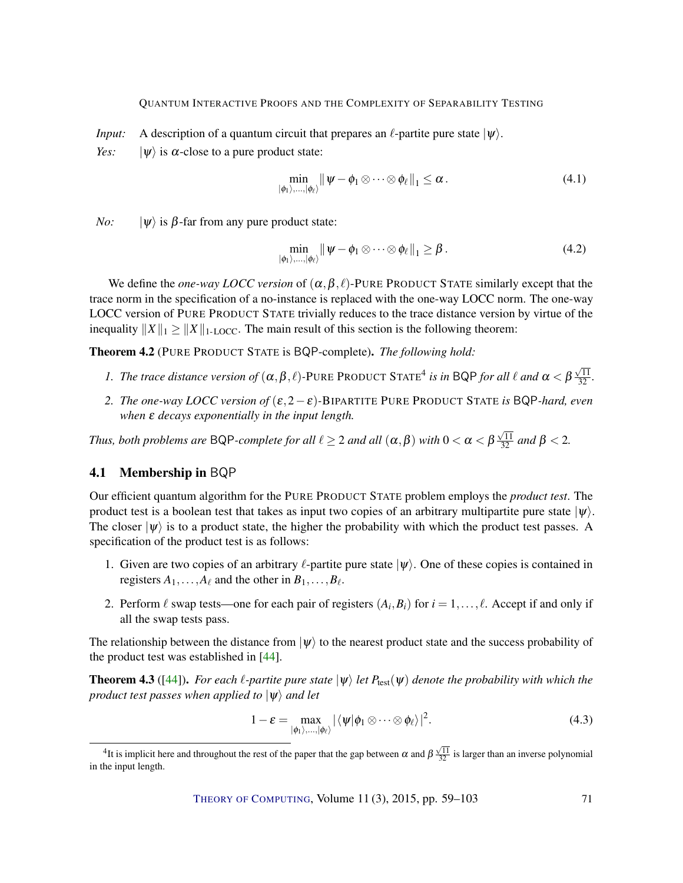<span id="page-13-2"></span>*Input:* A description of a quantum circuit that prepares an  $\ell$ -partite pure state  $|\psi\rangle$ .

*Yes:*  $|\psi\rangle$  is  $\alpha$ -close to a pure product state:

$$
\min_{\ket{\phi_1},\ldots,\ket{\phi_\ell}} \|\psi-\phi_1\otimes\cdots\otimes\phi_\ell\|_1 \leq \alpha.
$$
\n(4.1)

*No:*  $|\psi\rangle$  is  $\beta$ -far from any pure product state:

$$
\min_{\ket{\phi_1},\ldots,\ket{\phi_\ell}} \|\psi-\phi_1\otimes\cdots\otimes\phi_\ell\|_1 \geq \beta.
$$
\n(4.2)

We define the *one-way LOCC version* of  $(\alpha, \beta, \ell)$ -PURE PRODUCT STATE similarly except that the trace norm in the specification of a no-instance is replaced with the one-way LOCC norm. The one-way LOCC version of PURE PRODUCT STATE trivially reduces to the trace distance version by virtue of the inequality  $||X||_1 \ge ||X||_{1-\text{LOCC}}$ . The main result of this section is the following theorem:

<span id="page-13-0"></span>Theorem 4.2 (PURE PRODUCT STATE is BQP-complete). *The following hold:*

- *1. The trace distance version of*  $(\alpha, \beta, \ell)$ -PURE PRODUCT STATE<sup>4</sup> is in BQP *for all*  $\ell$  *and*  $\alpha < \beta$  $\frac{\sqrt{11}}{32}$ .
- *2. The one-way LOCC version of*  $(\epsilon, 2 \epsilon)$ -BIPARTITE PURE PRODUCT STATE *is* BQP-hard, even *when ε decays exponentially in the input length.*

*Thus, both problems are* <code>BQP-complete</code> for all  $\ell \geq 2$  and all  $(\alpha,\beta)$  with  $0 < \alpha < \beta$  $\frac{\sqrt{11}}{32}$  *and*  $\beta < 2$ *.* 

### 4.1 Membership in BQP

Our efficient quantum algorithm for the PURE PRODUCT STATE problem employs the *product test*. The product test is a boolean test that takes as input two copies of an arbitrary multipartite pure state  $|\psi\rangle$ . The closer  $|\psi\rangle$  is to a product state, the higher the probability with which the product test passes. A specification of the product test is as follows:

- 1. Given are two copies of an arbitrary  $\ell$ -partite pure state  $|\psi\rangle$ . One of these copies is contained in registers  $A_1, \ldots, A_\ell$  and the other in  $B_1, \ldots, B_\ell$ .
- 2. Perform  $\ell$  swap tests—one for each pair of registers  $(A_i, B_i)$  for  $i = 1, \ldots, \ell$ . Accept if and only if all the swap tests pass.

The relationship between the distance from  $|\psi\rangle$  to the nearest product state and the success probability of the product test was established in [\[44\]](#page-40-6).

<span id="page-13-1"></span>**Theorem 4.3** ([\[44\]](#page-40-6)). *For each*  $\ell$ *-partite pure state*  $|\psi\rangle$  *let P*<sub>test</sub>( $\psi$ ) *denote the probability with which the product test passes when applied to*  $|\psi\rangle$  *and let* 

$$
1 - \varepsilon = \max_{|\phi_1\rangle,\dots,|\phi_\ell\rangle} |\langle \psi | \phi_1 \otimes \dots \otimes \phi_\ell\rangle|^2.
$$
 (4.3)

<sup>&</sup>lt;sup>4</sup>It is implicit here and throughout the rest of the paper that the gap between  $\alpha$  and  $\beta$  $\frac{\sqrt{11}}{32}$  is larger than an inverse polynomial in the input length.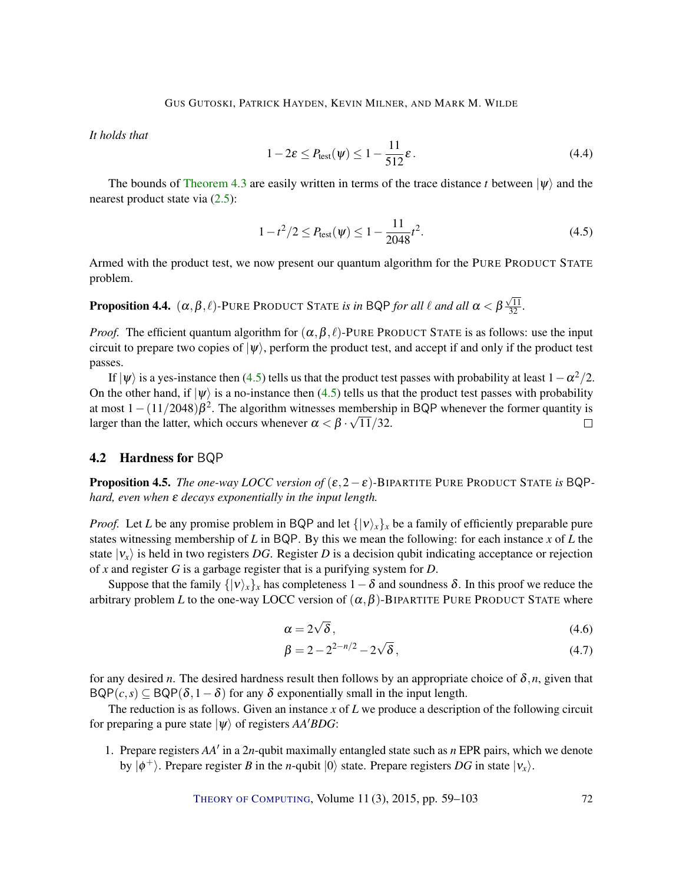*It holds that*

$$
1 - 2\varepsilon \le P_{\text{test}}(\psi) \le 1 - \frac{11}{512}\varepsilon. \tag{4.4}
$$

The bounds of [Theorem](#page-13-1) [4.3](#page-13-1) are easily written in terms of the trace distance *t* between  $|\psi\rangle$  and the nearest product state via [\(2.5\)](#page-6-2):

<span id="page-14-0"></span>
$$
1 - t^2/2 \le P_{\text{test}}(\psi) \le 1 - \frac{11}{2048}t^2. \tag{4.5}
$$

Armed with the product test, we now present our quantum algorithm for the PURE PRODUCT STATE problem.

**Proposition 4.4.**  $(\alpha, \beta, \ell)$ -PURE PRODUCT STATE *is in* BQP *for all*  $\ell$  *and all*  $\alpha < \beta$  $\frac{\sqrt{11}}{32}$ .

*Proof.* The efficient quantum algorithm for  $(\alpha, \beta, \ell)$ -PURE PRODUCT STATE is as follows: use the input circuit to prepare two copies of  $|\psi\rangle$ , perform the product test, and accept if and only if the product test passes.

If  $|\psi\rangle$  is a yes-instance then [\(4.5\)](#page-14-0) tells us that the product test passes with probability at least  $1-\alpha^2/2$ . On the other hand, if  $|\psi\rangle$  is a no-instance then [\(4.5\)](#page-14-0) tells us that the product test passes with probability at most  $1 - (11/2048)\beta^2$ . The algorithm witnesses membership in BQP whenever the former quantity is larger than the latter, which occurs whenever  $\alpha < \beta \cdot \sqrt{11/32}$ .  $\Box$ 

#### 4.2 Hardness for BQP

<span id="page-14-1"></span>Proposition 4.5. *The one-way LOCC version of* (ε,2−ε)*-*BIPARTITE PURE PRODUCT STATE *is* BQP*hard, even when* ε *decays exponentially in the input length.*

*Proof.* Let *L* be any promise problem in BQP and let  $\{ |v\rangle_x \}_x$  be a family of efficiently preparable pure states witnessing membership of *L* in BQP. By this we mean the following: for each instance *x* of *L* the state  $|v_x\rangle$  is held in two registers *DG*. Register *D* is a decision qubit indicating acceptance or rejection of *x* and register *G* is a garbage register that is a purifying system for *D*.

Suppose that the family  $\{v_i\}_x$ <sup>*x*</sup> has completeness  $1-\delta$  and soundness  $\delta$ . In this proof we reduce the arbitrary problem *L* to the one-way LOCC version of  $(\alpha, \beta)$ -BIPARTITE PURE PRODUCT STATE where

$$
\alpha = 2\sqrt{\delta},\tag{4.6}
$$

$$
\beta = 2 - 2^{2-n/2} - 2\sqrt{\delta},\tag{4.7}
$$

for any desired *n*. The desired hardness result then follows by an appropriate choice of  $\delta$ ,*n*, given that  $BQP(c, s) \subseteq BQP(\delta, 1-\delta)$  for any  $\delta$  exponentially small in the input length.

The reduction is as follows. Given an instance *x* of *L* we produce a description of the following circuit for preparing a pure state  $|\psi\rangle$  of registers *AA<sup>'</sup>BDG*:

1. Prepare registers AA' in a 2n-qubit maximally entangled state such as *n* EPR pairs, which we denote by  $|\phi^+\rangle$ . Prepare register *B* in the *n*-qubit  $|0\rangle$  state. Prepare registers *DG* in state  $|v_x\rangle$ .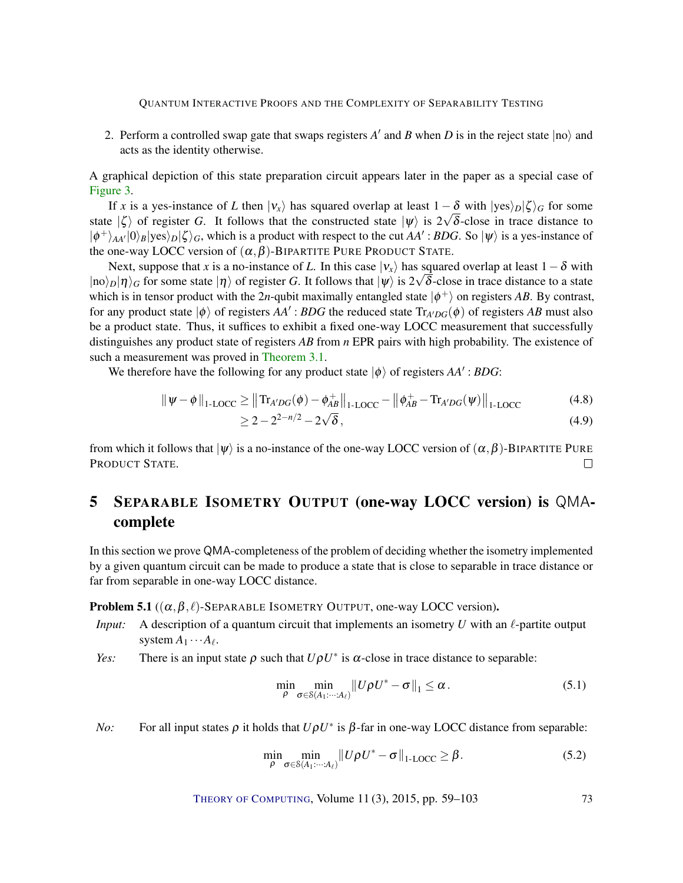2. Perform a controlled swap gate that swaps registers  $A'$  and  $B$  when  $D$  is in the reject state  $|no\rangle$  and acts as the identity otherwise.

A graphical depiction of this state preparation circuit appears later in the paper as a special case of [Figure](#page-21-0) [3.](#page-21-0)

If *x* is a yes-instance of *L* then  $|v_x\rangle$  has squared overlap at least  $1 - \delta$  with  $|yes\rangle_D|\zeta\rangle_G$  for some state  $|\zeta\rangle$  of register *G*. It follows that the constructed state  $|\psi\rangle$  is  $2\sqrt{\delta}$ -close in trace distance to  $|\phi^{+}\rangle_{AA'}|0\rangle_{B}|\text{yes}\rangle_{D}|\zeta\rangle_{G}$ , which is a product with respect to the cut *AA'*: *BDG*. So  $|\psi\rangle$  is a yes-instance of the one-way LOCC version of  $(\alpha, \beta)$ -BIPARTITE PURE PRODUCT STATE.

Next, suppose that *x* is a no-instance of *L*. In this case  $|v_x\rangle$  has squared overlap at least  $1-\delta$  with  $|no\rangle_D|\eta\rangle_G$  for some state  $|\eta\rangle$  of register *G*. It follows that  $|\psi\rangle$  is  $2\sqrt{\delta}$ -close in trace distance to a state which is in tensor product with the 2*n*-qubit maximally entangled state  $|\phi^+\rangle$  on registers *AB*. By contrast, for any product state  $|\phi\rangle$  of registers  $AA'$ : *BDG* the reduced state  $Tr_{A'DG}(\phi)$  of registers *AB* must also be a product state. Thus, it suffices to exhibit a fixed one-way LOCC measurement that successfully distinguishes any product state of registers *AB* from *n* EPR pairs with high probability. The existence of such a measurement was proved in [Theorem](#page-11-0) [3.1.](#page-11-0)

We therefore have the following for any product state  $|\phi\rangle$  of registers  $AA'$ : *BDG*:

$$
\|\psi - \phi\|_{1\text{-LOCC}} \ge \left\| \text{Tr}_{A'DG}(\phi) - \phi_{AB}^+ \right\|_{1\text{-LOCC}} - \left\| \phi_{AB}^+ - \text{Tr}_{A'DG}(\psi) \right\|_{1\text{-LOCC}}
$$
(4.8)

$$
\geq 2 - 2^{2 - n/2} - 2\sqrt{\delta},\tag{4.9}
$$

from which it follows that  $|\psi\rangle$  is a no-instance of the one-way LOCC version of  $(\alpha, \beta)$ -BIPARTITE PURE PRODUCT STATE.  $\Box$ 

### <span id="page-15-0"></span>5 SEPARABLE ISOMETRY OUTPUT (one-way LOCC version) is QMAcomplete

In this section we prove QMA-completeness of the problem of deciding whether the isometry implemented by a given quantum circuit can be made to produce a state that is close to separable in trace distance or far from separable in one-way LOCC distance.

**Problem 5.1** ( $(\alpha, \beta, \ell)$ -SEPARABLE ISOMETRY OUTPUT, one-way LOCC version).

- *Input:* A description of a quantum circuit that implements an isometry  $U$  with an  $\ell$ -partite output system  $A_1 \cdots A_\ell$ .
- *Yes:* There is an input state  $\rho$  such that  $U\rho U^*$  is  $\alpha$ -close in trace distance to separable:

<span id="page-15-1"></span>
$$
\min_{\rho} \min_{\sigma \in \mathcal{S}(A_1:\cdots:A_\ell)} \left\|U\rho U^* - \sigma\right\|_1 \leq \alpha. \tag{5.1}
$$

*No*: For all input states  $\rho$  it holds that  $U\rho U^*$  is  $\beta$ -far in one-way LOCC distance from separable:

$$
\min_{\rho} \min_{\sigma \in \mathcal{S}(A_1:\cdots:A_\ell)} \|U\rho U^* - \sigma\|_{1\text{-LOCC}} \geq \beta. \tag{5.2}
$$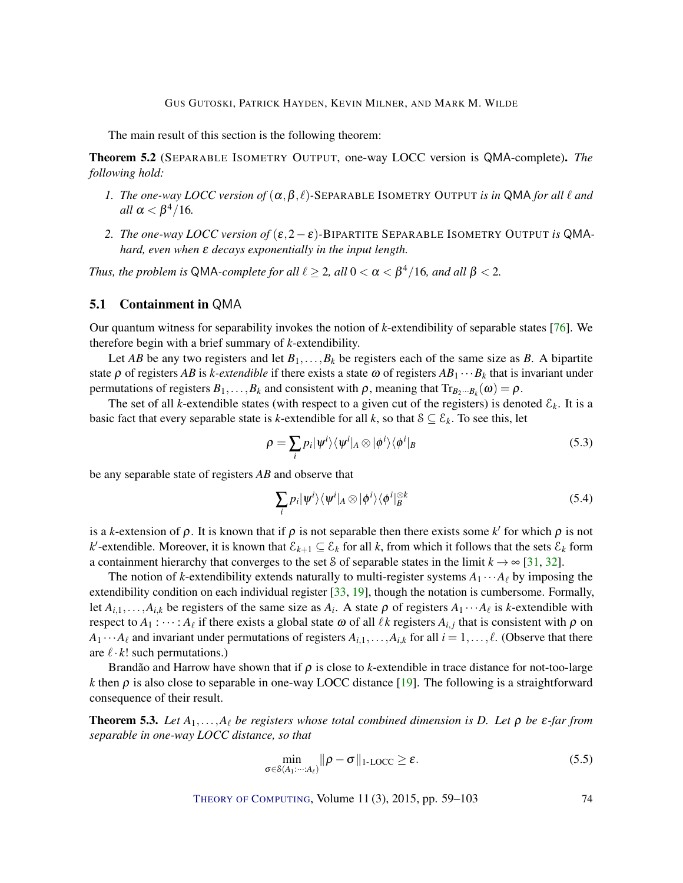<span id="page-16-3"></span>The main result of this section is the following theorem:

<span id="page-16-0"></span>Theorem 5.2 (SEPARABLE ISOMETRY OUTPUT, one-way LOCC version is QMA-complete). *The following hold:*

- *1. The one-way LOCC version of*  $(\alpha, \beta, \ell)$ -SEPARABLE ISOMETRY OUTPUT *is in* QMA *for all*  $\ell$  *and*  $all \ \alpha < \beta^4/16.$
- 2. *The one-way LOCC version of*  $(\varepsilon, 2 \varepsilon)$ -BIPARTITE SEPARABLE ISOMETRY OUTPUT *is* QMA*hard, even when* ε *decays exponentially in the input length.*

*Thus, the problem is* QMA-complete for all  $\ell \geq 2$ , all  $0 < \alpha < \beta^4/16$ , and all  $\beta < 2$ .

#### 5.1 Containment in QMA

Our quantum witness for separability invokes the notion of *k*-extendibility of separable states [\[76\]](#page-43-6). We therefore begin with a brief summary of *k*-extendibility.

Let *AB* be any two registers and let  $B_1, \ldots, B_k$  be registers each of the same size as *B*. A bipartite state  $\rho$  of registers *AB* is *k-extendible* if there exists a state  $\omega$  of registers  $AB_1 \cdots B_k$  that is invariant under permutations of registers  $B_1, \ldots, B_k$  and consistent with  $\rho$ , meaning that  $Tr_{B_2\cdots B_k}(\omega) = \rho$ .

The set of all *k*-extendible states (with respect to a given cut of the registers) is denoted  $\mathcal{E}_k$ . It is a basic fact that every separable state is *k*-extendible for all *k*, so that  $S \subseteq \mathcal{E}_k$ . To see this, let

$$
\rho = \sum_{i} p_i |\psi^i\rangle\langle\psi^i|_A \otimes |\phi^i\rangle\langle\phi^i|_B \tag{5.3}
$$

be any separable state of registers *AB* and observe that

<span id="page-16-1"></span>
$$
\sum_{i} p_i |\psi^i\rangle\langle\psi^i|_A \otimes |\phi^i\rangle\langle\phi^i|_B^{\otimes k}
$$
 (5.4)

is a *k*-extension of  $\rho$ . It is known that if  $\rho$  is not separable then there exists some *k'* for which  $\rho$  is not  $k'$ -extendible. Moreover, it is known that  $\mathcal{E}_{k+1} \subseteq \mathcal{E}_k$  for all  $k$ , from which it follows that the sets  $\mathcal{E}_k$  form a containment hierarchy that converges to the set S of separable states in the limit  $k \to \infty$  [\[31,](#page-39-10) [32\]](#page-39-11).

The notion of *k*-extendibility extends naturally to multi-register systems  $A_1 \cdots A_\ell$  by imposing the extendibility condition on each individual register [\[33,](#page-39-12) [19\]](#page-38-6), though the notation is cumbersome. Formally, let  $A_{i,1},...,A_{i,k}$  be registers of the same size as  $A_i$ . A state  $\rho$  of registers  $A_1 \cdots A_\ell$  is *k*-extendible with respect to  $A_1$ :  $\dots$ :  $A_\ell$  if there exists a global state  $\omega$  of all  $\ell k$  registers  $A_{i,j}$  that is consistent with  $\rho$  on  $A_1 \cdots A_\ell$  and invariant under permutations of registers  $A_{i,1}, \ldots, A_{i,k}$  for all  $i = 1, \ldots, \ell$ . (Observe that there are  $\ell \cdot k!$  such permutations.)

Brandão and Harrow have shown that if  $\rho$  is close to *k*-extendible in trace distance for not-too-large *k* then  $\rho$  is also close to separable in one-way LOCC distance [\[19\]](#page-38-6). The following is a straightforward consequence of their result.

<span id="page-16-2"></span>**Theorem 5.3.** Let  $A_1, \ldots, A_\ell$  be registers whose total combined dimension is D. Let  $\rho$  be  $\varepsilon$ -far from *separable in one-way LOCC distance, so that*

$$
\min_{\sigma \in \mathcal{S}(A_1:\dots: A_\ell)} \|\rho - \sigma\|_{1\text{-LOCC}} \ge \varepsilon. \tag{5.5}
$$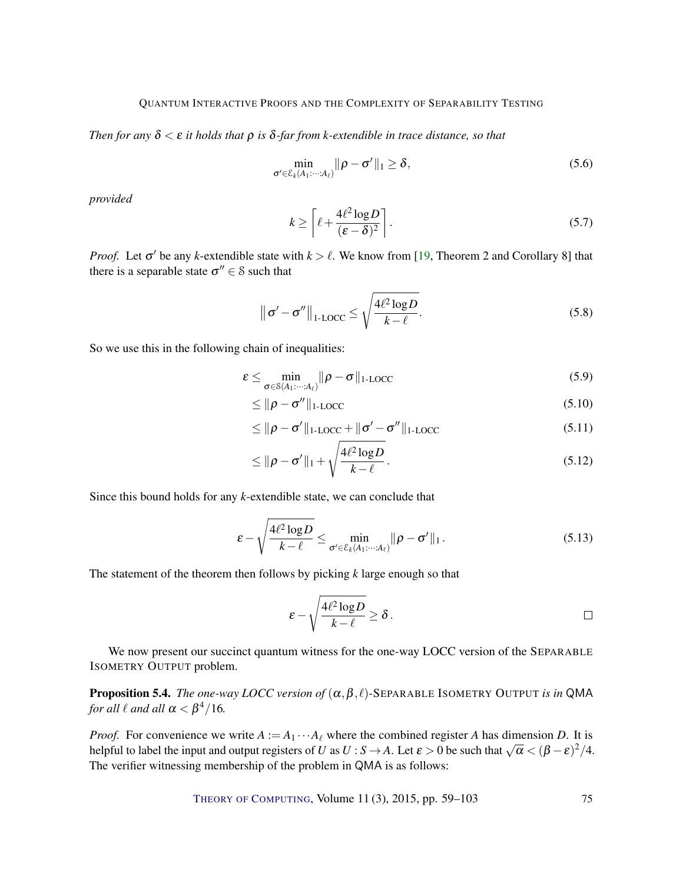<span id="page-17-0"></span>*Then for any*  $\delta < \varepsilon$  *it holds that*  $\rho$  *is*  $\delta$ -far from *k*-extendible in trace distance, so that

$$
\min_{\sigma' \in \mathcal{E}_k(A_1:\cdots:A_\ell)} \|\rho - \sigma'\|_1 \ge \delta,\tag{5.6}
$$

*provided*

$$
k \ge \left\lceil \ell + \frac{4\ell^2 \log D}{(\varepsilon - \delta)^2} \right\rceil. \tag{5.7}
$$

*Proof.* Let  $\sigma'$  be any *k*-extendible state with  $k > \ell$ . We know from [\[19,](#page-38-6) Theorem 2 and Corollary 8] that there is a separable state  $\sigma'' \in \mathcal{S}$  such that

$$
\|\sigma' - \sigma''\|_{1-\text{LOCC}} \le \sqrt{\frac{4\ell^2 \log D}{k-\ell}}.
$$
\n(5.8)

So we use this in the following chain of inequalities:

$$
\varepsilon \leq \min_{\sigma \in \mathcal{S}(A_1: \dots: A_\ell)} \|\rho - \sigma\|_{1\text{-LOCC}}
$$
\n(5.9)

$$
\leq \|\rho - \sigma''\|_{1\text{-LOCC}} \tag{5.10}
$$

$$
\leq \|\rho - \sigma'\|_{\text{1-LOCC}} + \|\sigma' - \sigma''\|_{\text{1-LOCC}} \tag{5.11}
$$

$$
\leq \|\rho - \sigma'\|_1 + \sqrt{\frac{4\ell^2 \log D}{k - \ell}}.
$$
\n(5.12)

Since this bound holds for any *k*-extendible state, we can conclude that

$$
\varepsilon - \sqrt{\frac{4\ell^2 \log D}{k - \ell}} \le \min_{\sigma' \in \mathcal{E}_k(A_1:\dots:A_\ell)} ||\rho - \sigma'||_1.
$$
\n(5.13)

The statement of the theorem then follows by picking *k* large enough so that

$$
\varepsilon - \sqrt{\frac{4\ell^2 \log D}{k-\ell}} \geq \delta.
$$

We now present our succinct quantum witness for the one-way LOCC version of the SEPARABLE ISOMETRY OUTPUT problem.

**Proposition 5.4.** *The one-way LOCC version of*  $(\alpha, \beta, \ell)$ -SEPARABLE ISOMETRY OUTPUT *is in* QMA *for all*  $\ell$  *and all*  $\alpha < \beta^4/16$ *.* 

*Proof.* For convenience we write  $A := A_1 \cdots A_\ell$  where the combined register *A* has dimension *D*. It is *helpful to label the input and output registers of <i>U* as  $U : S \to A$ . Let  $\varepsilon > 0$  be such that  $\sqrt{\alpha} < (\beta - \varepsilon)^2/4$ . The verifier witnessing membership of the problem in QMA is as follows: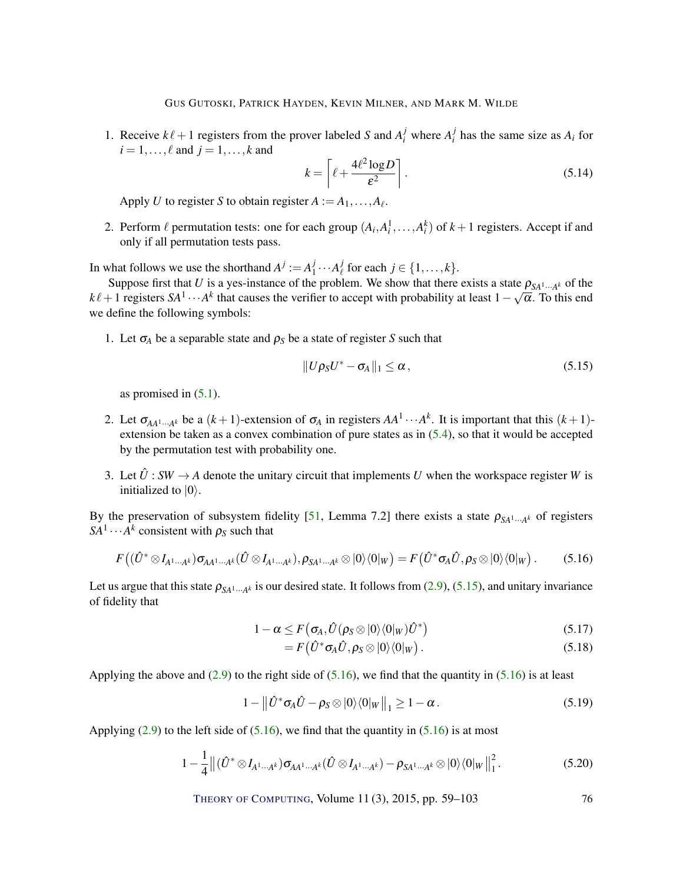GUS GUTOSKI, PATRICK HAYDEN, KEVIN MILNER, AND MARK M. WILDE

<span id="page-18-5"></span>1. Receive  $k\ell + 1$  registers from the prover labeled *S* and  $A_i^j$  where  $A_i^j$  $\int_{i}^{j}$  has the same size as  $A_i$  for  $i = 1, \ldots, \ell$  and  $j = 1, \ldots, k$  and

$$
k = \left[ \ell + \frac{4\ell^2 \log D}{\varepsilon^2} \right].
$$
 (5.14)

Apply *U* to register *S* to obtain register  $A := A_1, \ldots, A_\ell$ .

<span id="page-18-4"></span>2. Perform  $\ell$  permutation tests: one for each group  $(A_i, A_i^1, \ldots, A_i^k)$  of  $k+1$  registers. Accept if and only if all permutation tests pass.

In what follows we use the shorthand  $A^j := A_1^j$  $i_1^j \cdots A_\ell^j$  $\int_{\ell}^{J}$  for each  $j \in \{1, \ldots, k\}.$ 

Suppose first that *U* is a yes-instance of the problem. We show that there exists a state  $\rho_{SA^1...A^k}$  of the  $k\ell+1$  registers  $SA^1\cdots A^k$  that causes the verifier to accept with probability at least  $1-\sqrt{\alpha}$ . To this end we define the following symbols:

1. Let  $\sigma_A$  be a separable state and  $\rho_S$  be a state of register *S* such that

<span id="page-18-0"></span>
$$
||U\rho_S U^* - \sigma_A||_1 \le \alpha, \qquad (5.15)
$$

as promised in  $(5.1)$ .

- 2. Let  $\sigma_{AA^1\cdots A^k}$  be a  $(k+1)$ -extension of  $\sigma_A$  in registers  $AA^1\cdots A^k$ . It is important that this  $(k+1)$ extension be taken as a convex combination of pure states as in [\(5.4\)](#page-16-1), so that it would be accepted by the permutation test with probability one.
- 3. Let  $\hat{U}$  : *SW*  $\rightarrow$  *A* denote the unitary circuit that implements *U* when the workspace register *W* is initialized to  $|0\rangle$ .

By the preservation of subsystem fidelity [\[51,](#page-41-2) Lemma 7.2] there exists a state  $\rho_{SA^1\cdots A^k}$  of registers  $SA<sup>1</sup> \cdots A<sup>k</sup>$  consistent with  $\rho_S$  such that

<span id="page-18-1"></span>
$$
F((\hat{U}^*\otimes I_{A^1\cdots A^k})\sigma_{AA^1\cdots A^k}(\hat{U}\otimes I_{A^1\cdots A^k}),\rho_{SA^1\cdots A^k}\otimes |0\rangle\langle 0|_W)=F(\hat{U}^*\sigma_A\hat{U},\rho_S\otimes |0\rangle\langle 0|_W).
$$
 (5.16)

Let us argue that this state  $\rho_{SA^1\cdots A^k}$  is our desired state. It follows from [\(2.9\)](#page-7-1), [\(5.15\)](#page-18-0), and unitary invariance of fidelity that

$$
1 - \alpha \leq F(\sigma_A, \hat{U}(\rho_S \otimes |0\rangle\langle 0|_W)\hat{U}^*)
$$
\n(5.17)

$$
= F(\hat{U}^*\sigma_A \hat{U}, \rho_S \otimes |0\rangle\langle 0|_W). \tag{5.18}
$$

Applying the above and  $(2.9)$  to the right side of  $(5.16)$ , we find that the quantity in  $(5.16)$  is at least

<span id="page-18-2"></span>
$$
1 - ||\hat{U}^* \sigma_A \hat{U} - \rho_S \otimes |0\rangle\langle 0|_W||_1 \ge 1 - \alpha. \tag{5.19}
$$

Applying  $(2.9)$  to the left side of  $(5.16)$ , we find that the quantity in  $(5.16)$  is at most

<span id="page-18-3"></span>
$$
1 - \frac{1}{4} \left\| (\hat{U}^* \otimes I_{A^1\cdots A^k}) \sigma_{AA^1\cdots A^k} (\hat{U} \otimes I_{A^1\cdots A^k}) - \rho_{SA^1\cdots A^k} \otimes |0\rangle \langle 0|_W \right\|_1^2. \tag{5.20}
$$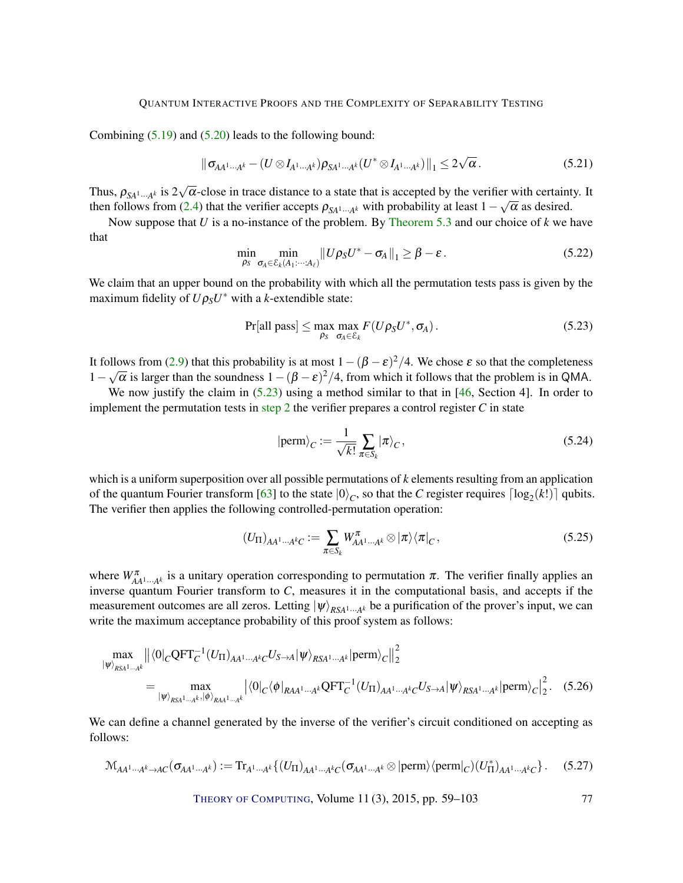<span id="page-19-2"></span>Combining  $(5.19)$  and  $(5.20)$  leads to the following bound:

$$
\|\sigma_{AA^1\cdots A^k} - (U \otimes I_{A^1\cdots A^k})\rho_{SA^1\cdots A^k}(U^* \otimes I_{A^1\cdots A^k})\|_1 \leq 2\sqrt{\alpha}.
$$
 (5.21)

Thus,  $\rho_{SA^1\cdots A^k}$  is 2 √  $\alpha$ -close in trace distance to a state that is accepted by the verifier with certainty. It then follows from [\(2.4\)](#page-6-3) that the verifier accepts  $\rho_{SA^1\cdots A^k}$  with probability at least  $1-\sqrt{\alpha}$  as desired.

Now suppose that *U* is a no-instance of the problem. By [Theorem](#page-16-2) [5.3](#page-16-2) and our choice of *k* we have that

$$
\min_{\rho_S} \min_{\sigma_A \in \mathcal{E}_k(A_1:\cdots:A_\ell)} \|U\rho_S U^* - \sigma_A\|_1 \geq \beta - \varepsilon. \tag{5.22}
$$

We claim that an upper bound on the probability with which all the permutation tests pass is given by the maximum fidelity of  $U \rho_S U^*$  with a *k*-extendible state:

<span id="page-19-0"></span>
$$
Pr[all pass] \le \max_{\rho_S} \max_{\sigma_A \in \mathcal{E}_k} F(U\rho_S U^*, \sigma_A).
$$
\n(5.23)

It follows from [\(2.9\)](#page-7-1) that this probability is at most  $1-(\beta-\epsilon)^2/4$ . We chose  $\epsilon$  so that the completeness  $1-\sqrt{\alpha}$  is larger than the soundness  $1-(\beta-\varepsilon)^2/4$ , from which it follows that the problem is in QMA.

We now justify the claim in  $(5.23)$  using a method similar to that in [\[46,](#page-40-4) Section 4]. In order to implement the permutation tests in [step](#page-18-4) [2](#page-18-4) the verifier prepares a control register  $C$  in state

$$
|\text{perm}\rangle_C := \frac{1}{\sqrt{k!}} \sum_{\pi \in S_k} |\pi\rangle_C,\tag{5.24}
$$

which is a uniform superposition over all possible permutations of *k* elements resulting from an application of the quantum Fourier transform [\[63\]](#page-42-10) to the state  $|0\rangle_C$ , so that the *C* register requires  $\lceil \log_2(k!) \rceil$  qubits. The verifier then applies the following controlled-permutation operation:

$$
(U_{\Pi})_{AA^1\cdots A^kC} := \sum_{\pi \in S_k} W_{AA^1\cdots A^k}^{\pi} \otimes |\pi\rangle\langle \pi|_C, \qquad (5.25)
$$

where  $W^{\pi}_{AA^1\cdots A^k}$  is a unitary operation corresponding to permutation  $\pi$ . The verifier finally applies an inverse quantum Fourier transform to *C*, measures it in the computational basis, and accepts if the measurement outcomes are all zeros. Letting  $|\psi\rangle_{RSA^{1}...A^{k}}$  be a purification of the prover's input, we can write the maximum acceptance probability of this proof system as follows:

$$
\max_{|\psi\rangle_{RSA^1\cdots A^k}} ||\langle 0|_C \text{QFT}_C^{-1} (U_{\Pi})_{AA^1\cdots A^k} C^{U_{S\rightarrow A}} |\psi\rangle_{RSA^1\cdots A^k} |\text{perm}\rangle_C||_2^2
$$
\n
$$
= \max_{|\psi\rangle_{RSA^1\cdots A^k}, |\phi\rangle_{RAA^1\cdots A^k}} |\langle 0|_C \langle \phi|_{RAA^1\cdots A^k} \text{QFT}_C^{-1} (U_{\Pi})_{AA^1\cdots A^k} C^{U_{S\rightarrow A}} |\psi\rangle_{RSA^1\cdots A^k} |\text{perm}\rangle_C|_2^2. \quad (5.26)
$$

We can define a channel generated by the inverse of the verifier's circuit conditioned on accepting as follows:

$$
\mathcal{M}_{AA^1\cdots A^k\to AC}(\sigma_{AA^1\cdots A^k}) := \mathrm{Tr}_{A^1\cdots A^k}\{(U_{\Pi})_{AA^1\cdots A^k}C(\sigma_{AA^1\cdots A^k}\otimes|\mathrm{perm}\rangle\langle\mathrm{perm}|_C)(U_{\Pi}^*)_{AA^1\cdots A^k}C\}.
$$
 (5.27)

<span id="page-19-1"></span>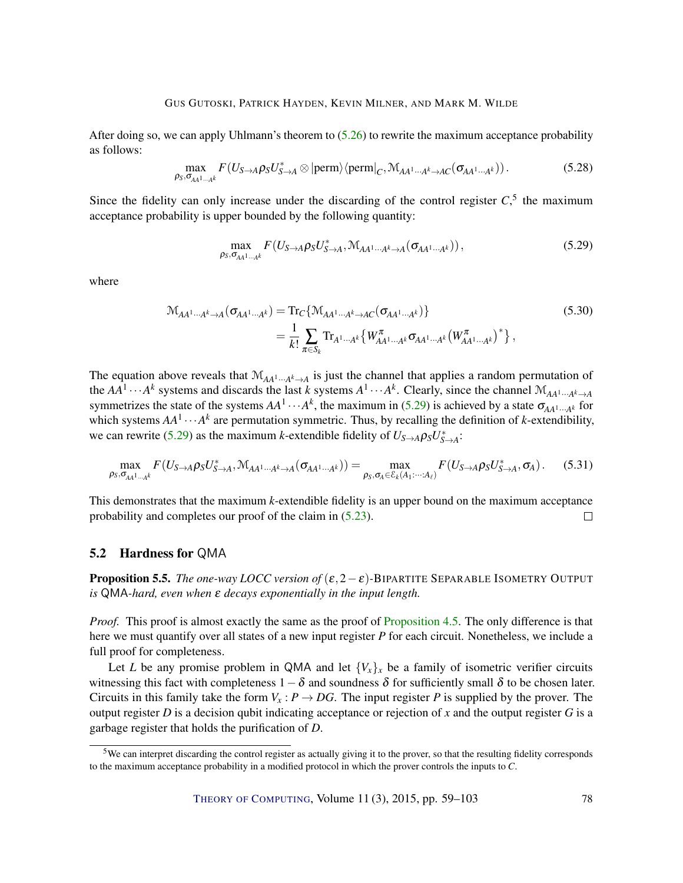After doing so, we can apply Uhlmann's theorem to [\(5.26\)](#page-19-1) to rewrite the maximum acceptance probability as follows:

$$
\max_{\rho_S, \sigma_{AA^1\cdots A^k}} F(U_{S\rightarrow A} \rho_S U_{S\rightarrow A}^* \otimes |\text{perm}\rangle \langle \text{perm}|_C, \mathcal{M}_{AA^1\cdots A^k \rightarrow AC}(\sigma_{AA^1\cdots A^k})) .
$$
 (5.28)

Since the fidelity can only increase under the discarding of the control register  $C<sub>2</sub>$ <sup>5</sup> the maximum acceptance probability is upper bounded by the following quantity:

<span id="page-20-0"></span>
$$
\max_{\rho_S, \sigma_{AA^1\cdots A^k}} F(U_{S\rightarrow A} \rho_S U_{S\rightarrow A}^*, \mathcal{M}_{AA^1\cdots A^k\rightarrow A}(\sigma_{AA^1\cdots A^k}))
$$
\n(5.29)

where

$$
\mathcal{M}_{AA^{1}...A^{k}\to A}(\sigma_{AA^{1}...A^{k}}) = \text{Tr}_{C}\{\mathcal{M}_{AA^{1}...A^{k}\to AC}(\sigma_{AA^{1}...A^{k}})\}\
$$
\n
$$
= \frac{1}{k!} \sum_{\pi \in S_{k}} \text{Tr}_{A^{1}...A^{k}}\{W_{AA^{1}...A^{k}}^{\pi} \sigma_{AA^{1}...A^{k}}(W_{AA^{1}...A^{k}}^{\pi})^{\ast}\},
$$
\n(5.30)

The equation above reveals that  $M_{AA^1\cdots A^k\to A}$  is just the channel that applies a random permutation of the  $AA^1 \cdots A^k$  systems and discards the last *k* systems  $A^1 \cdots A^k$ . Clearly, since the channel  $M_{AA^1 \cdots A^k \to A}$ symmetrizes the state of the systems  $AA^1 \cdots A^k$ , the maximum in [\(5.29\)](#page-20-0) is achieved by a state  $\sigma_{AA^1 \cdots A^k}$  for which systems  $AA^1 \cdots A^k$  are permutation symmetric. Thus, by recalling the definition of *k*-extendibility, we can rewrite [\(5.29\)](#page-20-0) as the maximum *k*-extendible fidelity of  $U_{S\rightarrow A}\rho_S U_{S\rightarrow A}^*$ :

$$
\max_{\rho_S, \sigma_{AA^1\cdots A^k}} F(U_{S\rightarrow A} \rho_S U_{S\rightarrow A}^*, \mathcal{M}_{AA^1\cdots A^k\rightarrow A}(\sigma_{AA^1\cdots A^k})) = \max_{\rho_S, \sigma_A \in \mathcal{E}_k(A_1\cdots A_\ell)} F(U_{S\rightarrow A} \rho_S U_{S\rightarrow A}^*, \sigma_A).
$$
(5.31)

This demonstrates that the maximum *k*-extendible fidelity is an upper bound on the maximum acceptance probability and completes our proof of the claim in [\(5.23\)](#page-19-0).  $\Box$ 

#### 5.2 Hardness for QMA

**Proposition 5.5.** *The one-way LOCC version of*  $(\epsilon, 2 - \epsilon)$ -BIPARTITE SEPARABLE ISOMETRY OUTPUT *is* QMA*-hard, even when* ε *decays exponentially in the input length.*

*Proof.* This proof is almost exactly the same as the proof of [Proposition](#page-14-1) [4.5.](#page-14-1) The only difference is that here we must quantify over all states of a new input register *P* for each circuit. Nonetheless, we include a full proof for completeness.

Let *L* be any promise problem in QMA and let  ${V_x}_x$  be a family of isometric verifier circuits witnessing this fact with completeness  $1-\delta$  and soundness  $\delta$  for sufficiently small  $\delta$  to be chosen later. Circuits in this family take the form  $V_x$ :  $P \rightarrow DG$ . The input register *P* is supplied by the prover. The output register  $D$  is a decision qubit indicating acceptance or rejection of  $x$  and the output register  $G$  is a garbage register that holds the purification of *D*.

 $5$ We can interpret discarding the control register as actually giving it to the prover, so that the resulting fidelity corresponds to the maximum acceptance probability in a modified protocol in which the prover controls the inputs to *C*.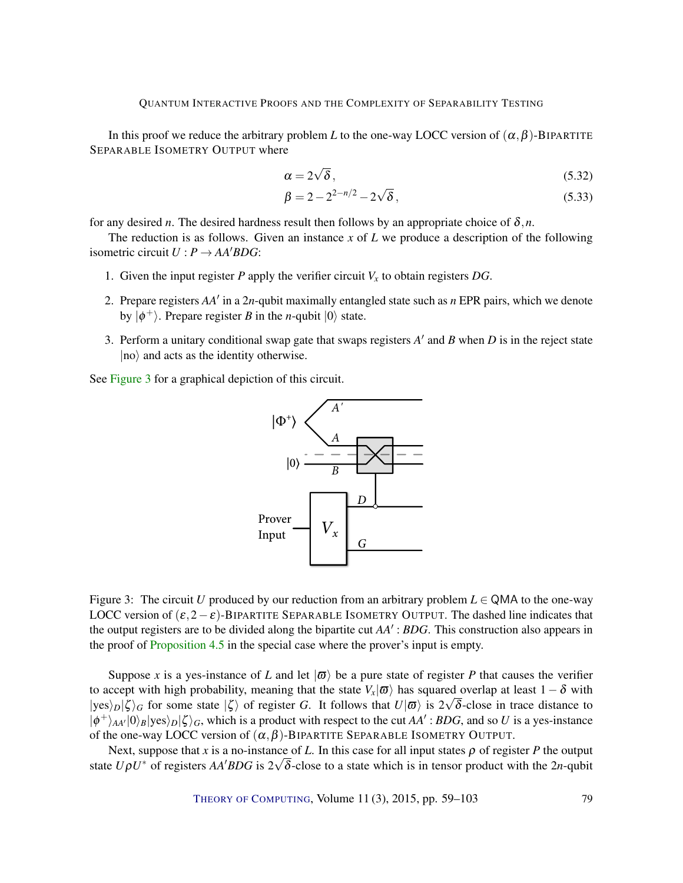In this proof we reduce the arbitrary problem *L* to the one-way LOCC version of  $(\alpha, \beta)$ -BIPARTITE SEPARABLE ISOMETRY OUTPUT where

$$
\alpha = 2\sqrt{\delta},\tag{5.32}
$$

$$
\beta = 2 - 2^{2-n/2} - 2\sqrt{\delta},
$$
\n(5.33)

for any desired *n*. The desired hardness result then follows by an appropriate choice of  $\delta$ ,*n*.

The reduction is as follows. Given an instance *x* of *L* we produce a description of the following isometric circuit  $U : P \rightarrow AA'BDG$ :

- 1. Given the input register *P* apply the verifier circuit  $V_x$  to obtain registers *DG*.
- 2. Prepare registers AA' in a 2n-qubit maximally entangled state such as *n* EPR pairs, which we denote by  $|\phi^+\rangle$ . Prepare register *B* in the *n*-qubit  $|0\rangle$  state.
- 3. Perform a unitary conditional swap gate that swaps registers  $A'$  and  $B$  when  $D$  is in the reject state  $|no\rangle$  and acts as the identity otherwise.

<span id="page-21-0"></span>See [Figure](#page-21-0) [3](#page-21-0) for a graphical depiction of this circuit.



Figure 3: The circuit *U* produced by our reduction from an arbitrary problem  $L \in QMA$  to the one-way LOCC version of  $(\epsilon, 2-\epsilon)$ -BIPARTITE SEPARABLE ISOMETRY OUTPUT. The dashed line indicates that the output registers are to be divided along the bipartite cut  $AA'$ : *BDG*. This construction also appears in the proof of [Proposition](#page-14-1) [4.5](#page-14-1) in the special case where the prover's input is empty.

Suppose *x* is a yes-instance of *L* and let  $|\varpi\rangle$  be a pure state of register *P* that causes the verifier to accept with high probability, meaning that the state  $V_x | \varpi \rangle$  has squared overlap at least  $1 - \delta$  with  $|yes\rangle_D|\zeta\rangle_G$  for some state  $|\zeta\rangle$  of register *G*. It follows that  $U|\overline{\omega}\rangle$  is  $2\sqrt{\delta}$ -close in trace distance to  $|\phi^{+}\rangle_{AA'}|0\rangle_{B}|\text{yes}\rangle_{D}|\zeta\rangle_{G}$ , which is a product with respect to the cut *AA'*: *BDG*, and so *U* is a yes-instance of the one-way LOCC version of  $(\alpha, \beta)$ -BIPARTITE SEPARABLE ISOMETRY OUTPUT.

Next, suppose that *x* is a no-instance of *L*. In this case for all input states  $\rho$  of register *P* the output state  $U\rho U^*$  of registers  $AA'BDG$  is  $2\sqrt{\delta}$ -close to a state which is in tensor product with the 2*n*-qubit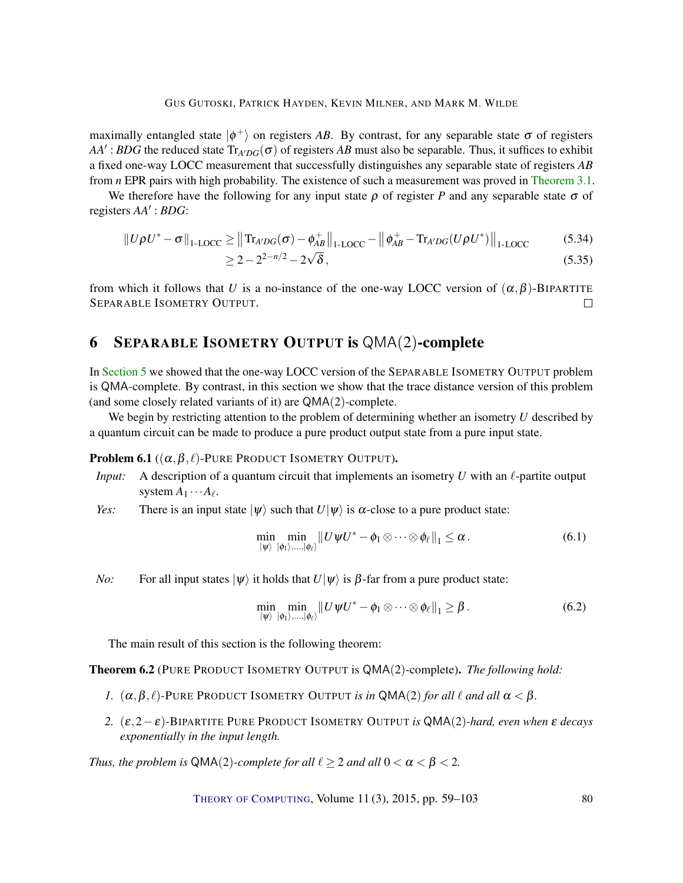maximally entangled state  $|\phi^+\rangle$  on registers AB. By contrast, for any separable state  $\sigma$  of registers  $AA'$ : *BDG* the reduced state  $Tr_{A'DG}(\sigma)$  of registers *AB* must also be separable. Thus, it suffices to exhibit a fixed one-way LOCC measurement that successfully distinguishes any separable state of registers *AB* from *n* EPR pairs with high probability. The existence of such a measurement was proved in [Theorem](#page-11-0) [3.1.](#page-11-0)

We therefore have the following for any input state  $\rho$  of register *P* and any separable state  $\sigma$  of registers  $AA'$ : *BDG*:

$$
||U\rho U^* - \sigma||_{1\text{-LOCC}} \ge ||{\rm Tr}_{A'DG}(\sigma) - \phi_{AB}^+||_{1\text{-LOCC}} - ||\phi_{AB}^+ - {\rm Tr}_{A'DG}(U\rho U^*)||_{1\text{-LOCC}}
$$
(5.34)

$$
\geq 2 - 2^{2 - n/2} - 2\sqrt{\delta},\tag{5.35}
$$

from which it follows that *U* is a no-instance of the one-way LOCC version of  $(\alpha, \beta)$ -BIPARTITE SEPARABLE ISOMETRY OUTPUT.  $\Box$ 

### <span id="page-22-1"></span>6 SEPARABLE ISOMETRY OUTPUT is QMA(2)-complete

In [Section](#page-15-0) [5](#page-15-0) we showed that the one-way LOCC version of the SEPARABLE ISOMETRY OUTPUT problem is QMA-complete. By contrast, in this section we show that the trace distance version of this problem (and some closely related variants of it) are QMA(2)-complete.

We begin by restricting attention to the problem of determining whether an isometry *U* described by a quantum circuit can be made to produce a pure product output state from a pure input state.

<span id="page-22-2"></span>**Problem 6.1** ( $(\alpha, \beta, \ell)$ -PURE PRODUCT ISOMETRY OUTPUT).

- *Input:* A description of a quantum circuit that implements an isometry  $U$  with an  $\ell$ -partite output system  $A_1 \cdots A_\ell$ .
- *Yes:* There is an input state  $|\psi\rangle$  such that  $U|\psi\rangle$  is  $\alpha$ -close to a pure product state:

$$
\min_{|\psi\rangle} \min_{|\phi_1\rangle,\dots,|\phi_\ell\rangle} \|U\psi U^* - \phi_1 \otimes \dots \otimes \phi_\ell\|_1 \leq \alpha. \tag{6.1}
$$

*No:* For all input states  $|\psi\rangle$  it holds that  $U|\psi\rangle$  is  $\beta$ -far from a pure product state:

$$
\min_{|\psi\rangle} \min_{|\phi_1\rangle,...,|\phi_\ell\rangle} \|U \psi U^* - \phi_1 \otimes \cdots \otimes \phi_\ell \|_1 \geq \beta. \tag{6.2}
$$

The main result of this section is the following theorem:

<span id="page-22-0"></span>Theorem 6.2 (PURE PRODUCT ISOMETRY OUTPUT is QMA(2)-complete). *The following hold:*

- *1.*  $(\alpha, \beta, \ell)$ -PURE PRODUCT ISOMETRY OUTPUT *is in* QMA(2) *for all*  $\ell$  *and all*  $\alpha < \beta$ *.*
- *2.* (ε,2−ε)*-*BIPARTITE PURE PRODUCT ISOMETRY OUTPUT *is* QMA(2)*-hard, even when* ε *decays exponentially in the input length.*

*Thus, the problem is*  $QMA(2)$ *-complete for all*  $\ell \geq 2$  *and all*  $0 < \alpha < \beta < 2$ *.* 

THEORY OF C[OMPUTING](http://dx.doi.org/10.4086/toc), Volume  $11(3)$ ,  $2015$ , pp.  $59-103$  80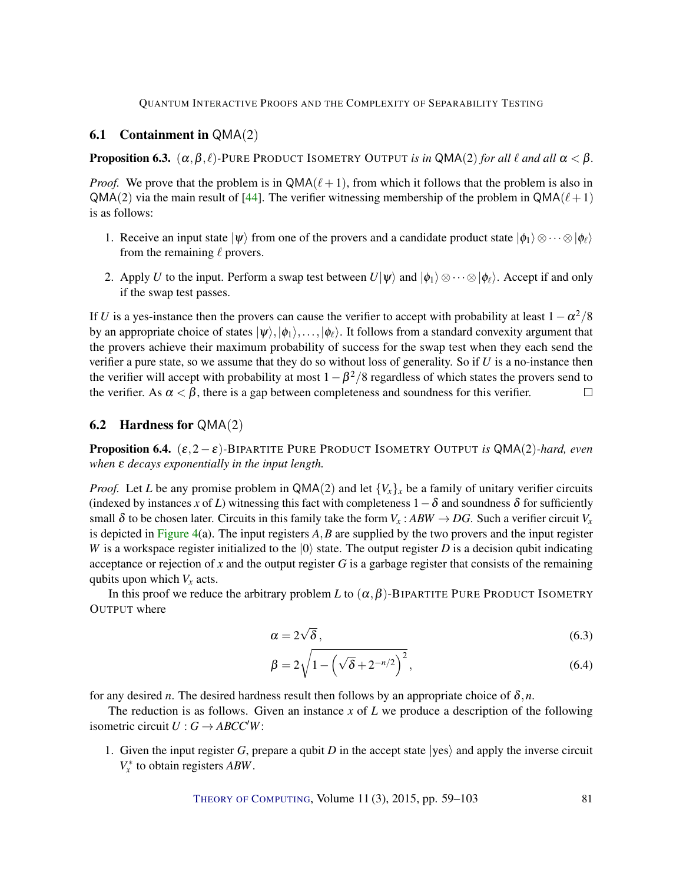### <span id="page-23-0"></span>6.1 Containment in QMA(2)

**Proposition 6.3.**  $(\alpha, \beta, \ell)$ -PURE PRODUCT ISOMETRY OUTPUT *is in* QMA(2) *for all*  $\ell$  *and all*  $\alpha < \beta$ *.* 

*Proof.* We prove that the problem is in  $QMA(\ell+1)$ , from which it follows that the problem is also in  $QMA(2)$  via the main result of [\[44\]](#page-40-6). The verifier witnessing membership of the problem in  $QMA(\ell+1)$ is as follows:

- 1. Receive an input state  $|\psi\rangle$  from one of the provers and a candidate product state  $|\phi_1\rangle \otimes \cdots \otimes |\phi_\ell\rangle$ from the remaining  $\ell$  provers.
- 2. Apply *U* to the input. Perform a swap test between  $U|\psi\rangle$  and  $|\phi_1\rangle \otimes \cdots \otimes |\phi_\ell\rangle$ . Accept if and only if the swap test passes.

If *U* is a yes-instance then the provers can cause the verifier to accept with probability at least  $1-\alpha^2/8$ by an appropriate choice of states  $|\psi\rangle,|\phi_1\rangle,\ldots,|\phi_\ell\rangle$ . It follows from a standard convexity argument that the provers achieve their maximum probability of success for the swap test when they each send the verifier a pure state, so we assume that they do so without loss of generality. So if *U* is a no-instance then the verifier will accept with probability at most  $1-\beta^2/8$  regardless of which states the provers send to the verifier. As  $\alpha < \beta$ , there is a gap between completeness and soundness for this verifier.  $\Box$ 

### **6.2** Hardness for  $QMA(2)$

Proposition 6.4. (ε,2−ε)*-*BIPARTITE PURE PRODUCT ISOMETRY OUTPUT *is* QMA(2)*-hard, even when* **ε** *decays exponentially in the input length.* 

*Proof.* Let *L* be any promise problem in QMA(2) and let  ${V_x}_x$  be a family of unitary verifier circuits (indexed by instances *x* of *L*) witnessing this fact with completeness  $1-\delta$  and soundness  $\delta$  for sufficiently small  $\delta$  to be chosen later. Circuits in this family take the form  $V_x$ :  $ABW \rightarrow DG$ . Such a verifier circuit  $V_x$ is depicted in [Figure](#page-24-0) [4\(](#page-24-0)a). The input registers *A*,*B* are supplied by the two provers and the input register *W* is a workspace register initialized to the  $|0\rangle$  state. The output register *D* is a decision qubit indicating acceptance or rejection of *x* and the output register *G* is a garbage register that consists of the remaining qubits upon which  $V<sub>x</sub>$  acts.

In this proof we reduce the arbitrary problem *L* to  $(\alpha, \beta)$ -BIPARTITE PURE PRODUCT ISOMETRY OUTPUT where

$$
\alpha = 2\sqrt{\delta},\tag{6.3}
$$

$$
\beta = 2\sqrt{1 - \left(\sqrt{\delta} + 2^{-n/2}\right)^2},\tag{6.4}
$$

for any desired *n*. The desired hardness result then follows by an appropriate choice of  $\delta$ ,*n*.

The reduction is as follows. Given an instance *x* of *L* we produce a description of the following isometric circuit  $U : G \rightarrow ABCC'W$ :

1. Given the input register *G*, prepare a qubit *D* in the accept state  $|yes\rangle$  and apply the inverse circuit *V* ∗ *x* to obtain registers *ABW*.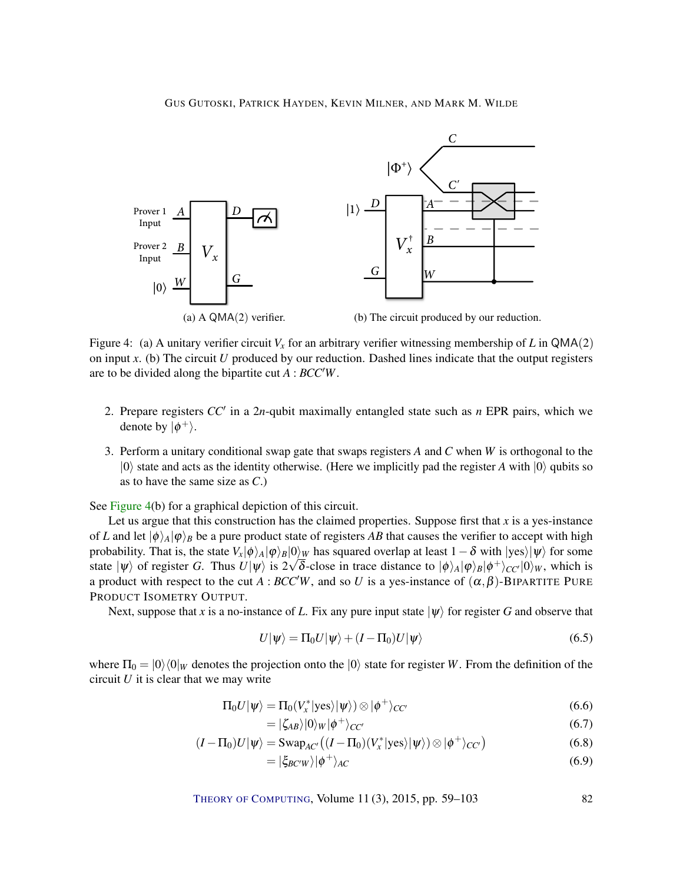<span id="page-24-0"></span>

Figure 4: (a) A unitary verifier circuit  $V<sub>x</sub>$  for an arbitrary verifier witnessing membership of L in QMA(2) on input *x*. (b) The circuit *U* produced by our reduction. Dashed lines indicate that the output registers are to be divided along the bipartite cut *A* : *BCC<sup>'</sup>W*.

- 2. Prepare registers  $CC'$  in a 2*n*-qubit maximally entangled state such as *n* EPR pairs, which we denote by  $|\phi^+\rangle$ .
- 3. Perform a unitary conditional swap gate that swaps registers *A* and *C* when *W* is orthogonal to the  $|0\rangle$  state and acts as the identity otherwise. (Here we implicitly pad the register *A* with  $|0\rangle$  qubits so as to have the same size as *C*.)

See [Figure](#page-24-0) [4\(](#page-24-0)b) for a graphical depiction of this circuit.

Let us argue that this construction has the claimed properties. Suppose first that *x* is a yes-instance of *L* and let  $|\phi\rangle_A|\phi\rangle_B$  be a pure product state of registers *AB* that causes the verifier to accept with high probability. That is, the state  $V_x|\phi\rangle_A|\phi\rangle_B|0\rangle_W$  has squared overlap at least  $1-\delta$  with  $|yes\rangle|\psi\rangle$  for some state  $|\psi\rangle$  of register *G*. Thus  $U|\psi\rangle$  is  $2\sqrt{\delta}$ -close in trace distance to  $|\phi\rangle_A|\phi\rangle_B|\phi^+\rangle_{CC'}|0\rangle_W$ , which is a product with respect to the cut *A* : *BCC<sup>'</sup>W*, and so *U* is a yes-instance of  $(\alpha, \beta)$ -BIPARTITE PURE PRODUCT ISOMETRY OUTPUT.

Next, suppose that *x* is a no-instance of *L*. Fix any pure input state  $|\psi\rangle$  for register *G* and observe that

$$
U|\psi\rangle = \Pi_0 U|\psi\rangle + (I - \Pi_0)U|\psi\rangle \tag{6.5}
$$

where  $\Pi_0 = |0\rangle\langle0|_W$  denotes the projection onto the  $|0\rangle$  state for register *W*. From the definition of the circuit *U* it is clear that we may write

$$
\Pi_0 U|\psi\rangle = \Pi_0(V_x^*|\text{yes}\rangle|\psi\rangle) \otimes |\phi^+\rangle_{CC'} \tag{6.6}
$$

<span id="page-24-1"></span>
$$
=|\zeta_{AB}\rangle|0\rangle_{W}|\phi^{+}\rangle_{CC'}\tag{6.7}
$$

$$
(I - \Pi_0)U|\psi\rangle = \text{Swap}_{AC'}((I - \Pi_0)(V_x^*|\text{yes}\rangle|\psi\rangle) \otimes |\phi^+\rangle_{CC'})
$$
(6.8)

$$
=|\xi_{BCW}\rangle|\phi^{+}\rangle_{AC}
$$
\n(6.9)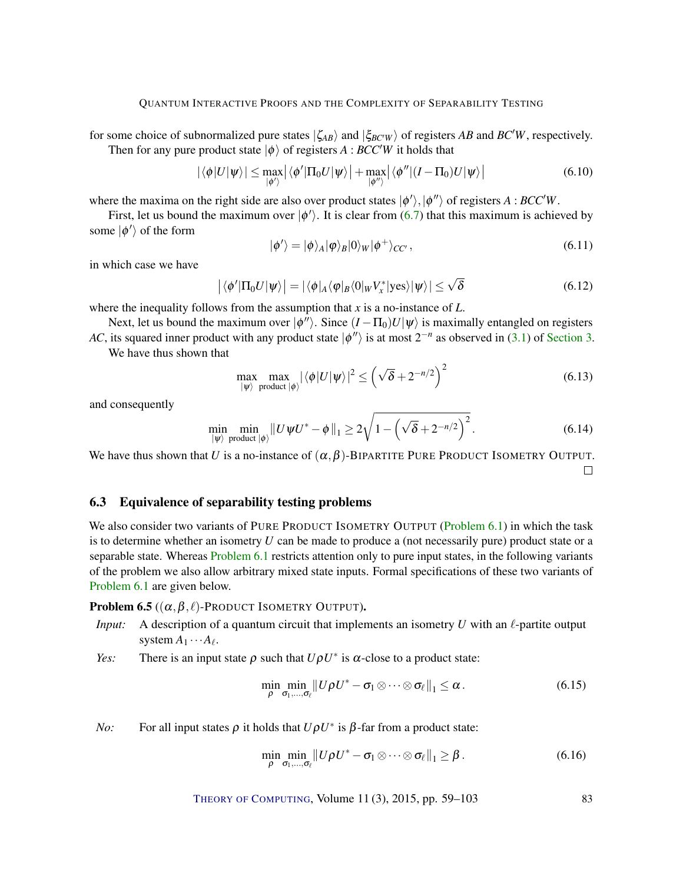for some choice of subnormalized pure states  $|\zeta_{AB}\rangle$  and  $|\zeta_{BCW}\rangle$  of registers *AB* and *BC'W*, respectively. Then for any pure product state  $|\phi\rangle$  of registers *A* : *BCC<sup>'</sup>W* it holds that

$$
|\langle \phi | U | \psi \rangle| \leq \max_{|\phi' \rangle} |\langle \phi' | \Pi_0 U | \psi \rangle| + \max_{|\phi'' \rangle} |\langle \phi'' | (I - \Pi_0) U | \psi \rangle|
$$
(6.10)

where the maxima on the right side are also over product states  $|\phi'\rangle$ ,  $|\phi''\rangle$  of registers *A* : *BCC<sup>'</sup>W*.

First, let us bound the maximum over  $|\phi'\rangle$ . It is clear from [\(6.7\)](#page-24-1) that this maximum is achieved by some  $|\phi'\rangle$  of the form

$$
|\phi'\rangle = |\phi\rangle_A |\phi\rangle_B |0\rangle_W |\phi^+\rangle_{CC'}, \qquad (6.11)
$$

in which case we have

$$
\left| \langle \phi' | \Pi_0 U | \psi \rangle \right| = \left| \langle \phi |_A \langle \phi |_B \langle 0 |_W V_x^* | \text{yes} \rangle | \psi \rangle \right| \leq \sqrt{\delta}
$$
 (6.12)

where the inequality follows from the assumption that *x* is a no-instance of *L*.

Next, let us bound the maximum over  $|\phi''\rangle$ . Since  $(I - \Pi_0)U|\psi\rangle$  is maximally entangled on registers *AC*, its squared inner product with any product state  $|\phi''\rangle$  is at most  $2^{-n}$  as observed in [\(3.1\)](#page-11-2) of [Section](#page-11-1) [3.](#page-11-1) We have thus shown that

$$
\max_{|\psi\rangle \text{ product } |\phi\rangle} |\langle \phi | U | \psi \rangle|^2 \le \left(\sqrt{\delta} + 2^{-n/2}\right)^2 \tag{6.13}
$$

and consequently

$$
\min_{\left|\psi\right\rangle} \min_{\text{product } \left|\phi\right\rangle} \left\| U \psi U^* - \phi \right\|_1 \ge 2 \sqrt{1 - \left(\sqrt{\delta} + 2^{-n/2}\right)^2}.
$$
\n(6.14)

We have thus shown that *U* is a no-instance of  $(\alpha, \beta)$ -BIPARTITE PURE PRODUCT ISOMETRY OUTPUT.  $\Box$ 

### <span id="page-25-0"></span>6.3 Equivalence of separability testing problems

We also consider two variants of PURE PRODUCT ISOMETRY OUTPUT [\(Problem](#page-22-2) [6.1\)](#page-22-2) in which the task is to determine whether an isometry *U* can be made to produce a (not necessarily pure) product state or a separable state. Whereas [Problem](#page-22-2) [6.1](#page-22-2) restricts attention only to pure input states, in the following variants of the problem we also allow arbitrary mixed state inputs. Formal specifications of these two variants of [Problem](#page-22-2) [6.1](#page-22-2) are given below.

<span id="page-25-1"></span>**Problem 6.5** ( $(\alpha, \beta, \ell)$ -Product Isometry Output).

*Input:* A description of a quantum circuit that implements an isometry  $U$  with an  $\ell$ -partite output system  $A_1 \cdots A_\ell$ .

*Yes:* There is an input state  $\rho$  such that  $U \rho U^*$  is  $\alpha$ -close to a product state:

$$
\min_{\rho} \min_{\sigma_1,\ldots,\sigma_\ell} \left\| U \rho U^* - \sigma_1 \otimes \cdots \otimes \sigma_\ell \right\|_1 \leq \alpha. \tag{6.15}
$$

*No*: For all input states  $\rho$  it holds that  $U\rho U^*$  is  $\beta$ -far from a product state:

$$
\min_{\rho} \min_{\sigma_1, ..., \sigma_\ell} \left\| U \rho U^* - \sigma_1 \otimes \cdots \otimes \sigma_\ell \right\|_1 \geq \beta. \tag{6.16}
$$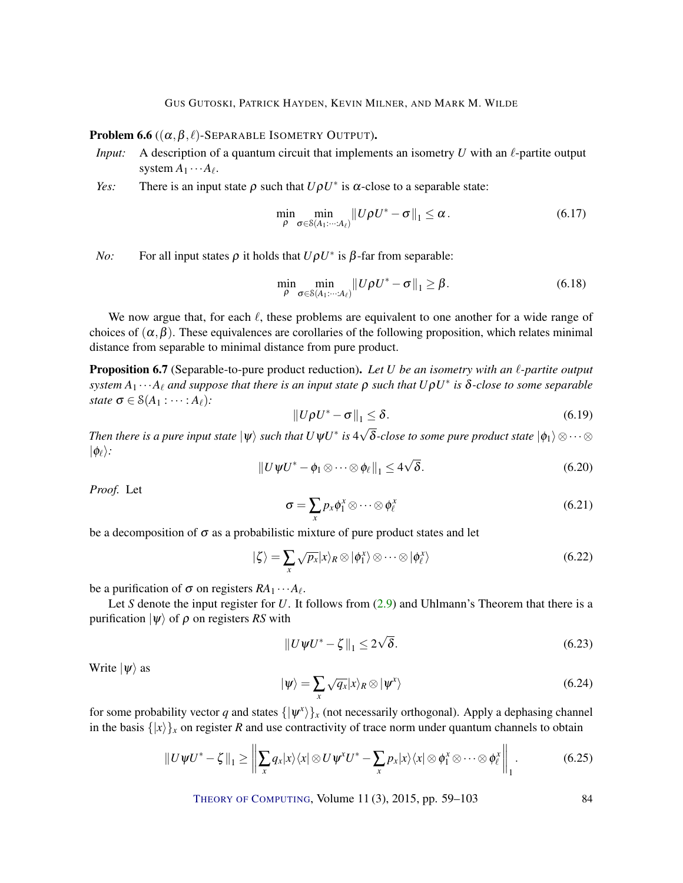<span id="page-26-1"></span>Problem 6.6 ( $(\alpha, \beta, \ell)$ -SEPARABLE ISOMETRY OUTPUT).

- *Input:* A description of a quantum circuit that implements an isometry  $U$  with an  $\ell$ -partite output system  $A_1 \cdots A_\ell$ .
- *Yes:* There is an input state  $\rho$  such that  $U\rho U^*$  is  $\alpha$ -close to a separable state:

$$
\min_{\rho} \min_{\sigma \in \mathcal{S}(A_1:\dots: A_\ell)} \left\| U\rho U^* - \sigma \right\|_1 \leq \alpha. \tag{6.17}
$$

*No*: For all input states  $\rho$  it holds that  $U\rho U^*$  is  $\beta$ -far from separable:

$$
\min_{\rho} \min_{\sigma \in \mathcal{S}(A_1:\dots: A_\ell)} \left\| U\rho U^* - \sigma \right\|_1 \geq \beta. \tag{6.18}
$$

We now argue that, for each  $\ell$ , these problems are equivalent to one another for a wide range of choices of  $(\alpha, \beta)$ . These equivalences are corollaries of the following proposition, which relates minimal distance from separable to minimal distance from pure product.

<span id="page-26-0"></span>**Proposition 6.7** (Separable-to-pure product reduction). Let U be an isometry with an  $\ell$ -partite output  $s$ *ystem*  $A_1 \cdots A_\ell$  and suppose that there is an input state  $\rho$  such that  $U \rho U^*$  is  $\delta$ -close to some separable *state*  $\sigma \in \mathcal{S}(A_1 : \cdots : A_\ell)$ *:* 

$$
||U\rho U^* - \sigma||_1 \le \delta. \tag{6.19}
$$

*Then there is a pure input state*  $|\psi\rangle$  *such that*  $U \psi U^*$  *is* 4  $\delta$ -close to some pure product state  $|\phi_1\rangle \otimes \cdots \otimes$  $|\phi_{\ell}\rangle$ : √

$$
||U\psi U^* - \phi_1 \otimes \cdots \otimes \phi_\ell||_1 \le 4\sqrt{\delta}.
$$
 (6.20)

*Proof.* Let

$$
\sigma = \sum_{x} p_{x} \phi_{1}^{x} \otimes \cdots \otimes \phi_{\ell}^{x}
$$
 (6.21)

be a decomposition of  $\sigma$  as a probabilistic mixture of pure product states and let

$$
|\zeta\rangle = \sum_{x} \sqrt{p_x} |x\rangle_R \otimes |\phi_1^x\rangle \otimes \cdots \otimes |\phi_\ell^x\rangle
$$
 (6.22)

be a purification of  $\sigma$  on registers  $RA_1 \cdots A_\ell$ .

Let *S* denote the input register for *U*. It follows from [\(2.9\)](#page-7-1) and Uhlmann's Theorem that there is a purification  $|\psi\rangle$  of  $\rho$  on registers *RS* with

$$
||U\psi U^* - \zeta||_1 \le 2\sqrt{\delta}.
$$
\n(6.23)

Write  $|\psi\rangle$  as

$$
|\psi\rangle = \sum_{x} \sqrt{q_x} |x\rangle_R \otimes |\psi^x\rangle \tag{6.24}
$$

for some probability vector *q* and states  $\{|\psi^x\rangle\}_x$  (not necessarily orthogonal). Apply a dephasing channel in the basis  $\{|x\rangle\}_x$  on register *R* and use contractivity of trace norm under quantum channels to obtain

$$
||U\psi U^* - \zeta||_1 \ge \left\| \sum_{x} q_x |x\rangle \langle x| \otimes U \psi^x U^* - \sum_{x} p_x |x\rangle \langle x| \otimes \phi_1^x \otimes \cdots \otimes \phi_\ell^x \right\|_1.
$$
 (6.25)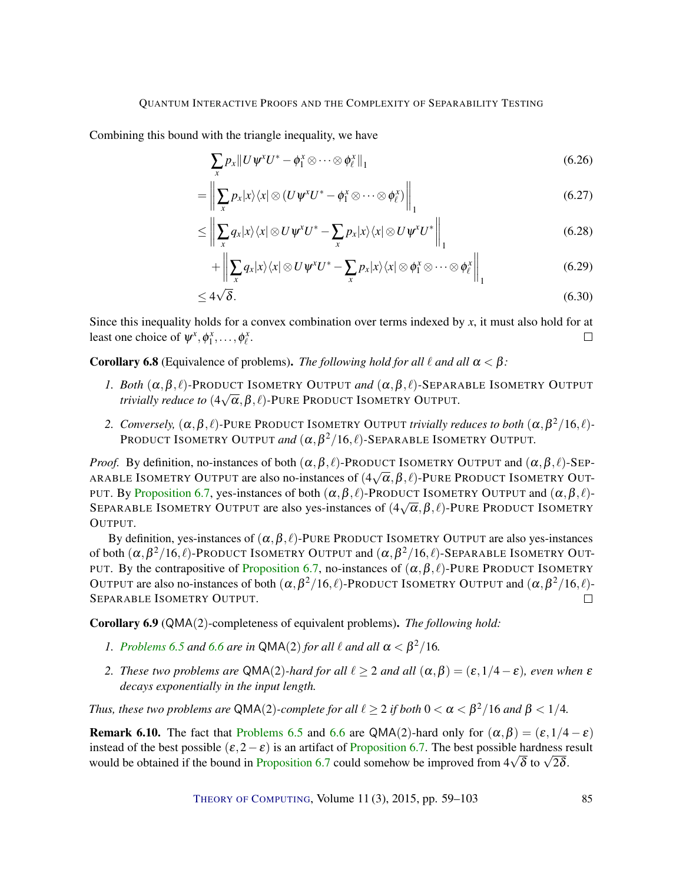Combining this bound with the triangle inequality, we have

$$
\sum_{x} p_x \| U \psi^x U^* - \phi_1^x \otimes \cdots \otimes \phi_\ell^x \|_1
$$
\n(6.26)

$$
= \left\| \sum_{x} p_{x} |x\rangle \langle x| \otimes (U \psi^{x} U^{*} - \phi_{1}^{x} \otimes \cdots \otimes \phi_{\ell}^{x}) \right\|_{1}
$$
 (6.27)

$$
\leq \left\| \sum_{x} q_{x} |x\rangle\langle x| \otimes U \psi^{x} U^{*} - \sum_{x} p_{x} |x\rangle\langle x| \otimes U \psi^{x} U^{*} \right\|_{1}
$$
(6.28)

$$
+\left\|\sum_{x}q_{x}|x\rangle\langle x|\otimes U\Psi^{x}U^{*}-\sum_{x}p_{x}|x\rangle\langle x|\otimes\phi_{1}^{x}\otimes\cdots\otimes\phi_{\ell}^{x}\right\|_{1}
$$
(6.29)

$$
\leq 4\sqrt{\delta}.\tag{6.30}
$$

Since this inequality holds for a convex combination over terms indexed by *x*, it must also hold for at least one choice of  $\psi^x, \phi^x_1, \dots, \phi^x_\ell$ .  $\Box$ 

**Corollary 6.8** (Equivalence of problems). *The following hold for all*  $\ell$  *and all*  $\alpha < \beta$ :

- *1. Both*  $(\alpha, \beta, \ell)$ -PRODUCT ISOMETRY OUTPUT *and*  $(\alpha, \beta, \ell)$ -SEPARABLE ISOMETRY OUTPUT *trivially reduce to*  $(4\sqrt{\alpha}, \beta, \ell)$ *-PURE PRODUCT ISOMETRY OUTPUT.*
- 2. *Conversely,*  $(\alpha, \beta, \ell)$ -PURE PRODUCT ISOMETRY OUTPUT *trivially reduces to both*  $(\alpha, \beta^2/16, \ell)$ -PRODUCT ISOMETRY OUTPUT and  $(\alpha, \beta^2/16, \ell)$ -SEPARABLE ISOMETRY OUTPUT.

*Proof.* By definition, no-instances of both  $(\alpha, \beta, \ell)$ -PRODUCT ISOMETRY OUTPUT and  $(\alpha, \beta, \ell)$ -SEP-ARABLE ISOMETRY OUTPUT are also no-instances of (4 √  $(\overline{\alpha},\beta,\ell)$ -Pure Product Isometry Out-PUT. By [Proposition](#page-26-0) [6.7,](#page-26-0) yes-instances of both  $(\alpha, \beta, \ell)$ -PRODUCT ISOMETRY OUTPUT and  $(\alpha, \beta, \ell)$ -SEPARABLE ISOMETRY OUTPUT are also yes-instances of  $(4\sqrt{\alpha}, \beta, \ell)$ -PURE PRODUCT ISOMETRY OUTPUT.

By definition, yes-instances of  $(\alpha, \beta, \ell)$ -PURE PRODUCT ISOMETRY OUTPUT are also yes-instances of both  $(\alpha, \beta^2/16, \ell)$ -Product Isometry Output and  $(\alpha, \beta^2/16, \ell)$ -Separable Isometry Out-PUT. By the contrapositive of [Proposition](#page-26-0) [6.7,](#page-26-0) no-instances of  $(\alpha, \beta, \ell)$ -PURE PRODUCT ISOMETRY OUTPUT are also no-instances of both  $(\alpha, \beta^2/16, \ell)$ -PRODUCT ISOMETRY OUTPUT and  $(\alpha, \beta^2/16, \ell)$ -SEPARABLE ISOMETRY OUTPUT.  $\Box$ 

<span id="page-27-0"></span>Corollary 6.9 (QMA(2)-completeness of equivalent problems). *The following hold:*

- *1. [Problems](#page-25-1)* [6.5](#page-25-1) *and* [6.6](#page-26-1) *are in*  $QMA(2)$  *for all*  $\ell$  *and all*  $\alpha < \beta^2/16$ *.*
- *2. These two problems are* QMA(2)-*hard for all*  $\ell \geq 2$  *and all*  $(\alpha, \beta) = (\epsilon, 1/4 \epsilon)$ *, even when*  $\epsilon$ *decays exponentially in the input length.*

*Thus, these two problems are* QMA(2)-complete for all  $\ell \geq 2$  if both  $0 < \alpha < \beta^2/16$  and  $\beta < 1/4$ .

**Remark 6.10.** The fact that [Problems](#page-25-1) [6.5](#page-25-1) and [6.6](#page-26-1) are QMA(2)-hard only for  $(\alpha, \beta) = (\varepsilon, 1/4 - \varepsilon)$ instead of the best possible  $(\varepsilon, 2-\varepsilon)$  is an artifact of [Proposition](#page-26-0) [6.7.](#page-26-0) The best possible hardness result instead of the best possible  $(\varepsilon, 2 - \varepsilon)$  is an artifact of [Proposition](#page-26-0) [6.7](#page-26-0). The best possible hardness r<br>would be obtained if the bound in Proposition 6.7 could somehow be improved from  $4\sqrt{\delta}$  to  $\sqrt{2\delta}$ .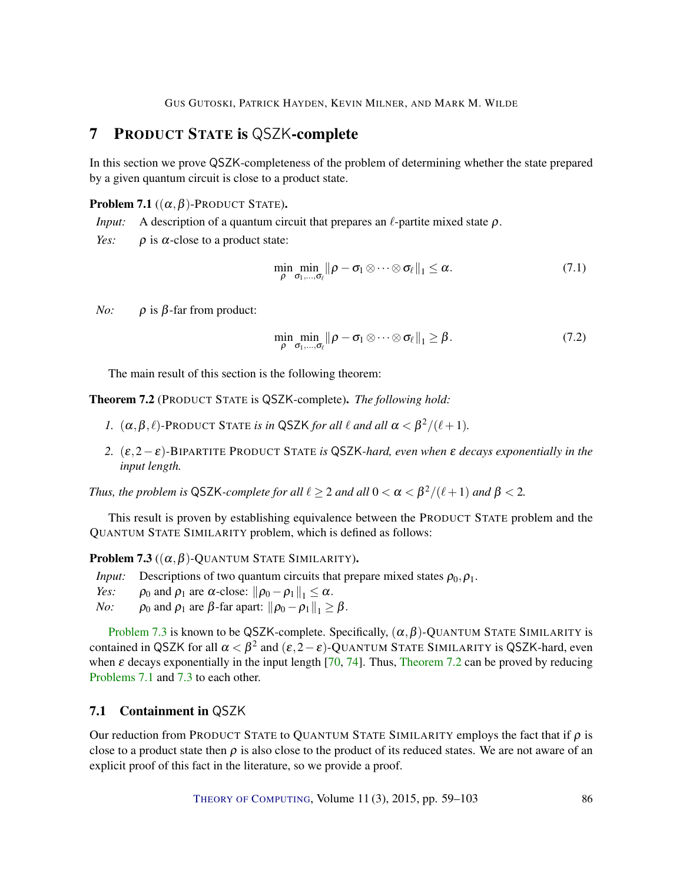### <span id="page-28-4"></span><span id="page-28-0"></span>7 PRODUCT STATE is QSZK-complete

In this section we prove QSZK-completeness of the problem of determining whether the state prepared by a given quantum circuit is close to a product state.

#### <span id="page-28-3"></span>**Problem 7.1** ( $(\alpha, \beta)$ -Product State).

*Input:* A description of a quantum circuit that prepares an  $\ell$ -partite mixed state  $\rho$ .

*Yes:*  $\rho$  is  $\alpha$ -close to a product state:

$$
\min_{\rho} \min_{\sigma_1, \dots, \sigma_\ell} \|\rho - \sigma_1 \otimes \dots \otimes \sigma_\ell\|_1 \leq \alpha. \tag{7.1}
$$

*No:*  $\rho$  is  $\beta$ -far from product:

$$
\min_{\rho} \min_{\sigma_1, ..., \sigma_\ell} ||\rho - \sigma_1 \otimes \cdots \otimes \sigma_\ell||_1 \geq \beta. \tag{7.2}
$$

The main result of this section is the following theorem:

<span id="page-28-1"></span>Theorem 7.2 (PRODUCT STATE is QSZK-complete). *The following hold:*

- *1.*  $(\alpha, \beta, \ell)$ -PRODUCT STATE *is in* QSZK *for all*  $\ell$  *and all*  $\alpha < \beta^2/(\ell+1)$ *.*
- *2.* (ε,2−ε)*-*BIPARTITE PRODUCT STATE *is* QSZK*-hard, even when* ε *decays exponentially in the input length.*

*Thus, the problem is* QSZK-complete for all  $\ell \geq 2$  and all  $0 < \alpha < \beta^2/(\ell+1)$  and  $\beta < 2$ .

This result is proven by establishing equivalence between the PRODUCT STATE problem and the QUANTUM STATE SIMILARITY problem, which is defined as follows:

<span id="page-28-2"></span>**Problem 7.3**  $((\alpha, \beta)$ -QUANTUM STATE SIMILARITY).

*Input:* Descriptions of two quantum circuits that prepare mixed states  $\rho_0$ ,  $\rho_1$ .

- *Yes:*  $\rho_0$  and  $\rho_1$  are  $\alpha$ -close:  $\|\rho_0 \rho_1\|_1 \leq \alpha$ .<br>*No:*  $\rho_0$  and  $\rho_1$  are  $\beta$ -far apart:  $\|\rho_0 \rho_1\|_1 >$
- $\rho_0$  and  $\rho_1$  are  $\beta$ -far apart:  $\|\rho_0 \rho_1\|_1 \geq \beta$ .

[Problem](#page-28-2) [7.3](#page-28-2) is known to be QSZK-complete. Specifically,  $(\alpha, \beta)$ -QUANTUM STATE SIMILARITY is contained in QSZK for all  $\alpha < \beta^2$  and  $(\varepsilon, 2-\varepsilon)$ -QUANTUM STATE SIMILARITY is QSZK-hard, even when  $\varepsilon$  decays exponentially in the input length [\[70,](#page-42-8) [74\]](#page-42-9). Thus, [Theorem](#page-28-1) [7.2](#page-28-1) can be proved by reducing [Problems](#page-28-3) [7.1](#page-28-3) and [7.3](#page-28-2) to each other.

### 7.1 Containment in QSZK

Our reduction from PRODUCT STATE to QUANTUM STATE SIMILARITY employs the fact that if  $\rho$  is close to a product state then  $\rho$  is also close to the product of its reduced states. We are not aware of an explicit proof of this fact in the literature, so we provide a proof.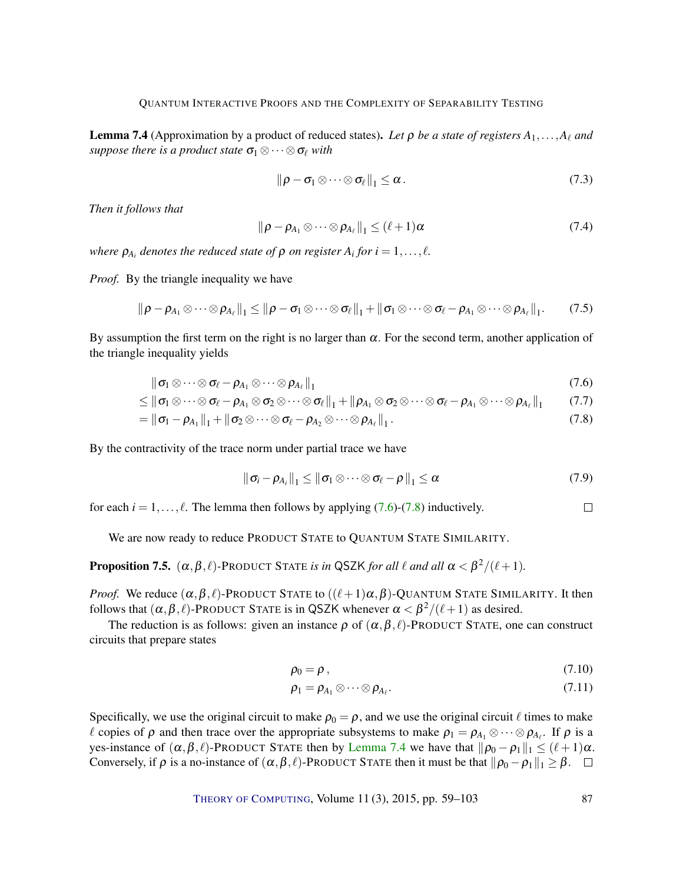<span id="page-29-2"></span>**Lemma 7.4** (Approximation by a product of reduced states). Let  $\rho$  be a state of registers  $A_1, \ldots, A_\ell$  and *suppose there is a product state*  $\sigma_1 \otimes \cdots \otimes \sigma_\ell$  *with* 

$$
\|\rho - \sigma_1 \otimes \cdots \otimes \sigma_\ell\|_1 \leq \alpha. \tag{7.3}
$$

*Then it follows that*

$$
\|\rho - \rho_{A_1} \otimes \cdots \otimes \rho_{A_\ell}\|_1 \le (\ell + 1)\alpha \tag{7.4}
$$

*where*  $\rho_{A_i}$  denotes the reduced state of  $\rho$  on register  $A_i$  for  $i = 1, \ldots, \ell$ .

*Proof.* By the triangle inequality we have

$$
\|\rho-\rho_{A_1}\otimes\cdots\otimes\rho_{A_\ell}\|_1\leq \|\rho-\sigma_1\otimes\cdots\otimes\sigma_\ell\|_1+\|\sigma_1\otimes\cdots\otimes\sigma_\ell-\rho_{A_1}\otimes\cdots\otimes\rho_{A_\ell}\|_1. \qquad (7.5)
$$

By assumption the first term on the right is no larger than  $\alpha$ . For the second term, another application of the triangle inequality yields

$$
\|\sigma_1 \otimes \cdots \otimes \sigma_\ell - \rho_{A_1} \otimes \cdots \otimes \rho_{A_\ell}\|_1 \tag{7.6}
$$

$$
\leq \|\sigma_1 \otimes \cdots \otimes \sigma_\ell - \rho_{A_1} \otimes \sigma_2 \otimes \cdots \otimes \sigma_\ell\|_1 + \|\rho_{A_1} \otimes \sigma_2 \otimes \cdots \otimes \sigma_\ell - \rho_{A_1} \otimes \cdots \otimes \rho_{A_\ell}\|_1 \qquad (7.7)
$$

$$
= \|\boldsymbol{\sigma}_1 - \boldsymbol{\rho}_{A_1}\|_1 + \|\boldsymbol{\sigma}_2 \otimes \cdots \otimes \boldsymbol{\sigma}_{\ell} - \boldsymbol{\rho}_{A_2} \otimes \cdots \otimes \boldsymbol{\rho}_{A_{\ell}}\|_1.
$$
\n(7.8)

By the contractivity of the trace norm under partial trace we have

$$
\|\sigma_i-\rho_{A_i}\|_1\leq \|\sigma_1\otimes\cdots\otimes\sigma_\ell-\rho\|_1\leq \alpha\tag{7.9}
$$

for each  $i = 1, \ldots, \ell$ . The lemma then follows by applying [\(7.6\)](#page-29-0)-[\(7.8\)](#page-29-1) inductively.

We are now ready to reduce PRODUCT STATE to QUANTUM STATE SIMILARITY.

**Proposition 7.5.**  $(\alpha, \beta, \ell)$ -PRODUCT STATE *is in* QSZK *for all*  $\ell$  *and all*  $\alpha < \beta^2/(\ell+1)$ *.* 

*Proof.* We reduce  $(\alpha, \beta, \ell)$ -PRODUCT STATE to  $((\ell+1)\alpha, \beta)$ -QUANTUM STATE SIMILARITY. It then follows that  $(\alpha, \beta, \ell)$ -PRODUCT STATE is in QSZK whenever  $\alpha < \beta^2/(\ell+1)$  as desired.

The reduction is as follows: given an instance  $\rho$  of  $(\alpha, \beta, \ell)$ -PRODUCT STATE, one can construct circuits that prepare states

$$
\rho_0 = \rho \,, \tag{7.10}
$$

$$
\rho_1 = \rho_{A_1} \otimes \cdots \otimes \rho_{A_\ell}.\tag{7.11}
$$

Specifically, we use the original circuit to make  $\rho_0 = \rho$ , and we use the original circuit  $\ell$  times to make  $\ell$  copies of  $\rho$  and then trace over the appropriate subsystems to make  $\rho_1 = \rho_{A_1} \otimes \cdots \otimes \rho_{A_\ell}$ . If  $\rho$  is a yes-instance of  $(\alpha, \beta, \ell)$ -PRODUCT STATE then by [Lemma](#page-29-2) [7.4](#page-29-2) we have that  $\|\rho_0 - \rho_1\|_1 \leq (\ell + 1)\alpha$ . Conversely, if  $\rho$  is a no-instance of  $(\alpha, \beta, \ell)$ -PRODUCT STATE then it must be that  $\|\rho_0 - \rho_1\|_1 \geq \beta$ .  $\Box$ 

<span id="page-29-1"></span><span id="page-29-0"></span> $\Box$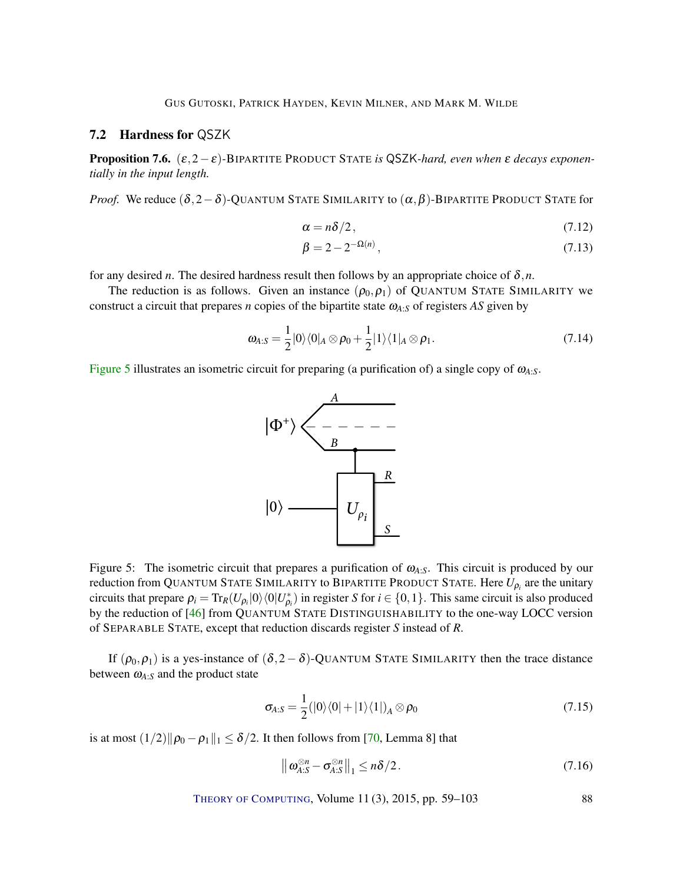### <span id="page-30-1"></span>7.2 Hardness for QSZK

Proposition 7.6. (ε,2−ε)*-*BIPARTITE PRODUCT STATE *is* QSZK*-hard, even when* ε *decays exponentially in the input length.*

*Proof.* We reduce  $(\delta, 2-\delta)$ -QUANTUM STATE SIMILARITY to  $(\alpha, \beta)$ -BIPARTITE PRODUCT STATE for

$$
\alpha = n\delta/2, \tag{7.12}
$$

$$
\beta = 2 - 2^{-\Omega(n)},
$$
\n(7.13)

for any desired *n*. The desired hardness result then follows by an appropriate choice of  $\delta$ ,*n*.

The reduction is as follows. Given an instance  $(\rho_0, \rho_1)$  of QUANTUM STATE SIMILARITY we construct a circuit that prepares *n* copies of the bipartite state ω*A*:*<sup>S</sup>* of registers *AS* given by

$$
\omega_{A:S} = \frac{1}{2} |0\rangle\langle 0|_A \otimes \rho_0 + \frac{1}{2} |1\rangle\langle 1|_A \otimes \rho_1.
$$
 (7.14)

<span id="page-30-0"></span>[Figure](#page-30-0) [5](#page-30-0) illustrates an isometric circuit for preparing (a purification of) a single copy of ω*A*:*S*.



Figure 5: The isometric circuit that prepares a purification of ω*A*:*S*. This circuit is produced by our reduction from QUANTUM STATE SIMILARITY to BIPARTITE PRODUCT STATE. Here  $U_{\rho_i}$  are the unitary circuits that prepare  $\rho_i = \text{Tr}_R(U_{\rho_i}|0\rangle\langle0|U_{\rho_i}^* )$  in register *S* for  $i \in \{0,1\}$ . This same circuit is also produced by the reduction of [\[46\]](#page-40-4) from QUANTUM STATE DISTINGUISHABILITY to the one-way LOCC version of SEPARABLE STATE, except that reduction discards register *S* instead of *R*.

If  $(\rho_0, \rho_1)$  is a yes-instance of  $(\delta, 2 - \delta)$ -QUANTUM STATE SIMILARITY then the trace distance between  $\omega_{A:S}$  and the product state

$$
\sigma_{A:S} = \frac{1}{2} (|0\rangle\langle 0| + |1\rangle\langle 1|)_A \otimes \rho_0 \tag{7.15}
$$

is at most  $(1/2)$  $\|\rho_0 - \rho_1\|_1 \le \delta/2$ . It then follows from [\[70,](#page-42-8) Lemma 8] that

$$
\left\| \boldsymbol{\omega}_{A:S}^{\otimes n} - \boldsymbol{\sigma}_{A:S}^{\otimes n} \right\|_1 \leq n\delta/2. \tag{7.16}
$$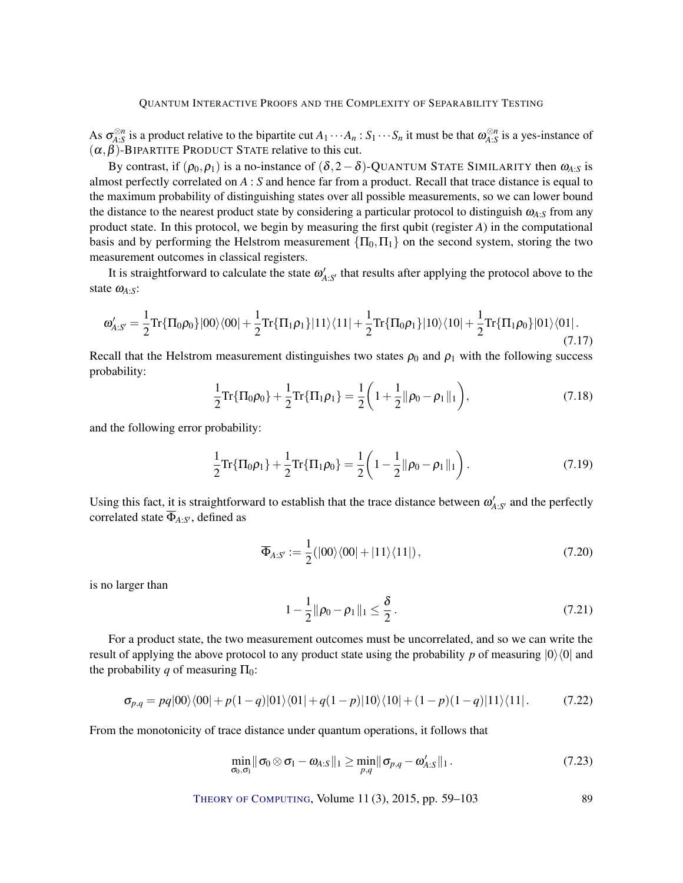As  $\sigma_{A:S}^{\otimes n}$  is a product relative to the bipartite cut  $A_1 \cdots A_n : S_1 \cdots S_n$  it must be that  $\omega_{A:S}^{\otimes n}$  is a yes-instance of  $(\alpha, \beta)$ -BIPARTITE PRODUCT STATE relative to this cut.

By contrast, if  $(\rho_0, \rho_1)$  is a no-instance of  $(\delta, 2-\delta)$ -QUANTUM STATE SIMILARITY then  $\omega_{A,S}$  is almost perfectly correlated on *A* : *S* and hence far from a product. Recall that trace distance is equal to the maximum probability of distinguishing states over all possible measurements, so we can lower bound the distance to the nearest product state by considering a particular protocol to distinguish ω*A*:*<sup>S</sup>* from any product state. In this protocol, we begin by measuring the first qubit (register *A*) in the computational basis and by performing the Helstrom measurement  $\{\Pi_0, \Pi_1\}$  on the second system, storing the two measurement outcomes in classical registers.

It is straightforward to calculate the state  $\omega'_{A:S'}$  that results after applying the protocol above to the state ω*A*:*S*:

$$
\omega'_{A:S'} = \frac{1}{2} \text{Tr}\{\Pi_0 \rho_0\} |00\rangle\langle 00| + \frac{1}{2} \text{Tr}\{\Pi_1 \rho_1\} |11\rangle\langle 11| + \frac{1}{2} \text{Tr}\{\Pi_0 \rho_1\} |10\rangle\langle 10| + \frac{1}{2} \text{Tr}\{\Pi_1 \rho_0\} |01\rangle\langle 01|.
$$
\n(7.17)

Recall that the Helstrom measurement distinguishes two states  $\rho_0$  and  $\rho_1$  with the following success probability:

$$
\frac{1}{2}\text{Tr}\{\Pi_0\rho_0\} + \frac{1}{2}\text{Tr}\{\Pi_1\rho_1\} = \frac{1}{2}\left(1 + \frac{1}{2}\|\rho_0 - \rho_1\|_1\right),\tag{7.18}
$$

and the following error probability:

$$
\frac{1}{2}\mathrm{Tr}\{\Pi_0\rho_1\} + \frac{1}{2}\mathrm{Tr}\{\Pi_1\rho_0\} = \frac{1}{2}\left(1 - \frac{1}{2}\|\rho_0 - \rho_1\|_1\right). \tag{7.19}
$$

Using this fact, it is straightforward to establish that the trace distance between  $\omega'_{A:S'}$  and the perfectly correlated state  $\Phi_{A:S'}$ , defined as

$$
\overline{\Phi}_{A:S'} := \frac{1}{2} (|00\rangle\langle00| + |11\rangle\langle11|), \qquad (7.20)
$$

is no larger than

$$
1 - \frac{1}{2} \|\rho_0 - \rho_1\|_1 \le \frac{\delta}{2} \,. \tag{7.21}
$$

For a product state, the two measurement outcomes must be uncorrelated, and so we can write the result of applying the above protocol to any product state using the probability *p* of measuring  $|0\rangle\langle0|$  and the probability *q* of measuring  $\Pi_0$ :

$$
\sigma_{p,q} = pq|00\rangle\langle00| + p(1-q)|01\rangle\langle01| + q(1-p)|10\rangle\langle10| + (1-p)(1-q)|11\rangle\langle11|.
$$
 (7.22)

From the monotonicity of trace distance under quantum operations, it follows that

$$
\min_{\sigma_0,\sigma_1} \|\sigma_0 \otimes \sigma_1 - \omega_{A:S}\|_1 \geq \min_{p,q} \|\sigma_{p,q} - \omega'_{A:S}\|_1. \tag{7.23}
$$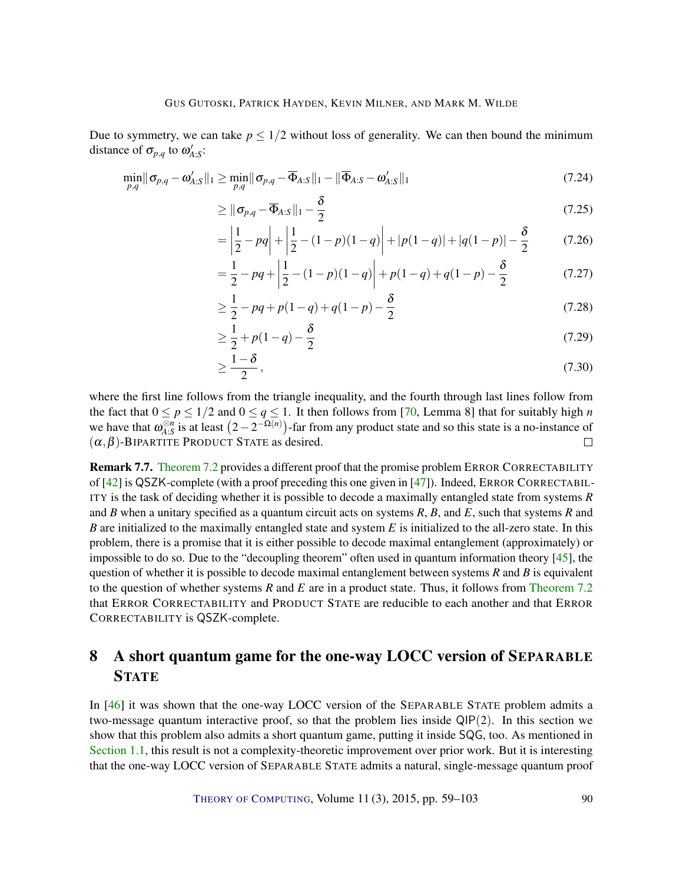<span id="page-32-1"></span>Due to symmetry, we can take  $p \leq 1/2$  without loss of generality. We can then bound the minimum distance of  $\sigma_{p,q}$  to  $\omega'_{A:S}$ :

$$
\min_{p,q} \|\boldsymbol{\sigma}_{p,q} - \boldsymbol{\omega}_{A:S}'\|_1 \ge \min_{p,q} \|\boldsymbol{\sigma}_{p,q} - \overline{\boldsymbol{\Phi}}_{A:S}\|_1 - \|\overline{\boldsymbol{\Phi}}_{A:S} - \boldsymbol{\omega}_{A:S}'\|_1
$$
\n(7.24)

$$
\geq \|\sigma_{p,q} - \overline{\Phi}_{A:S}\|_1 - \frac{\delta}{2} \tag{7.25}
$$

$$
= \left| \frac{1}{2} - pq \right| + \left| \frac{1}{2} - (1 - p)(1 - q) \right| + |p(1 - q)| + |q(1 - p)| - \frac{\delta}{2} \tag{7.26}
$$

$$
= \frac{1}{2} - pq + \left| \frac{1}{2} - (1-p)(1-q) \right| + p(1-q) + q(1-p) - \frac{\delta}{2}
$$
(7.27)

$$
\geq \frac{1}{2} - pq + p(1 - q) + q(1 - p) - \frac{\delta}{2}
$$
\n(7.28)

$$
\geq \frac{1}{2} + p(1 - q) - \frac{\delta}{2} \tag{7.29}
$$

$$
\geq \frac{1-\delta}{2},\tag{7.30}
$$

where the first line follows from the triangle inequality, and the fourth through last lines follow from the fact that  $0 \le p \le 1/2$  and  $0 \le q \le 1$ . It then follows from [\[70,](#page-42-8) Lemma 8] that for suitably high *n* we have that  $\omega_{A:S}^{\otimes n}$  is at least  $(2-2^{-\Omega(n)})$ -far from any product state and so this state is a no-instance of  $(\alpha, \beta)$ -BIPARTITE PRODUCT STATE as desired.  $\Box$ 

Remark 7.7. [Theorem](#page-28-1) [7.2](#page-28-1) provides a different proof that the promise problem ERROR CORRECTABILITY of [\[42\]](#page-40-10) is QSZK-complete (with a proof preceding this one given in [\[47\]](#page-40-11)). Indeed, ERROR CORRECTABIL-ITY is the task of deciding whether it is possible to decode a maximally entangled state from systems *R* and *B* when a unitary specified as a quantum circuit acts on systems *R*, *B*, and *E*, such that systems *R* and *B* are initialized to the maximally entangled state and system *E* is initialized to the all-zero state. In this problem, there is a promise that it is either possible to decode maximal entanglement (approximately) or impossible to do so. Due to the "decoupling theorem" often used in quantum information theory [\[45\]](#page-40-12), the question of whether it is possible to decode maximal entanglement between systems *R* and *B* is equivalent to the question of whether systems *R* and *E* are in a product state. Thus, it follows from [Theorem](#page-28-1) [7.2](#page-28-1) that ERROR CORRECTABILITY and PRODUCT STATE are reducible to each another and that ERROR CORRECTABILITY is QSZK-complete.

### <span id="page-32-0"></span>8 A short quantum game for the one-way LOCC version of SEPARABLE **STATE**

In [\[46\]](#page-40-4) it was shown that the one-way LOCC version of the SEPARABLE STATE problem admits a two-message quantum interactive proof, so that the problem lies inside QIP(2). In this section we show that this problem also admits a short quantum game, putting it inside SQG, too. As mentioned in [Section](#page-3-0) [1.1,](#page-3-0) this result is not a complexity-theoretic improvement over prior work. But it is interesting that the one-way LOCC version of SEPARABLE STATE admits a natural, single-message quantum proof

THEORY OF C[OMPUTING](http://dx.doi.org/10.4086/toc), Volume  $11(3)$ ,  $2015$ , pp.  $59-103$  90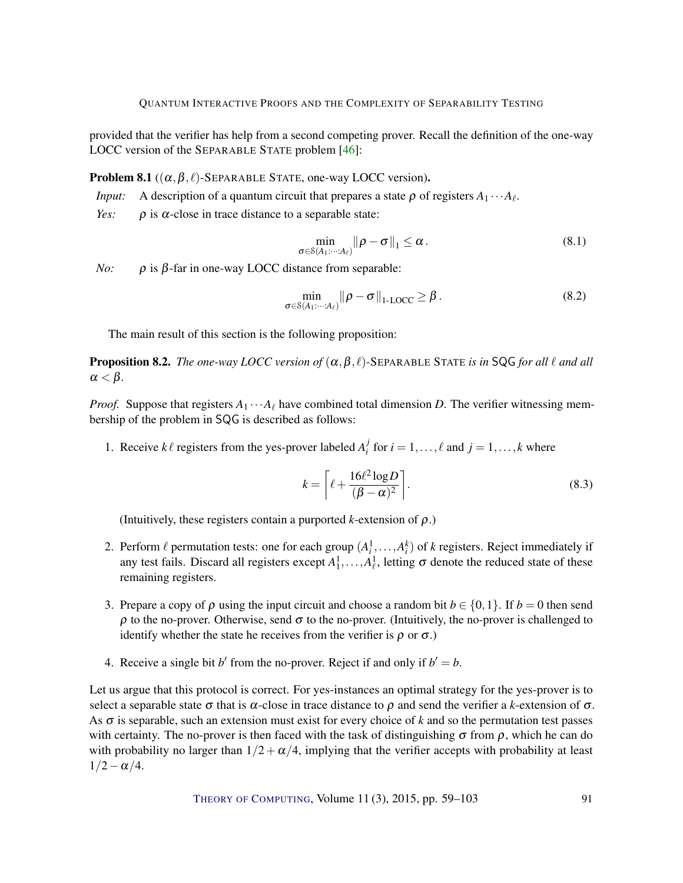<span id="page-33-2"></span>provided that the verifier has help from a second competing prover. Recall the definition of the one-way LOCC version of the SEPARABLE STATE problem [\[46\]](#page-40-4):

**Problem 8.1** ( $(\alpha, \beta, \ell)$ -SEPARABLE STATE, one-way LOCC version).

*Input:* A description of a quantum circuit that prepares a state  $\rho$  of registers  $A_1 \cdots A_\ell$ .

*Yes:*  $\rho$  is  $\alpha$ -close in trace distance to a separable state:

$$
\min_{\sigma \in S(A_1:\cdots:A_\ell)} \|\rho - \sigma\|_1 \leq \alpha. \tag{8.1}
$$

*No:* ρ is β-far in one-way LOCC distance from separable:

$$
\min_{\sigma \in \mathcal{S}(A_1:\cdots:A_\ell)} \|\rho - \sigma\|_{1\text{-LOCC}} \geq \beta. \tag{8.2}
$$

The main result of this section is the following proposition:

<span id="page-33-0"></span>**Proposition 8.2.** *The one-way LOCC version of*  $(\alpha, \beta, \ell)$ -SEPARABLE STATE *is in* SQG *for all*  $\ell$  *and all*  $\alpha < \beta$ .

*Proof.* Suppose that registers  $A_1 \cdots A_\ell$  have combined total dimension *D*. The verifier witnessing membership of the problem in SQG is described as follows:

1. Receive  $k\ell$  registers from the yes-prover labeled  $A_i^j$  $i<sub>i</sub>$  for  $i = 1, ..., \ell$  and  $j = 1, ..., k$  where

$$
k = \left[ \ell + \frac{16\ell^2 \log D}{(\beta - \alpha)^2} \right].
$$
\n(8.3)

(Intuitively, these registers contain a purported  $k$ -extension of  $\rho$ .)

- <span id="page-33-1"></span>2. Perform  $\ell$  permutation tests: one for each group  $(A_i^1, \ldots, A_i^k)$  of  $k$  registers. Reject immediately if any test fails. Discard all registers except  $A_1^1, \ldots, A_\ell^1$ , letting  $\sigma$  denote the reduced state of these remaining registers.
- 3. Prepare a copy of  $\rho$  using the input circuit and choose a random bit  $b \in \{0,1\}$ . If  $b = 0$  then send  $ρ$  to the no-prover. Otherwise, send  $σ$  to the no-prover. (Intuitively, the no-prover is challenged to identify whether the state he receives from the verifier is  $\rho$  or  $\sigma$ .)
- 4. Receive a single bit *b*<sup> $\prime$ </sup> from the no-prover. Reject if and only if  $b' = b$ .

Let us argue that this protocol is correct. For yes-instances an optimal strategy for the yes-prover is to select a separable state  $\sigma$  that is  $\alpha$ -close in trace distance to  $\rho$  and send the verifier a *k*-extension of  $\sigma$ . As σ is separable, such an extension must exist for every choice of *k* and so the permutation test passes with certainty. The no-prover is then faced with the task of distinguishing  $\sigma$  from  $\rho$ , which he can do with probability no larger than  $1/2 + \alpha/4$ , implying that the verifier accepts with probability at least  $1/2 - \alpha/4$ .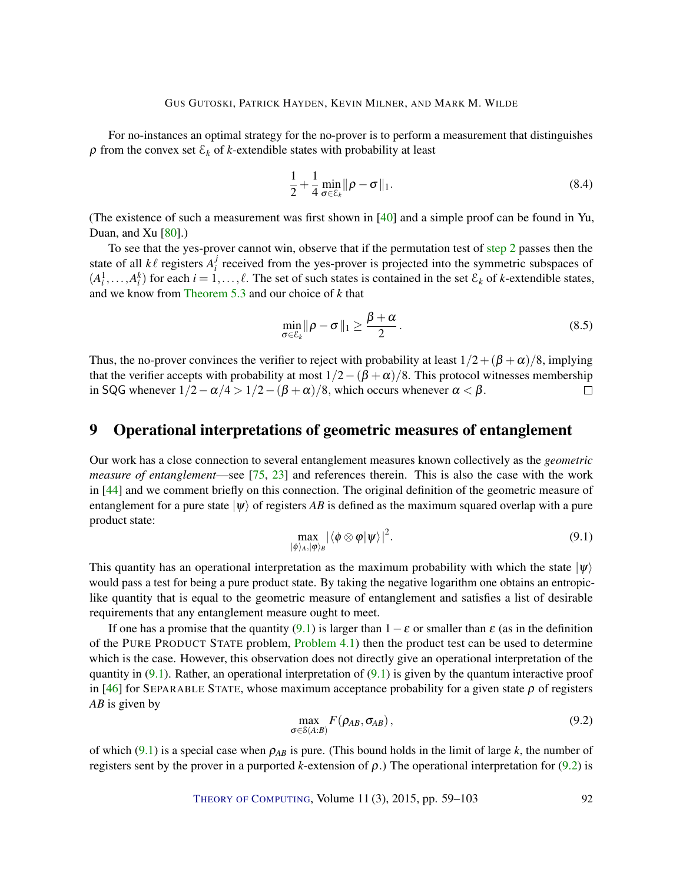<span id="page-34-3"></span>For no-instances an optimal strategy for the no-prover is to perform a measurement that distinguishes  $\rho$  from the convex set  $\mathcal{E}_k$  of *k*-extendible states with probability at least

$$
\frac{1}{2} + \frac{1}{4} \min_{\sigma \in \mathcal{E}_k} \|\rho - \sigma\|_1. \tag{8.4}
$$

(The existence of such a measurement was first shown in [\[40\]](#page-40-9) and a simple proof can be found in Yu, Duan, and Xu  $[80]$ .)

To see that the yes-prover cannot win, observe that if the permutation test of [step](#page-33-1) [2](#page-33-1) passes then the state of all  $k \ell$  registers  $A_i^j$  $\mathbf{F}_i^j$  received from the yes-prover is projected into the symmetric subspaces of  $(A_i^1, \ldots, A_i^k)$  for each  $i = 1, \ldots, \ell$ . The set of such states is contained in the set  $\mathcal{E}_k$  of *k*-extendible states, and we know from [Theorem](#page-16-2) [5.3](#page-16-2) and our choice of *k* that

$$
\min_{\sigma \in \mathcal{E}_k} \|\rho - \sigma\|_1 \ge \frac{\beta + \alpha}{2}.
$$
\n(8.5)

Thus, the no-prover convinces the verifier to reject with probability at least  $1/2 + (\beta + \alpha)/8$ , implying that the verifier accepts with probability at most  $1/2-(\beta+\alpha)/8$ . This protocol witnesses membership in SQG whenever  $1/2 - \alpha/4 > 1/2 - (\beta + \alpha)/8$ , which occurs whenever  $\alpha < \beta$ .  $\Box$ 

### <span id="page-34-0"></span>9 Operational interpretations of geometric measures of entanglement

Our work has a close connection to several entanglement measures known collectively as the *geometric measure of entanglement*—see [\[75,](#page-42-7) [23\]](#page-38-2) and references therein. This is also the case with the work in [\[44\]](#page-40-6) and we comment briefly on this connection. The original definition of the geometric measure of entanglement for a pure state  $|\psi\rangle$  of registers *AB* is defined as the maximum squared overlap with a pure product state:

<span id="page-34-1"></span>
$$
\max_{|\phi\rangle_A,|\phi\rangle_B} |\langle \phi \otimes \phi | \psi \rangle|^2. \tag{9.1}
$$

This quantity has an operational interpretation as the maximum probability with which the state  $|\psi\rangle$ would pass a test for being a pure product state. By taking the negative logarithm one obtains an entropiclike quantity that is equal to the geometric measure of entanglement and satisfies a list of desirable requirements that any entanglement measure ought to meet.

If one has a promise that the quantity [\(9.1\)](#page-34-1) is larger than  $1-\varepsilon$  or smaller than  $\varepsilon$  (as in the definition of the PURE PRODUCT STATE problem, [Problem](#page-12-1) [4.1\)](#page-12-1) then the product test can be used to determine which is the case. However, this observation does not directly give an operational interpretation of the quantity in  $(9.1)$ . Rather, an operational interpretation of  $(9.1)$  is given by the quantum interactive proof in [\[46\]](#page-40-4) for SEPARABLE STATE, whose maximum acceptance probability for a given state  $\rho$  of registers *AB* is given by

<span id="page-34-2"></span>
$$
\max_{\sigma \in S(A:B)} F(\rho_{AB}, \sigma_{AB}), \qquad (9.2)
$$

of which [\(9.1\)](#page-34-1) is a special case when ρ*AB* is pure. (This bound holds in the limit of large *k*, the number of registers sent by the prover in a purported *k*-extension of ρ.) The operational interpretation for [\(9.2\)](#page-34-2) is

THEORY OF C[OMPUTING](http://dx.doi.org/10.4086/toc), Volume 11 (3), 2015, pp. 59–103 92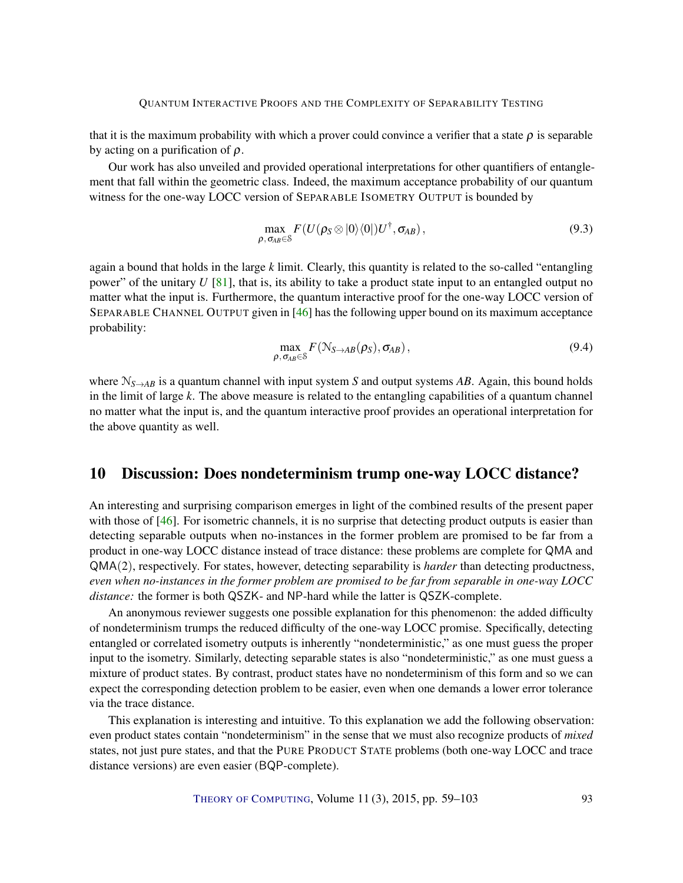<span id="page-35-0"></span>that it is the maximum probability with which a prover could convince a verifier that a state  $\rho$  is separable by acting on a purification of  $\rho$ .

Our work has also unveiled and provided operational interpretations for other quantifiers of entanglement that fall within the geometric class. Indeed, the maximum acceptance probability of our quantum witness for the one-way LOCC version of SEPARABLE ISOMETRY OUTPUT is bounded by

$$
\max_{\rho,\,\sigma_{AB}\in\mathcal{S}} F(U(\rho_S\otimes|0\rangle\langle0|)U^{\dagger},\sigma_{AB}),\tag{9.3}
$$

again a bound that holds in the large *k* limit. Clearly, this quantity is related to the so-called "entangling power" of the unitary *U* [\[81\]](#page-43-8), that is, its ability to take a product state input to an entangled output no matter what the input is. Furthermore, the quantum interactive proof for the one-way LOCC version of SEPARABLE CHANNEL OUTPUT given in [\[46\]](#page-40-4) has the following upper bound on its maximum acceptance probability:

$$
\max_{\rho, \sigma_{AB} \in \mathcal{S}} F(\mathcal{N}_{S \to AB}(\rho_S), \sigma_{AB}), \tag{9.4}
$$

where  $N_{S\rightarrow AB}$  is a quantum channel with input system *S* and output systems *AB*. Again, this bound holds in the limit of large *k*. The above measure is related to the entangling capabilities of a quantum channel no matter what the input is, and the quantum interactive proof provides an operational interpretation for the above quantity as well.

### 10 Discussion: Does nondeterminism trump one-way LOCC distance?

An interesting and surprising comparison emerges in light of the combined results of the present paper with those of [\[46\]](#page-40-4). For isometric channels, it is no surprise that detecting product outputs is easier than detecting separable outputs when no-instances in the former problem are promised to be far from a product in one-way LOCC distance instead of trace distance: these problems are complete for QMA and QMA(2), respectively. For states, however, detecting separability is *harder* than detecting productness, *even when no-instances in the former problem are promised to be far from separable in one-way LOCC distance:* the former is both QSZK- and NP-hard while the latter is QSZK-complete.

An anonymous reviewer suggests one possible explanation for this phenomenon: the added difficulty of nondeterminism trumps the reduced difficulty of the one-way LOCC promise. Specifically, detecting entangled or correlated isometry outputs is inherently "nondeterministic," as one must guess the proper input to the isometry. Similarly, detecting separable states is also "nondeterministic," as one must guess a mixture of product states. By contrast, product states have no nondeterminism of this form and so we can expect the corresponding detection problem to be easier, even when one demands a lower error tolerance via the trace distance.

This explanation is interesting and intuitive. To this explanation we add the following observation: even product states contain "nondeterminism" in the sense that we must also recognize products of *mixed* states, not just pure states, and that the PURE PRODUCT STATE problems (both one-way LOCC and trace distance versions) are even easier (BQP-complete).

THEORY OF C[OMPUTING](http://dx.doi.org/10.4086/toc), Volume 11 (3), 2015, pp. 59–103 93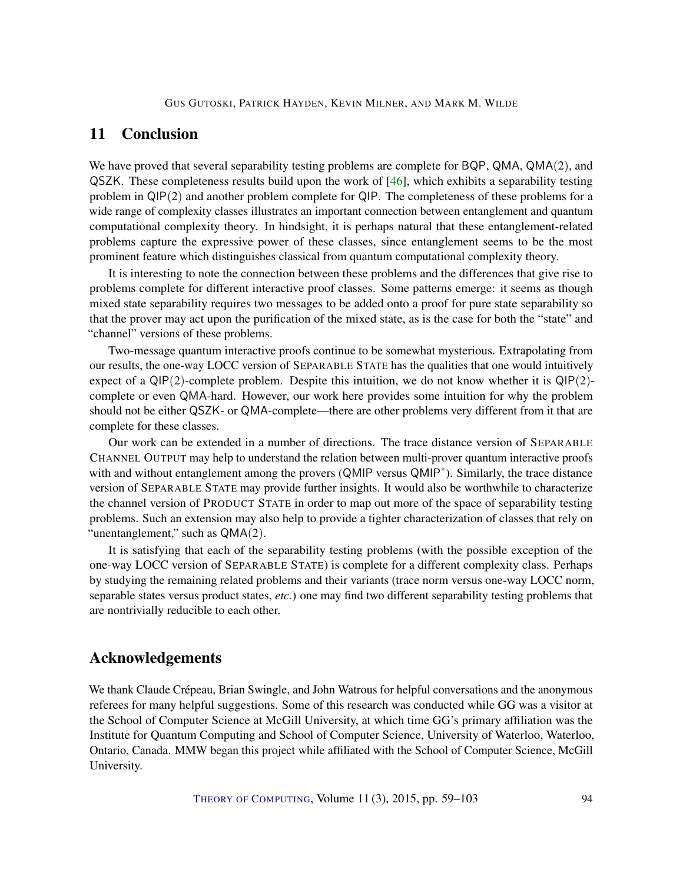### <span id="page-36-1"></span><span id="page-36-0"></span>11 Conclusion

We have proved that several separability testing problems are complete for BQP, QMA, QMA(2), and QSZK. These completeness results build upon the work of [\[46\]](#page-40-4), which exhibits a separability testing problem in QIP(2) and another problem complete for QIP. The completeness of these problems for a wide range of complexity classes illustrates an important connection between entanglement and quantum computational complexity theory. In hindsight, it is perhaps natural that these entanglement-related problems capture the expressive power of these classes, since entanglement seems to be the most prominent feature which distinguishes classical from quantum computational complexity theory.

It is interesting to note the connection between these problems and the differences that give rise to problems complete for different interactive proof classes. Some patterns emerge: it seems as though mixed state separability requires two messages to be added onto a proof for pure state separability so that the prover may act upon the purification of the mixed state, as is the case for both the "state" and "channel" versions of these problems.

Two-message quantum interactive proofs continue to be somewhat mysterious. Extrapolating from our results, the one-way LOCC version of SEPARABLE STATE has the qualities that one would intuitively expect of a  $QIP(2)$ -complete problem. Despite this intuition, we do not know whether it is  $QIP(2)$ complete or even QMA-hard. However, our work here provides some intuition for why the problem should not be either QSZK- or QMA-complete—there are other problems very different from it that are complete for these classes.

Our work can be extended in a number of directions. The trace distance version of SEPARABLE CHANNEL OUTPUT may help to understand the relation between multi-prover quantum interactive proofs with and without entanglement among the provers (QMIP versus QMIP<sup>∗</sup>). Similarly, the trace distance version of SEPARABLE STATE may provide further insights. It would also be worthwhile to characterize the channel version of PRODUCT STATE in order to map out more of the space of separability testing problems. Such an extension may also help to provide a tighter characterization of classes that rely on "unentanglement," such as QMA(2).

It is satisfying that each of the separability testing problems (with the possible exception of the one-way LOCC version of SEPARABLE STATE) is complete for a different complexity class. Perhaps by studying the remaining related problems and their variants (trace norm versus one-way LOCC norm, separable states versus product states, *etc.*) one may find two different separability testing problems that are nontrivially reducible to each other.

### Acknowledgements

We thank Claude Crépeau, Brian Swingle, and John Watrous for helpful conversations and the anonymous referees for many helpful suggestions. Some of this research was conducted while GG was a visitor at the School of Computer Science at McGill University, at which time GG's primary affiliation was the Institute for Quantum Computing and School of Computer Science, University of Waterloo, Waterloo, Ontario, Canada. MMW began this project while affiliated with the School of Computer Science, McGill University.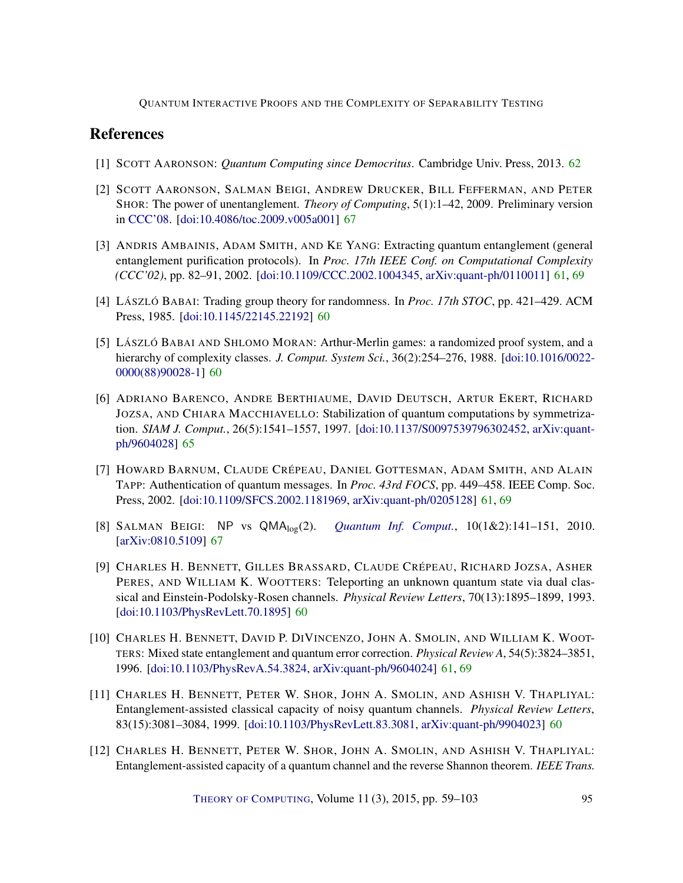### References

- <span id="page-37-8"></span>[1] SCOTT AARONSON: *Quantum Computing since Democritus*. Cambridge Univ. Press, 2013. [62](#page-4-1)
- <span id="page-37-10"></span>[2] SCOTT AARONSON, SALMAN BEIGI, ANDREW DRUCKER, BILL FEFFERMAN, AND PETER SHOR: The power of unentanglement. *Theory of Computing*, 5(1):1–42, 2009. Preliminary version in [CCC'08.](http://dx.doi.org/10.1109/CCC.2008.5) [\[doi:10.4086/toc.2009.v005a001\]](http://dx.doi.org/10.4086/toc.2009.v005a001) [67](#page-9-0)
- <span id="page-37-7"></span>[3] ANDRIS AMBAINIS, ADAM SMITH, AND KE YANG: Extracting quantum entanglement (general entanglement purification protocols). In *Proc. 17th IEEE Conf. on Computational Complexity (CCC'02)*, pp. 82–91, 2002. [\[doi:10.1109/CCC.2002.1004345,](http://dx.doi.org/10.1109/CCC.2002.1004345) [arXiv:quant-ph/0110011\]](http://arxiv.org/abs/quant-ph/0110011) [61,](#page-3-1) [69](#page-11-3)
- <span id="page-37-0"></span>[4] LÁSZLÓ BABAI: Trading group theory for randomness. In *Proc. 17th STOC*, pp. 421–429. ACM Press, 1985. [\[doi:10.1145/22145.22192\]](http://dx.doi.org/10.1145/22145.22192) [60](#page-2-0)
- <span id="page-37-1"></span>[5] LÁSZLÓ BABAI AND SHLOMO MORAN: Arthur-Merlin games: a randomized proof system, and a hierarchy of complexity classes. *J. Comput. System Sci.*, 36(2):254–276, 1988. [\[doi:10.1016/0022-](http://dx.doi.org/10.1016/0022-0000(88)90028-1) [0000\(88\)90028-1\]](http://dx.doi.org/10.1016/0022-0000(88)90028-1) [60](#page-2-0)
- <span id="page-37-9"></span>[6] ADRIANO BARENCO, ANDRE BERTHIAUME, DAVID DEUTSCH, ARTUR EKERT, RICHARD JOZSA, AND CHIARA MACCHIAVELLO: Stabilization of quantum computations by symmetrization. *SIAM J. Comput.*, 26(5):1541–1557, 1997. [\[doi:10.1137/S0097539796302452,](http://dx.doi.org/10.1137/S0097539796302452) [arXiv:quant](http://arxiv.org/abs/quant-ph/9604028)[ph/9604028\]](http://arxiv.org/abs/quant-ph/9604028) [65](#page-7-2)
- <span id="page-37-6"></span>[7] HOWARD BARNUM, CLAUDE CRÉPEAU, DANIEL GOTTESMAN, ADAM SMITH, AND ALAIN TAPP: Authentication of quantum messages. In *Proc. 43rd FOCS*, pp. 449–458. IEEE Comp. Soc. Press, 2002. [\[doi:10.1109/SFCS.2002.1181969,](http://dx.doi.org/10.1109/SFCS.2002.1181969) [arXiv:quant-ph/0205128\]](http://arxiv.org/abs/quant-ph/0205128) [61,](#page-3-1) [69](#page-11-3)
- <span id="page-37-11"></span>[8] SALMAN BEIGI: NP vs QMAlog(2). *[Quantum Inf. Comput.](http://www.rintonpress.com/xxqic10/qic-10-12/0141-0151.pdf)*, 10(1&2):141–151, 2010. [\[arXiv:0810.5109\]](http://arxiv.org/abs/0810.5109) [67](#page-9-0)
- <span id="page-37-2"></span>[9] CHARLES H. BENNETT, GILLES BRASSARD, CLAUDE CRÉPEAU, RICHARD JOZSA, ASHER PERES, AND WILLIAM K. WOOTTERS: Teleporting an unknown quantum state via dual classical and Einstein-Podolsky-Rosen channels. *Physical Review Letters*, 70(13):1895–1899, 1993. [\[doi:10.1103/PhysRevLett.70.1895\]](http://dx.doi.org/10.1103/PhysRevLett.70.1895) [60](#page-2-0)
- <span id="page-37-5"></span>[10] CHARLES H. BENNETT, DAVID P. DIVINCENZO, JOHN A. SMOLIN, AND WILLIAM K. WOOT-TERS: Mixed state entanglement and quantum error correction. *Physical Review A*, 54(5):3824–3851, 1996. [\[doi:10.1103/PhysRevA.54.3824,](http://dx.doi.org/10.1103/PhysRevA.54.3824) [arXiv:quant-ph/9604024\]](http://arxiv.org/abs/quant-ph/9604024) [61,](#page-3-1) [69](#page-11-3)
- <span id="page-37-3"></span>[11] CHARLES H. BENNETT, PETER W. SHOR, JOHN A. SMOLIN, AND ASHISH V. THAPLIYAL: Entanglement-assisted classical capacity of noisy quantum channels. *Physical Review Letters*, 83(15):3081–3084, 1999. [\[doi:10.1103/PhysRevLett.83.3081,](http://dx.doi.org/10.1103/PhysRevLett.83.3081) [arXiv:quant-ph/9904023\]](http://arxiv.org/abs/quant-ph/9904023) [60](#page-2-0)
- <span id="page-37-4"></span>[12] CHARLES H. BENNETT, PETER W. SHOR, JOHN A. SMOLIN, AND ASHISH V. THAPLIYAL: Entanglement-assisted capacity of a quantum channel and the reverse Shannon theorem. *IEEE Trans.*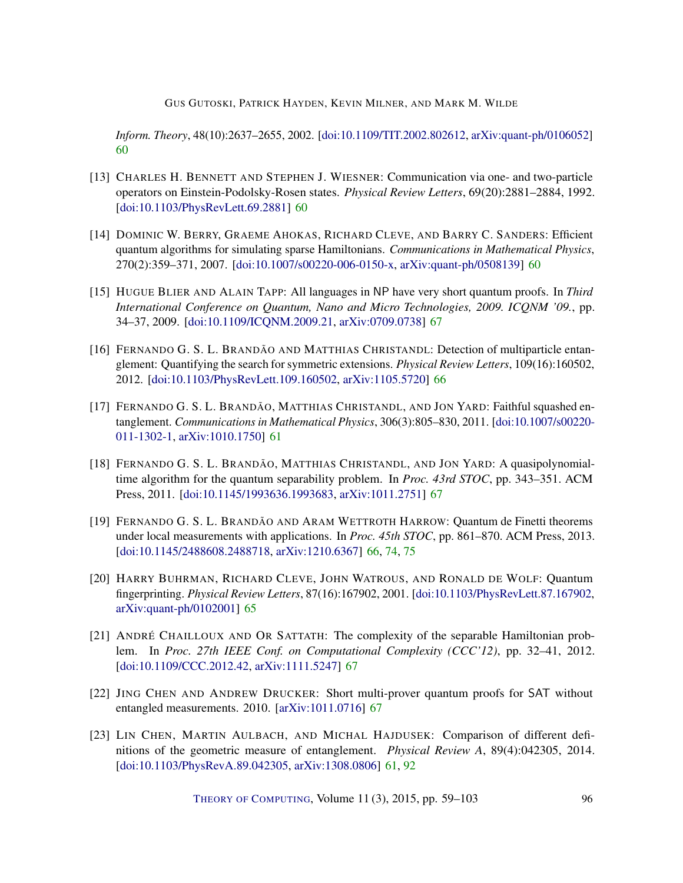GUS GUTOSKI, PATRICK HAYDEN, KEVIN MILNER, AND MARK M. WILDE

*Inform. Theory*, 48(10):2637–2655, 2002. [\[doi:10.1109/TIT.2002.802612,](http://dx.doi.org/10.1109/TIT.2002.802612) [arXiv:quant-ph/0106052\]](http://arxiv.org/abs/quant-ph/0106052) [60](#page-2-0)

- <span id="page-38-0"></span>[13] CHARLES H. BENNETT AND STEPHEN J. WIESNER: Communication via one- and two-particle operators on Einstein-Podolsky-Rosen states. *Physical Review Letters*, 69(20):2881–2884, 1992. [\[doi:10.1103/PhysRevLett.69.2881\]](http://dx.doi.org/10.1103/PhysRevLett.69.2881) [60](#page-2-0)
- <span id="page-38-1"></span>[14] DOMINIC W. BERRY, GRAEME AHOKAS, RICHARD CLEVE, AND BARRY C. SANDERS: Efficient quantum algorithms for simulating sparse Hamiltonians. *Communications in Mathematical Physics*, 270(2):359–371, 2007. [\[doi:10.1007/s00220-006-0150-x,](http://dx.doi.org/10.1007/s00220-006-0150-x) [arXiv:quant-ph/0508139\]](http://arxiv.org/abs/quant-ph/0508139) [60](#page-2-0)
- <span id="page-38-7"></span>[15] HUGUE BLIER AND ALAIN TAPP: All languages in NP have very short quantum proofs. In *Third International Conference on Quantum, Nano and Micro Technologies, 2009. ICQNM '09.*, pp. 34–37, 2009. [\[doi:10.1109/ICQNM.2009.21,](http://dx.doi.org/10.1109/ICQNM.2009.21) [arXiv:0709.0738\]](http://arxiv.org/abs/0709.0738) [67](#page-9-0)
- <span id="page-38-5"></span>[16] FERNANDO G. S. L. BRANDÃO AND MATTHIAS CHRISTANDL: Detection of multiparticle entanglement: Quantifying the search for symmetric extensions. *Physical Review Letters*, 109(16):160502, 2012. [\[doi:10.1103/PhysRevLett.109.160502,](http://dx.doi.org/10.1103/PhysRevLett.109.160502) [arXiv:1105.5720\]](http://arxiv.org/abs/1105.5720) [66](#page-8-0)
- <span id="page-38-3"></span>[17] FERNANDO G. S. L. BRANDÃO, MATTHIAS CHRISTANDL, AND JON YARD: Faithful squashed entanglement. *Communications in Mathematical Physics*, 306(3):805–830, 2011. [\[doi:10.1007/s00220-](http://dx.doi.org/10.1007/s00220-011-1302-1) [011-1302-1,](http://dx.doi.org/10.1007/s00220-011-1302-1) [arXiv:1010.1750\]](http://arxiv.org/abs/1010.1750) [61](#page-3-1)
- <span id="page-38-9"></span>[18] FERNANDO G. S. L. BRANDÃO, MATTHIAS CHRISTANDL, AND JON YARD: A quasipolynomialtime algorithm for the quantum separability problem. In *Proc. 43rd STOC*, pp. 343–351. ACM Press, 2011. [\[doi:10.1145/1993636.1993683,](http://dx.doi.org/10.1145/1993636.1993683) [arXiv:1011.2751\]](http://arxiv.org/abs/1011.2751) [67](#page-9-0)
- <span id="page-38-6"></span>[19] FERNANDO G. S. L. BRANDÃO AND ARAM WETTROTH HARROW: Quantum de Finetti theorems under local measurements with applications. In *Proc. 45th STOC*, pp. 861–870. ACM Press, 2013. [\[doi:10.1145/2488608.2488718,](http://dx.doi.org/10.1145/2488608.2488718) [arXiv:1210.6367\]](http://arxiv.org/abs/1210.6367) [66,](#page-8-0) [74,](#page-16-3) [75](#page-17-0)
- <span id="page-38-4"></span>[20] HARRY BUHRMAN, RICHARD CLEVE, JOHN WATROUS, AND RONALD DE WOLF: Quantum fingerprinting. *Physical Review Letters*, 87(16):167902, 2001. [\[doi:10.1103/PhysRevLett.87.167902,](http://dx.doi.org/10.1103/PhysRevLett.87.167902) [arXiv:quant-ph/0102001\]](http://arxiv.org/abs/quant-ph/0102001) [65](#page-7-2)
- <span id="page-38-10"></span>[21] ANDRÉ CHAILLOUX AND OR SATTATH: The complexity of the separable Hamiltonian problem. In *Proc. 27th IEEE Conf. on Computational Complexity (CCC'12)*, pp. 32–41, 2012. [\[doi:10.1109/CCC.2012.42,](http://dx.doi.org/10.1109/CCC.2012.42) [arXiv:1111.5247\]](http://arxiv.org/abs/1111.5247) [67](#page-9-0)
- <span id="page-38-8"></span>[22] JING CHEN AND ANDREW DRUCKER: Short multi-prover quantum proofs for SAT without entangled measurements. 2010. [\[arXiv:1011.0716\]](http://arxiv.org/abs/1011.0716) [67](#page-9-0)
- <span id="page-38-2"></span>[23] LIN CHEN, MARTIN AULBACH, AND MICHAL HAJDUSEK: Comparison of different definitions of the geometric measure of entanglement. *Physical Review A*, 89(4):042305, 2014. [\[doi:10.1103/PhysRevA.89.042305,](http://dx.doi.org/10.1103/PhysRevA.89.042305) [arXiv:1308.0806\]](http://arxiv.org/abs/1308.0806) [61,](#page-3-1) [92](#page-34-3)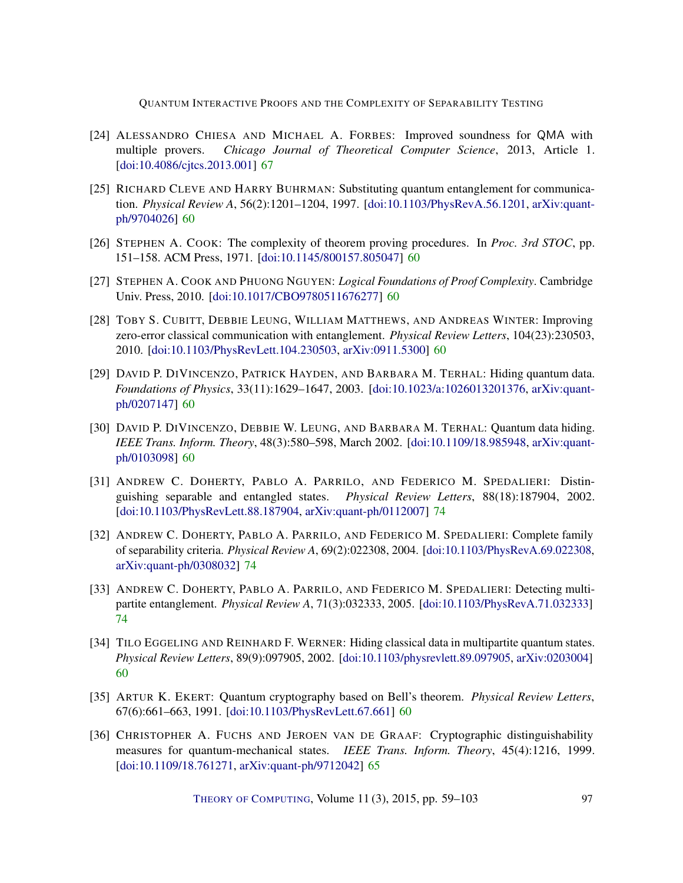- <span id="page-39-9"></span>[24] ALESSANDRO CHIESA AND MICHAEL A. FORBES: Improved soundness for QMA with multiple provers. *Chicago Journal of Theoretical Computer Science*, 2013, Article 1. [\[doi:10.4086/cjtcs.2013.001\]](http://dx.doi.org/10.4086/cjtcs.2013.001) [67](#page-9-0)
- <span id="page-39-2"></span>[25] RICHARD CLEVE AND HARRY BUHRMAN: Substituting quantum entanglement for communication. *Physical Review A*, 56(2):1201–1204, 1997. [\[doi:10.1103/PhysRevA.56.1201,](http://dx.doi.org/10.1103/PhysRevA.56.1201) [arXiv:quant](http://arxiv.org/abs/quant-ph/9704026)[ph/9704026\]](http://arxiv.org/abs/quant-ph/9704026) [60](#page-2-0)
- <span id="page-39-7"></span>[26] STEPHEN A. COOK: The complexity of theorem proving procedures. In *Proc. 3rd STOC*, pp. 151–158. ACM Press, 1971. [\[doi:10.1145/800157.805047\]](http://dx.doi.org/10.1145/800157.805047) [60](#page-2-0)
- <span id="page-39-6"></span>[27] STEPHEN A. COOK AND PHUONG NGUYEN: *Logical Foundations of Proof Complexity*. Cambridge Univ. Press, 2010. [\[doi:10.1017/CBO9780511676277\]](http://dx.doi.org/10.1017/CBO9780511676277) [60](#page-2-0)
- <span id="page-39-0"></span>[28] TOBY S. CUBITT, DEBBIE LEUNG, WILLIAM MATTHEWS, AND ANDREAS WINTER: Improving zero-error classical communication with entanglement. *Physical Review Letters*, 104(23):230503, 2010. [\[doi:10.1103/PhysRevLett.104.230503,](http://dx.doi.org/10.1103/PhysRevLett.104.230503) [arXiv:0911.5300\]](http://arxiv.org/abs/0911.5300) [60](#page-2-0)
- <span id="page-39-4"></span>[29] DAVID P. DIVINCENZO, PATRICK HAYDEN, AND BARBARA M. TERHAL: Hiding quantum data. *Foundations of Physics*, 33(11):1629–1647, 2003. [\[doi:10.1023/a:1026013201376,](http://dx.doi.org/10.1023/a:1026013201376) [arXiv:quant](http://arxiv.org/abs/quant-ph/0207147)[ph/0207147\]](http://arxiv.org/abs/quant-ph/0207147) [60](#page-2-0)
- <span id="page-39-5"></span>[30] DAVID P. DIVINCENZO, DEBBIE W. LEUNG, AND BARBARA M. TERHAL: Quantum data hiding. *IEEE Trans. Inform. Theory*, 48(3):580–598, March 2002. [\[doi:10.1109/18.985948,](http://dx.doi.org/10.1109/18.985948) [arXiv:quant](http://arxiv.org/abs/quant-ph/0103098)[ph/0103098\]](http://arxiv.org/abs/quant-ph/0103098) [60](#page-2-0)
- <span id="page-39-10"></span>[31] ANDREW C. DOHERTY, PABLO A. PARRILO, AND FEDERICO M. SPEDALIERI: Distinguishing separable and entangled states. *Physical Review Letters*, 88(18):187904, 2002. [\[doi:10.1103/PhysRevLett.88.187904,](http://dx.doi.org/10.1103/PhysRevLett.88.187904) [arXiv:quant-ph/0112007\]](http://arxiv.org/abs/quant-ph/0112007) [74](#page-16-3)
- <span id="page-39-11"></span>[32] ANDREW C. DOHERTY, PABLO A. PARRILO, AND FEDERICO M. SPEDALIERI: Complete family of separability criteria. *Physical Review A*, 69(2):022308, 2004. [\[doi:10.1103/PhysRevA.69.022308,](http://dx.doi.org/10.1103/PhysRevA.69.022308) [arXiv:quant-ph/0308032\]](http://arxiv.org/abs/quant-ph/0308032) [74](#page-16-3)
- <span id="page-39-12"></span>[33] ANDREW C. DOHERTY, PABLO A. PARRILO, AND FEDERICO M. SPEDALIERI: Detecting multipartite entanglement. *Physical Review A*, 71(3):032333, 2005. [\[doi:10.1103/PhysRevA.71.032333\]](http://dx.doi.org/10.1103/PhysRevA.71.032333) [74](#page-16-3)
- <span id="page-39-3"></span>[34] TILO EGGELING AND REINHARD F. WERNER: Hiding classical data in multipartite quantum states. *Physical Review Letters*, 89(9):097905, 2002. [\[doi:10.1103/physrevlett.89.097905,](http://dx.doi.org/10.1103/physrevlett.89.097905) [arXiv:0203004\]](http://arxiv.org/abs/0203004) [60](#page-2-0)
- <span id="page-39-1"></span>[35] ARTUR K. EKERT: Quantum cryptography based on Bell's theorem. *Physical Review Letters*, 67(6):661–663, 1991. [\[doi:10.1103/PhysRevLett.67.661\]](http://dx.doi.org/10.1103/PhysRevLett.67.661) [60](#page-2-0)
- <span id="page-39-8"></span>[36] CHRISTOPHER A. FUCHS AND JEROEN VAN DE GRAAF: Cryptographic distinguishability measures for quantum-mechanical states. *IEEE Trans. Inform. Theory*, 45(4):1216, 1999. [\[doi:10.1109/18.761271,](http://dx.doi.org/10.1109/18.761271) [arXiv:quant-ph/9712042\]](http://arxiv.org/abs/quant-ph/9712042) [65](#page-7-2)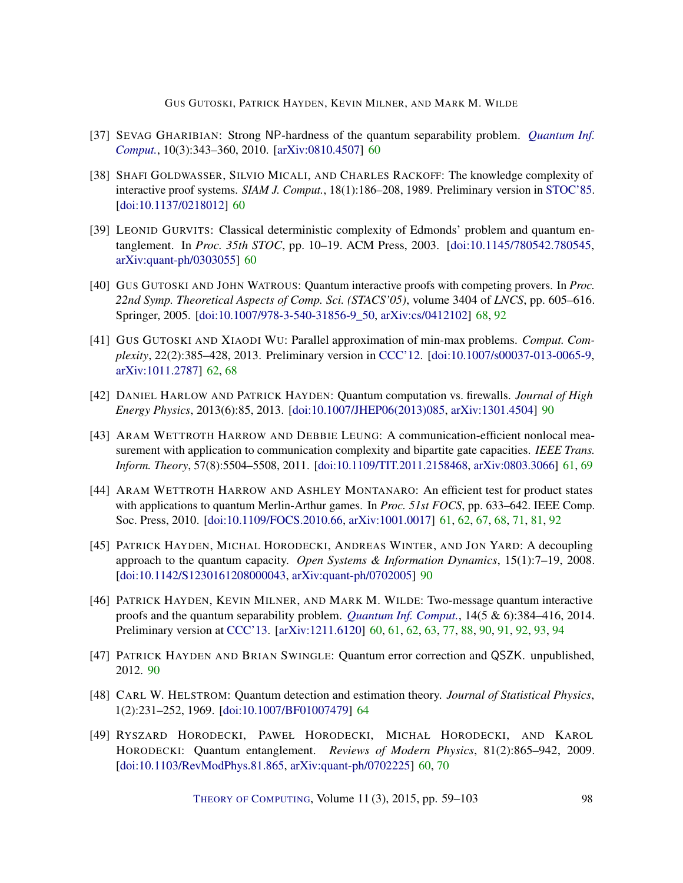GUS GUTOSKI, PATRICK HAYDEN, KEVIN MILNER, AND MARK M. WILDE

- <span id="page-40-3"></span>[37] SEVAG GHARIBIAN: Strong NP-hardness of the quantum separability problem. *[Quantum Inf.](http://www.rintonpress.com/xxqic10/qic-10-34/0343-0360.pdf) [Comput.](http://www.rintonpress.com/xxqic10/qic-10-34/0343-0360.pdf)*, 10(3):343–360, 2010. [\[arXiv:0810.4507\]](http://arxiv.org/abs/0810.4507) [60](#page-2-0)
- <span id="page-40-0"></span>[38] SHAFI GOLDWASSER, SILVIO MICALI, AND CHARLES RACKOFF: The knowledge complexity of interactive proof systems. *SIAM J. Comput.*, 18(1):186–208, 1989. Preliminary version in [STOC'85.](http://dx.doi.org/10.1145/22145.22178) [\[doi:10.1137/0218012\]](http://dx.doi.org/10.1137/0218012) [60](#page-2-0)
- <span id="page-40-2"></span>[39] LEONID GURVITS: Classical deterministic complexity of Edmonds' problem and quantum entanglement. In *Proc. 35th STOC*, pp. 10–19. ACM Press, 2003. [\[doi:10.1145/780542.780545,](http://dx.doi.org/10.1145/780542.780545) [arXiv:quant-ph/0303055\]](http://arxiv.org/abs/quant-ph/0303055) [60](#page-2-0)
- <span id="page-40-9"></span>[40] GUS GUTOSKI AND JOHN WATROUS: Quantum interactive proofs with competing provers. In *Proc. 22nd Symp. Theoretical Aspects of Comp. Sci. (STACS'05)*, volume 3404 of *LNCS*, pp. 605–616. Springer, 2005. [\[doi:10.1007/978-3-540-31856-9\\_50,](http://dx.doi.org/10.1007/978-3-540-31856-9_50) [arXiv:cs/0412102\]](http://arxiv.org/abs/cs/0412102) [68,](#page-10-1) [92](#page-34-3)
- <span id="page-40-7"></span>[41] GUS GUTOSKI AND XIAODI WU: Parallel approximation of min-max problems. *Comput. Complexity*, 22(2):385–428, 2013. Preliminary version in [CCC'12.](http://dx.doi.org/10.1109/CCC.2012.12) [\[doi:10.1007/s00037-013-0065-9,](http://dx.doi.org/10.1007/s00037-013-0065-9) [arXiv:1011.2787\]](http://arxiv.org/abs/1011.2787) [62,](#page-4-1) [68](#page-10-1)
- <span id="page-40-10"></span>[42] DANIEL HARLOW AND PATRICK HAYDEN: Quantum computation vs. firewalls. *Journal of High Energy Physics*, 2013(6):85, 2013. [\[doi:10.1007/JHEP06\(2013\)085,](http://dx.doi.org/10.1007/JHEP06(2013)085) [arXiv:1301.4504\]](http://arxiv.org/abs/1301.4504) [90](#page-32-1)
- <span id="page-40-5"></span>[43] ARAM WETTROTH HARROW AND DEBBIE LEUNG: A communication-efficient nonlocal measurement with application to communication complexity and bipartite gate capacities. *IEEE Trans. Inform. Theory*, 57(8):5504–5508, 2011. [\[doi:10.1109/TIT.2011.2158468,](http://dx.doi.org/10.1109/TIT.2011.2158468) [arXiv:0803.3066\]](http://arxiv.org/abs/0803.3066) [61,](#page-3-1) [69](#page-11-3)
- <span id="page-40-6"></span>[44] ARAM WETTROTH HARROW AND ASHLEY MONTANARO: An efficient test for product states with applications to quantum Merlin-Arthur games. In *Proc. 51st FOCS*, pp. 633–642. IEEE Comp. Soc. Press, 2010. [\[doi:10.1109/FOCS.2010.66,](http://dx.doi.org/10.1109/FOCS.2010.66) [arXiv:1001.0017\]](http://arxiv.org/abs/1001.0017) [61,](#page-3-1) [62,](#page-4-1) [67,](#page-9-0) [68,](#page-10-1) [71,](#page-13-2) [81,](#page-23-0) [92](#page-34-3)
- <span id="page-40-12"></span>[45] PATRICK HAYDEN, MICHAL HORODECKI, ANDREAS WINTER, AND JON YARD: A decoupling approach to the quantum capacity. *Open Systems & Information Dynamics*, 15(1):7–19, 2008. [\[doi:10.1142/S1230161208000043,](http://dx.doi.org/10.1142/S1230161208000043) [arXiv:quant-ph/0702005\]](http://arxiv.org/abs/quant-ph/0702005) [90](#page-32-1)
- <span id="page-40-4"></span>[46] PATRICK HAYDEN, KEVIN MILNER, AND MARK M. WILDE: Two-message quantum interactive proofs and the quantum separability problem. *[Quantum Inf. Comput.](http://www.rintonpress.com/journals/qiconline.html#v14n56)*, 14(5 & 6):384–416, 2014. Preliminary version at [CCC'13.](http://dx.doi.org/10.1109/CCC.2013.24) [\[arXiv:1211.6120\]](http://arxiv.org/abs/1211.6120) [60,](#page-2-0) [61,](#page-3-1) [62,](#page-4-1) [63,](#page-5-1) [77,](#page-19-2) [88,](#page-30-1) [90,](#page-32-1) [91,](#page-33-2) [92,](#page-34-3) [93,](#page-35-0) [94](#page-36-1)
- <span id="page-40-11"></span>[47] PATRICK HAYDEN AND BRIAN SWINGLE: Quantum error correction and QSZK. unpublished, 2012. [90](#page-32-1)
- <span id="page-40-8"></span>[48] CARL W. HELSTROM: Quantum detection and estimation theory. *Journal of Statistical Physics*, 1(2):231–252, 1969. [\[doi:10.1007/BF01007479\]](http://dx.doi.org/10.1007/BF01007479) [64](#page-6-4)
- <span id="page-40-1"></span>[49] RYSZARD HORODECKI, PAWEŁ HORODECKI, MICHAŁ HORODECKI, AND KAROL HORODECKI: Quantum entanglement. *Reviews of Modern Physics*, 81(2):865–942, 2009. [\[doi:10.1103/RevModPhys.81.865,](http://dx.doi.org/10.1103/RevModPhys.81.865) [arXiv:quant-ph/0702225\]](http://arxiv.org/abs/quant-ph/0702225) [60,](#page-2-0) [70](#page-12-2)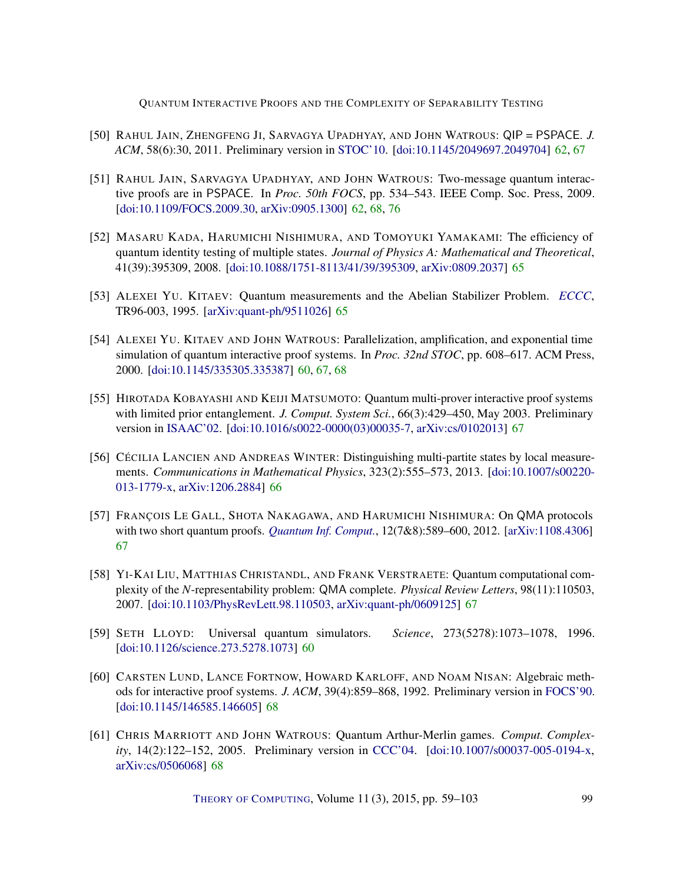- <span id="page-41-3"></span>[50] RAHUL JAIN, ZHENGFENG JI, SARVAGYA UPADHYAY, AND JOHN WATROUS: QIP = PSPACE. *J. ACM*, 58(6):30, 2011. Preliminary version in [STOC'10.](http://doi.acm.org/10.1145/1806689.1806768) [\[doi:10.1145/2049697.2049704\]](http://dx.doi.org/10.1145/2049697.2049704) [62,](#page-4-1) [67](#page-9-0)
- <span id="page-41-2"></span>[51] RAHUL JAIN, SARVAGYA UPADHYAY, AND JOHN WATROUS: Two-message quantum interactive proofs are in PSPACE. In *Proc. 50th FOCS*, pp. 534–543. IEEE Comp. Soc. Press, 2009. [\[doi:10.1109/FOCS.2009.30,](http://dx.doi.org/10.1109/FOCS.2009.30) [arXiv:0905.1300\]](http://arxiv.org/abs/0905.1300) [62,](#page-4-1) [68,](#page-10-1) [76](#page-18-5)
- <span id="page-41-5"></span>[52] MASARU KADA, HARUMICHI NISHIMURA, AND TOMOYUKI YAMAKAMI: The efficiency of quantum identity testing of multiple states. *Journal of Physics A: Mathematical and Theoretical*, 41(39):395309, 2008. [\[doi:10.1088/1751-8113/41/39/395309,](http://dx.doi.org/10.1088/1751-8113/41/39/395309) [arXiv:0809.2037\]](http://arxiv.org/abs/0809.2037) [65](#page-7-2)
- <span id="page-41-4"></span>[53] ALEXEI YU. KITAEV: Quantum measurements and the Abelian Stabilizer Problem. *[ECCC](http://eccc.hpi-web.de/eccc-reports/1996/TR96-003/)*, TR96-003, 1995. [\[arXiv:quant-ph/9511026\]](http://arxiv.org/abs/quant-ph/9511026) [65](#page-7-2)
- <span id="page-41-0"></span>[54] ALEXEI YU. KITAEV AND JOHN WATROUS: Parallelization, amplification, and exponential time simulation of quantum interactive proof systems. In *Proc. 32nd STOC*, pp. 608–617. ACM Press, 2000. [\[doi:10.1145/335305.335387\]](http://dx.doi.org/10.1145/335305.335387) [60,](#page-2-0) [67,](#page-9-0) [68](#page-10-1)
- <span id="page-41-7"></span>[55] HIROTADA KOBAYASHI AND KEIJI MATSUMOTO: Quantum multi-prover interactive proof systems with limited prior entanglement. *J. Comput. System Sci.*, 66(3):429–450, May 2003. Preliminary version in [ISAAC'02.](http://dx.doi.org/10.1007/3-540-36136-7_11) [\[doi:10.1016/s0022-0000\(03\)00035-7,](http://dx.doi.org/10.1016/s0022-0000(03)00035-7) [arXiv:cs/0102013\]](http://arxiv.org/abs/cs/0102013) [67](#page-9-0)
- <span id="page-41-6"></span>[56] CÉCILIA LANCIEN AND ANDREAS WINTER: Distinguishing multi-partite states by local measurements. *Communications in Mathematical Physics*, 323(2):555–573, 2013. [\[doi:10.1007/s00220-](http://dx.doi.org/10.1007/s00220-013-1779-x) [013-1779-x,](http://dx.doi.org/10.1007/s00220-013-1779-x) [arXiv:1206.2884\]](http://arxiv.org/abs/1206.2884) [66](#page-8-0)
- <span id="page-41-8"></span>[57] FRANÇOIS LE GALL, SHOTA NAKAGAWA, AND HARUMICHI NISHIMURA: On QMA protocols with two short quantum proofs. *[Quantum Inf. Comput.](http://www.rintonpress.com/journals/qiconline.html#v12n78)*, 12(7&8):589–600, 2012. [\[arXiv:1108.4306\]](http://arxiv.org/abs/1108.4306) [67](#page-9-0)
- <span id="page-41-9"></span>[58] YI-KAI LIU, MATTHIAS CHRISTANDL, AND FRANK VERSTRAETE: Quantum computational complexity of the *N*-representability problem: QMA complete. *Physical Review Letters*, 98(11):110503, 2007. [\[doi:10.1103/PhysRevLett.98.110503,](http://dx.doi.org/10.1103/PhysRevLett.98.110503) [arXiv:quant-ph/0609125\]](http://arxiv.org/abs/quant-ph/0609125) [67](#page-9-0)
- <span id="page-41-1"></span>[59] SETH LLOYD: Universal quantum simulators. *Science*, 273(5278):1073–1078, 1996. [\[doi:10.1126/science.273.5278.1073\]](http://dx.doi.org/10.1126/science.273.5278.1073) [60](#page-2-0)
- <span id="page-41-11"></span>[60] CARSTEN LUND, LANCE FORTNOW, HOWARD KARLOFF, AND NOAM NISAN: Algebraic methods for interactive proof systems. *J. ACM*, 39(4):859–868, 1992. Preliminary version in [FOCS'90.](http://dx.doi.org/10.1109/FSCS.1990.89518) [\[doi:10.1145/146585.146605\]](http://dx.doi.org/10.1145/146585.146605) [68](#page-10-1)
- <span id="page-41-10"></span>[61] CHRIS MARRIOTT AND JOHN WATROUS: Quantum Arthur-Merlin games. *Comput. Complexity*, 14(2):122–152, 2005. Preliminary version in [CCC'04.](http://dx.doi.org/10.1109/CCC.2004.1313850) [\[doi:10.1007/s00037-005-0194-x,](http://dx.doi.org/10.1007/s00037-005-0194-x) [arXiv:cs/0506068\]](http://arxiv.org/abs/cs/0506068) [68](#page-10-1)

THEORY OF C[OMPUTING](http://dx.doi.org/10.4086/toc), Volume 11 (3), 2015, pp. 59–103 99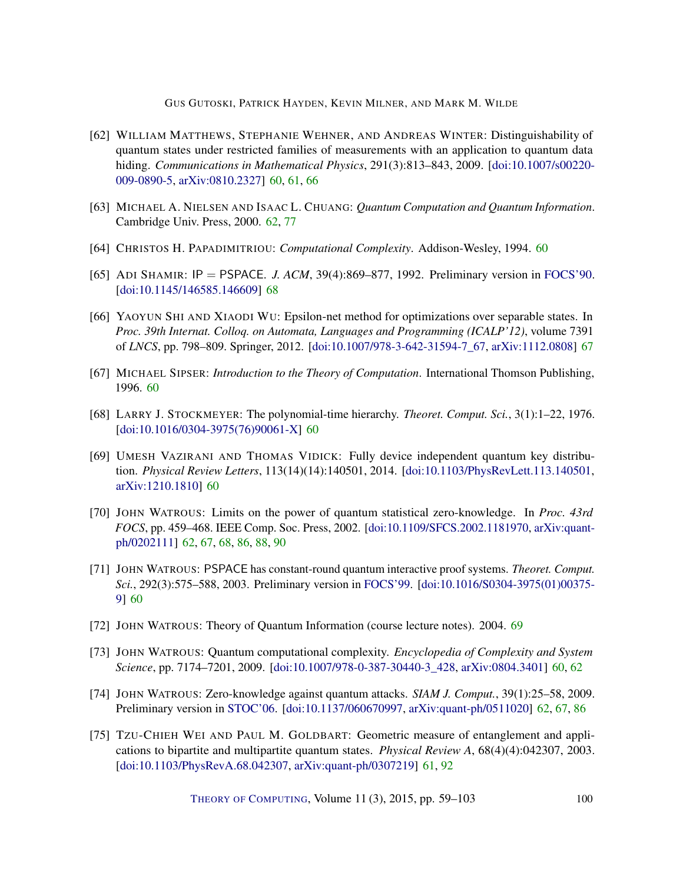GUS GUTOSKI, PATRICK HAYDEN, KEVIN MILNER, AND MARK M. WILDE

- <span id="page-42-5"></span>[62] WILLIAM MATTHEWS, STEPHANIE WEHNER, AND ANDREAS WINTER: Distinguishability of quantum states under restricted families of measurements with an application to quantum data hiding. *Communications in Mathematical Physics*, 291(3):813–843, 2009. [\[doi:10.1007/s00220-](http://dx.doi.org/10.1007/s00220-009-0890-5) [009-0890-5,](http://dx.doi.org/10.1007/s00220-009-0890-5) [arXiv:0810.2327\]](http://arxiv.org/abs/0810.2327) [60,](#page-2-0) [61,](#page-3-1) [66](#page-8-0)
- <span id="page-42-10"></span>[63] MICHAEL A. NIELSEN AND ISAAC L. CHUANG: *Quantum Computation and Quantum Information*. Cambridge Univ. Press, 2000. [62,](#page-4-1) [77](#page-19-2)
- <span id="page-42-6"></span>[64] CHRISTOS H. PAPADIMITRIOU: *Computational Complexity*. Addison-Wesley, 1994. [60](#page-2-0)
- <span id="page-42-12"></span>[65] ADI SHAMIR: IP = PSPACE. *J. ACM*, 39(4):869–877, 1992. Preliminary version in [FOCS'90.](http://dx.doi.org/10.1109/FSCS.1990.89519) [\[doi:10.1145/146585.146609\]](http://dx.doi.org/10.1145/146585.146609) [68](#page-10-1)
- <span id="page-42-11"></span>[66] YAOYUN SHI AND XIAODI WU: Epsilon-net method for optimizations over separable states. In *Proc. 39th Internat. Colloq. on Automata, Languages and Programming (ICALP'12)*, volume 7391 of *LNCS*, pp. 798–809. Springer, 2012. [\[doi:10.1007/978-3-642-31594-7\\_67,](http://dx.doi.org/10.1007/978-3-642-31594-7_67) [arXiv:1112.0808\]](http://arxiv.org/abs/1112.0808) [67](#page-9-0)
- <span id="page-42-1"></span>[67] MICHAEL SIPSER: *Introduction to the Theory of Computation*. International Thomson Publishing, 1996. [60](#page-2-0)
- <span id="page-42-0"></span>[68] LARRY J. STOCKMEYER: The polynomial-time hierarchy. *Theoret. Comput. Sci.*, 3(1):1–22, 1976. [\[doi:10.1016/0304-3975\(76\)90061-X\]](http://dx.doi.org/10.1016/0304-3975(76)90061-X) [60](#page-2-0)
- <span id="page-42-4"></span>[69] UMESH VAZIRANI AND THOMAS VIDICK: Fully device independent quantum key distribution. *Physical Review Letters*, 113(14)(14):140501, 2014. [\[doi:10.1103/PhysRevLett.113.140501,](http://dx.doi.org/10.1103/PhysRevLett.113.140501) [arXiv:1210.1810\]](http://arxiv.org/abs/1210.1810) [60](#page-2-0)
- <span id="page-42-8"></span>[70] JOHN WATROUS: Limits on the power of quantum statistical zero-knowledge. In *Proc. 43rd FOCS*, pp. 459–468. IEEE Comp. Soc. Press, 2002. [\[doi:10.1109/SFCS.2002.1181970,](http://dx.doi.org/10.1109/SFCS.2002.1181970) [arXiv:quant](http://arxiv.org/abs/quant-ph/0202111)[ph/0202111\]](http://arxiv.org/abs/quant-ph/0202111) [62,](#page-4-1) [67,](#page-9-0) [68,](#page-10-1) [86,](#page-28-4) [88,](#page-30-1) [90](#page-32-1)
- <span id="page-42-2"></span>[71] JOHN WATROUS: PSPACE has constant-round quantum interactive proof systems. *Theoret. Comput. Sci.*, 292(3):575–588, 2003. Preliminary version in [FOCS'99.](http://dx.doi.org/10.1109/SFFCS.1999.814583) [\[doi:10.1016/S0304-3975\(01\)00375-](http://dx.doi.org/10.1016/S0304-3975(01)00375-9) [9\]](http://dx.doi.org/10.1016/S0304-3975(01)00375-9) [60](#page-2-0)
- <span id="page-42-13"></span>[72] JOHN WATROUS: Theory of Quantum Information (course lecture notes). 2004. [69](#page-11-3)
- <span id="page-42-3"></span>[73] JOHN WATROUS: Quantum computational complexity. *Encyclopedia of Complexity and System Science*, pp. 7174–7201, 2009. [\[doi:10.1007/978-0-387-30440-3\\_428,](http://dx.doi.org/10.1007/978-0-387-30440-3_428) [arXiv:0804.3401\]](http://arxiv.org/abs/0804.3401) [60,](#page-2-0) [62](#page-4-1)
- <span id="page-42-9"></span>[74] JOHN WATROUS: Zero-knowledge against quantum attacks. *SIAM J. Comput.*, 39(1):25–58, 2009. Preliminary version in [STOC'06.](http://dx.doi.org/10.1145/1132516.1132560) [\[doi:10.1137/060670997,](http://dx.doi.org/10.1137/060670997) [arXiv:quant-ph/0511020\]](http://arxiv.org/abs/quant-ph/0511020) [62,](#page-4-1) [67,](#page-9-0) [86](#page-28-4)
- <span id="page-42-7"></span>[75] TZU-CHIEH WEI AND PAUL M. GOLDBART: Geometric measure of entanglement and applications to bipartite and multipartite quantum states. *Physical Review A*, 68(4)(4):042307, 2003. [\[doi:10.1103/PhysRevA.68.042307,](http://dx.doi.org/10.1103/PhysRevA.68.042307) [arXiv:quant-ph/0307219\]](http://arxiv.org/abs/quant-ph/0307219) [61,](#page-3-1) [92](#page-34-3)

THEORY OF C[OMPUTING](http://dx.doi.org/10.4086/toc), Volume 11 (3), 2015, pp. 59–103 100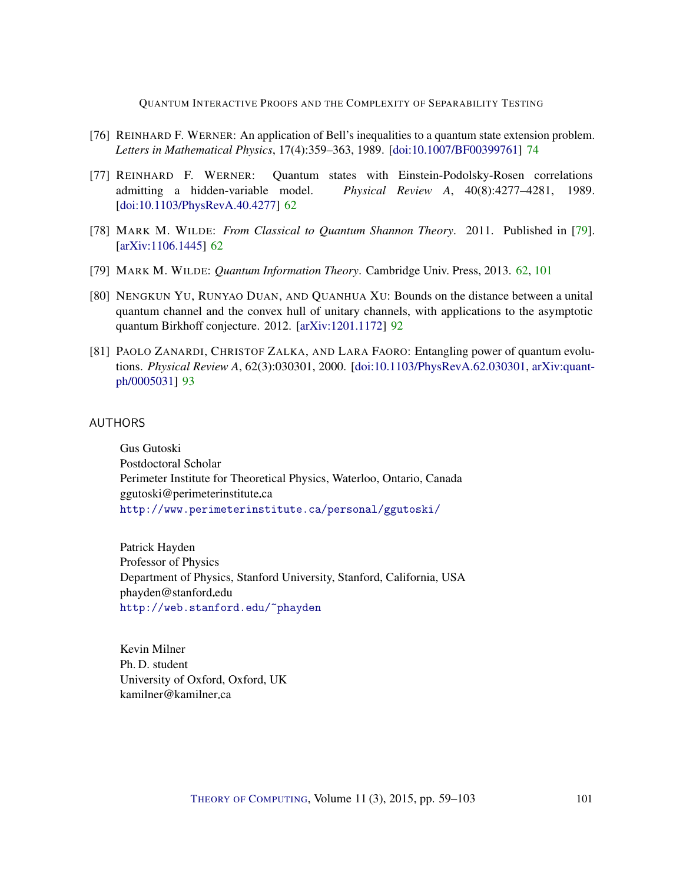- <span id="page-43-9"></span><span id="page-43-6"></span>[76] REINHARD F. WERNER: An application of Bell's inequalities to a quantum state extension problem. *Letters in Mathematical Physics*, 17(4):359–363, 1989. [\[doi:10.1007/BF00399761\]](http://dx.doi.org/10.1007/BF00399761) [74](#page-16-3)
- <span id="page-43-5"></span>[77] REINHARD F. WERNER: Quantum states with Einstein-Podolsky-Rosen correlations admitting a hidden-variable model. *Physical Review A*, 40(8):4277–4281, 1989. [\[doi:10.1103/PhysRevA.40.4277\]](http://dx.doi.org/10.1103/PhysRevA.40.4277) [62](#page-4-1)
- <span id="page-43-3"></span>[78] MARK M. WILDE: *From Classical to Quantum Shannon Theory*. 2011. Published in [\[79\]](#page-43-4). [\[arXiv:1106.1445\]](http://arxiv.org/abs/1106.1445) [62](#page-4-1)
- <span id="page-43-4"></span>[79] MARK M. WILDE: *Quantum Information Theory*. Cambridge Univ. Press, 2013. [62,](#page-4-1) [101](#page-43-9)
- <span id="page-43-7"></span>[80] NENGKUN YU, RUNYAO DUAN, AND QUANHUA XU: Bounds on the distance between a unital quantum channel and the convex hull of unitary channels, with applications to the asymptotic quantum Birkhoff conjecture. 2012. [\[arXiv:1201.1172\]](http://arxiv.org/abs/1201.1172) [92](#page-34-3)
- <span id="page-43-8"></span>[81] PAOLO ZANARDI, CHRISTOF ZALKA, AND LARA FAORO: Entangling power of quantum evolutions. *Physical Review A*, 62(3):030301, 2000. [\[doi:10.1103/PhysRevA.62.030301,](http://dx.doi.org/10.1103/PhysRevA.62.030301) [arXiv:quant](http://arxiv.org/abs/quant-ph/0005031)[ph/0005031\]](http://arxiv.org/abs/quant-ph/0005031) [93](#page-35-0)

### <span id="page-43-0"></span>AUTHORS

Gus Gutoski Postdoctoral Scholar Perimeter Institute for Theoretical Physics, Waterloo, Ontario, Canada  $ggutoski@perimeter institute.ca$ <http://www.perimeterinstitute.ca/personal/ggutoski/>

<span id="page-43-1"></span>Patrick Hayden Professor of Physics Department of Physics, Stanford University, Stanford, California, USA phayden@stanford.edu <http://web.stanford.edu/~phayden>

<span id="page-43-2"></span>Kevin Milner Ph. D. student University of Oxford, Oxford, UK kamilner@kamilner.ca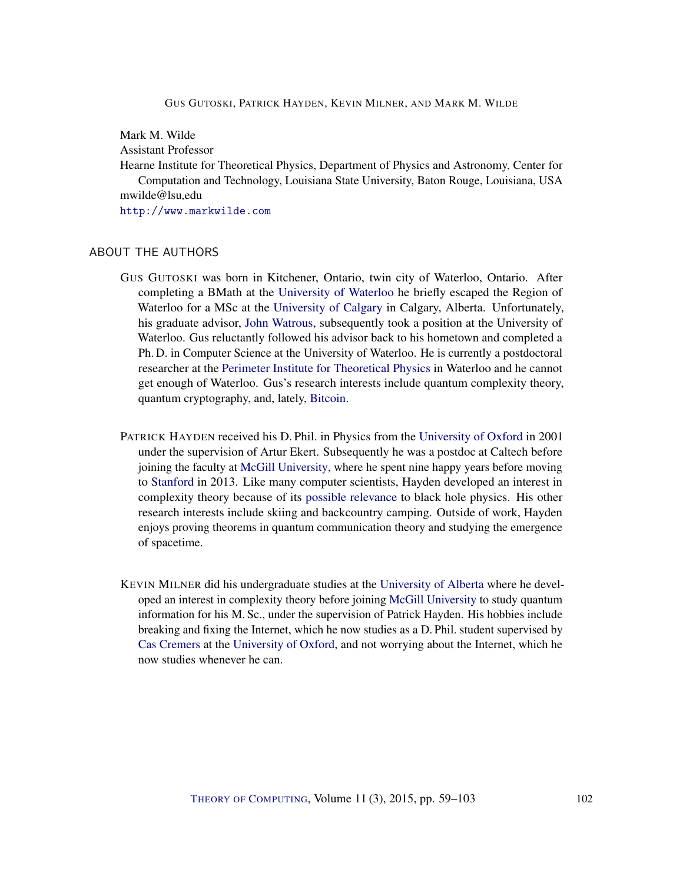#### GUS GUTOSKI, PATRICK HAYDEN, KEVIN MILNER, AND MARK M. WILDE

<span id="page-44-0"></span>Mark M. Wilde

Assistant Professor

Hearne Institute for Theoretical Physics, Department of Physics and Astronomy, Center for Computation and Technology, Louisiana State University, Baton Rouge, Louisiana, USA mwilde@lsu.edu

<http://www.markwilde.com>

### ABOUT THE AUTHORS

- GUS GUTOSKI was born in Kitchener, Ontario, twin city of Waterloo, Ontario. After completing a BMath at the [University of Waterloo](https://uwaterloo.ca/) he briefly escaped the Region of Waterloo for a MSc at the [University of Calgary](http://www.ucalgary.ca/) in Calgary, Alberta. Unfortunately, his graduate advisor, [John Watrous,](https://cs.uwaterloo.ca/~watrous/) subsequently took a position at the University of Waterloo. Gus reluctantly followed his advisor back to his hometown and completed a Ph. D. in Computer Science at the University of Waterloo. He is currently a postdoctoral researcher at the [Perimeter Institute for Theoretical Physics](http://www.perimeterinstitute.ca/) in Waterloo and he cannot get enough of Waterloo. Gus's research interests include quantum complexity theory, quantum cryptography, and, lately, [Bitcoin.](https://bitcoin.org/)
- PATRICK HAYDEN received his D. Phil. in Physics from the [University of Oxford](www.ox.ac.uk) in 2001 under the supervision of Artur Ekert. Subsequently he was a postdoc at Caltech before joining the faculty at [McGill University,](www.mcgill.ca) where he spent nine happy years before moving to [Stanford](www.stanford.edu) in 2013. Like many computer scientists, Hayden developed an interest in complexity theory because of its [possible relevance](http://arxiv.org/abs/1301.4504) to black hole physics. His other research interests include skiing and backcountry camping. Outside of work, Hayden enjoys proving theorems in quantum communication theory and studying the emergence of spacetime.
- KEVIN MILNER did his undergraduate studies at the [University of Alberta](www.ualberta.ca) where he developed an interest in complexity theory before joining [McGill University](www.mcgill.ca) to study quantum information for his M. Sc., under the supervision of Patrick Hayden. His hobbies include breaking and fixing the Internet, which he now studies as a D. Phil. student supervised by [Cas Cremers](http://www.cs.ox.ac.uk/people/cas.cremers) at the [University of Oxford,](www.ox.ac.uk) and not worrying about the Internet, which he now studies whenever he can.